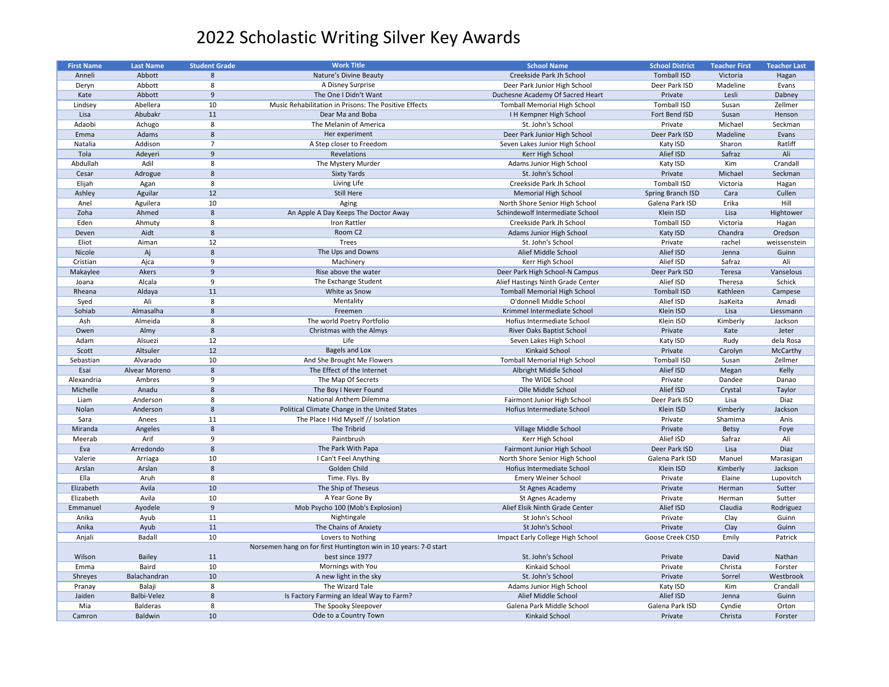| <b>First Name</b> | <b>Last Name</b>    | <b>Student Grade</b> | <b>Work Title</b>                                                | <b>School Name</b>                               | <b>School District</b> | <b>Teacher First</b> | <b>Teacher Last</b>   |
|-------------------|---------------------|----------------------|------------------------------------------------------------------|--------------------------------------------------|------------------------|----------------------|-----------------------|
| Anneli            | Abbott              | 8                    | Nature's Divine Beauty                                           | Creekside Park Jh School                         | <b>Tomball ISD</b>     | Victoria             | Hagan                 |
| Deryn             | Abbott              | 8                    | A Disney Surprise                                                | Deer Park Junior High School                     | Deer Park ISD          | Madeline             | Evans                 |
| Kate              | Abbott              | 9                    | The One I Didn't Want                                            | Duchesne Academy Of Sacred Heart                 | Private                | Lesli                | Dabney                |
| Lindsey           | Abellera            | 10                   | Music Rehabilitation in Prisons: The Positive Effects            | <b>Tomball Memorial High School</b>              | <b>Tomball ISD</b>     | Susan                | Zellmer               |
| Lisa              | Abubakr             | 11                   | Dear Ma and Boba                                                 | I H Kempner High School                          | Fort Bend ISD          | Susan                | Henson                |
| Adaobi            | Achugo              | -8                   | The Melanin of America                                           | St. John's School                                | Private                | Michael              | Seckman               |
| Emma              | Adams               | 8                    | Her experiment                                                   | Deer Park Junior High School                     | Deer Park ISD          | Madeline             | Evans                 |
| Natalia           | Addison             | $\mathbf{z}$         | A Step closer to Freedom                                         | Seven Lakes Junior High School                   | Katy ISD               | Sharon               | Ratliff               |
| Tola              | Adeyeri             | 9                    | Revelations                                                      | Kerr High School                                 | Alief ISD              | Safraz               | Ali                   |
| Abdullah          | Adil                | 8                    | The Mystery Murder                                               | Adams Junior High School                         | Katy ISD               | Kim                  | Crandall              |
| Cesar             | Adrogue             | 8                    | <b>Sixty Yards</b>                                               | St. John's School                                | Private                | Michael              | Seckman               |
| Elijah            | Agan                | 8                    | Living Life                                                      | Creekside Park Jh School                         | <b>Tomball ISD</b>     | Victoria             | Hagan                 |
| Ashley            | Aguilar             | 12                   | <b>Still Here</b>                                                | <b>Memorial High School</b>                      | Spring Branch ISD      | Cara                 | Cullen                |
| Anel              | Aguilera            | 10                   | Aging                                                            | North Shore Senior High School                   | Galena Park ISD        | Erika                | Hill                  |
| Zoha              | Ahmed               | 8                    | An Apple A Day Keeps The Doctor Away                             | Schindewolf Intermediate School                  | Klein ISD              | Lisa                 | Hightower             |
| Eden              | Ahmuty              | 8                    | Iron Rattler                                                     | Creekside Park Jh School                         | <b>Tomball ISD</b>     | Victoria             | Hagan                 |
| Deven             | Aidt                | 8                    | Room C <sub>2</sub>                                              | Adams Junior High School                         | Katy ISD               | Chandra              | Oredson               |
| Eliot             | Aiman               | 12                   | Trees                                                            | St. John's School                                | Private                | rachel               | weissenstein          |
| Nicole            | Aj                  | 8                    | The Ups and Downs                                                | Alief Middle School                              | Alief ISD              | Jenna                | Guinn                 |
| Cristian          | Ajca                | - q                  | Machinery                                                        | Kerr High School                                 | Alief ISD              | Safraz               | Ali                   |
| Makaylee          | Akers               | 9                    | Rise above the water                                             | Deer Park High School-N Campus                   | Deer Park ISD          | Teresa               | Vanselous             |
| Joana             | Alcala              | -9                   | The Exchange Student                                             | Alief Hastings Ninth Grade Center                | Alief ISD              | Theresa              | Schick                |
| Rheana            | Aldaya              | 11                   | White as Snow                                                    | <b>Tomball Memorial High School</b>              | <b>Tomball ISD</b>     | Kathleen             | Campese               |
| Syed              | Ali                 | 8                    | Mentality                                                        | O'donnell Middle School                          | Alief ISD              | JsaKeita             | Amadi                 |
| Sohiab            | Almasalha           | 8                    | Freemen                                                          | Krimmel Intermediate School                      | Klein ISD              | Lisa                 | Liessmann             |
| Ash               | Almeida             | 8                    | The world Poetry Portfolio                                       | Hofius Intermediate School                       | Klein ISD              | Kimberly             | Jackson               |
| Owen              | Almy                | 8                    | Christmas with the Almys                                         |                                                  | Private                | Kate                 | Jeter                 |
|                   |                     |                      | Life                                                             | River Oaks Baptist School                        |                        |                      |                       |
| Adam              | Alsuezi<br>Altsuler | 12<br>12             | Bagels and Lox                                                   | Seven Lakes High School<br><b>Kinkaid School</b> | Katy ISD<br>Private    | Rudy<br>Carolyn      | dela Rosa<br>McCarthy |
| Scott             |                     |                      |                                                                  |                                                  |                        |                      |                       |
| Sebastian         | Alvarado            | 10                   | And She Brought Me Flowers<br>The Effect of the Internet         | <b>Tomball Memorial High School</b>              | <b>Tomball ISD</b>     | Susan                | Zellmer               |
| Esai              | Alvear Moreno       | -8                   |                                                                  | Albright Middle School                           | Alief ISD              | Megan                | Kelly                 |
| Alexandria        | Ambres              |                      | The Map Of Secrets                                               | The WIDE School                                  | Private                | Dandee               | Danao                 |
| Michelle          | Anadu               | 8                    | The Boy I Never Found                                            | Olle Middle School                               | Alief ISD              | Crystal              | Taylor                |
| Liam              | Anderson            | 8                    | National Anthem Dilemma                                          | Fairmont Junior High School                      | Deer Park ISD          | Lisa                 | Diaz                  |
| Nolan             | Anderson            | 8                    | Political Climate Change in the United States                    | Hofius Intermediate School                       | Klein ISD              | Kimberly             | Jackson               |
| Sara              | Anees               | 11                   | The Place I Hid Myself // Isolation                              |                                                  | Private                | Shamima              | Anis                  |
| Miranda           | Angeles             | 8                    | The Tribrid                                                      | Village Middle School                            | Private                | <b>Betsy</b>         | Foye                  |
| Meerab            | Arif                | q                    | Paintbrush                                                       | Kerr High School                                 | Alief ISD              | Safraz               | Ali                   |
| Eva               | Arredondo           | 8                    | The Park With Papa                                               | Fairmont Junior High School                      | Deer Park ISD          | Lisa                 | <b>Diaz</b>           |
| Valerie           | Arriaga             | 10                   | I Can't Feel Anything                                            | North Shore Senior High School                   | Galena Park ISD        | Manuel               | Marasigan             |
| Arslan            | Arslan              | 8                    | Golden Child                                                     | Hofius Intermediate School                       | Klein ISD              | Kimberly             | Jackson               |
| Ella              | Aruh                | 8                    | Time. Flys. By                                                   | <b>Emery Weiner School</b>                       | Private                | Elaine               | Lupovitch             |
| Elizabeth         | Avila               | 10                   | The Ship of Theseus                                              | St Agnes Academy                                 | Private                | Herman               | Sutter                |
| Elizabeth         | Avila               | 10                   | A Year Gone By                                                   | St Agnes Academy                                 | Private                | Herman               | Sutter                |
| Emmanuel          | Ayodele             | -9                   | Mob Psycho 100 (Mob's Explosion)                                 | Alief Elsik Ninth Grade Center                   | Alief ISD              | Claudia              | Rodriguez             |
| Anika             | Ayub                | 11                   | Nightingale                                                      | St John's School                                 | Private                | Clay                 | Guinn                 |
| Anika             | Ayub                | 11                   | The Chains of Anxiety                                            | St John's School                                 | Private                | Clay                 | Guinn                 |
| Anjali            | <b>Badall</b>       | 10                   | Lovers to Nothing                                                | Impact Early College High School                 | Goose Creek CISD       | Emily                | Patrick               |
|                   |                     |                      | Norsemen hang on for first Huntington win in 10 years: 7-0 start |                                                  |                        |                      |                       |
| Wilson            | <b>Bailey</b>       | 11                   | best since 1977                                                  | St. John's School                                | Private                | David                | Nathan                |
| Emma              | Baird               | 10                   | Mornings with You                                                | Kinkaid School                                   | Private                | Christa              | Forster               |
| Shreyes           | Balachandran        | 10                   | A new light in the sky                                           | St. John's School                                | Private                | Sorrel               | Westbrook             |
| Pranay            | Balaji              | 8                    | The Wizard Tale                                                  | Adams Junior High School                         | Katy ISD               | Kim                  | Crandall              |
| Jaiden            | Balbi-Velez         | 8                    | Is Factory Farming an Ideal Way to Farm?                         | Alief Middle School                              | Alief ISD              | Jenna                | Guinn                 |
| Mia               | <b>Balderas</b>     | 8                    | The Spooky Sleepover                                             | Galena Park Middle School                        | Galena Park ISD        | Cyndie               | Orton                 |
| Camron            | Baldwin             | 10                   | Ode to a Country Town                                            | Kinkaid School                                   | Private                | Christa              | Forster               |

| <b>School District</b>   | <b>Teacher First</b> | <b>Teacher Last</b> |
|--------------------------|----------------------|---------------------|
| <b>Tomball ISD</b>       | Victoria             | Hagan               |
| Deer Park ISD            | Madeline             | Evans               |
| Private                  | Lesli                | Dabney              |
| <b>Tomball ISD</b>       | Susan                | Zellmer             |
| Fort Bend ISD            | Susan                | Henson              |
| Private                  | Michael              | Seckman             |
| Deer Park ISD            | Madeline             | Evans               |
| Katy ISD                 | Sharon               | Ratliff             |
| Alief ISD                | Safraz               | Ali                 |
| Katy ISD                 | Kim                  | Crandall            |
| Private                  | Michael              | Seckman             |
| <b>Tomball ISD</b>       | Victoria             | Hagan               |
| <b>Spring Branch ISD</b> | Cara                 | Cullen              |
| Galena Park ISD          | Erika                | Hill                |
| Klein ISD                | Lisa                 | Hightower           |
| <b>Tomball ISD</b>       | Victoria             | Hagan               |
| Katy ISD                 | Chandra              | Oredson             |
| Private                  | rachel               | weissenstein        |
| Alief ISD                | Jenna                | Guinn               |
| Alief ISD                | Safraz               | Ali                 |
| Deer Park ISD            | Teresa               | Vanselous           |
| Alief ISD                | Theresa              | <b>Schick</b>       |
| <b>Tomball ISD</b>       | Kathleen             | Campese             |
| Alief ISD                | JsaKeita             | Amadi               |
| Klein ISD                | Lisa                 | Liessmann           |
| Klein ISD                | Kimberly             | Jackson             |
| Private                  | Kate                 | Jeter               |
| Katy ISD                 | Rudy                 | dela Rosa           |
| Private                  | Carolyn              | McCarthy            |
| <b>Tomball ISD</b>       | Susan                | Zellmer             |
| Alief ISD                | Megan                | Kelly               |
| Private                  | Dandee               | Danao               |
| Alief ISD                | Crystal              | Taylor              |
| Deer Park ISD            | Lisa                 | Diaz                |
| Klein ISD                | Kimberly             | Jackson             |
| Private                  | Shamima              | Anis                |
| Private                  | <b>Betsy</b>         | Foye                |
| Alief ISD                | Safraz               | Ali                 |
| Deer Park ISD            | Lisa                 | <b>Diaz</b>         |
| Galena Park ISD          | Manuel               | Marasigan           |
| Klein ISD                | Kimberly             | Jackson             |
| Private                  | Elaine               | Lupovitch           |
| Private                  | Herman               | Sutter              |
| Private                  | Herman               | Sutter              |
| Alief ISD                | Claudia              | Rodriguez           |
| Private                  | Clay                 | Guinn               |
| Private                  | Clay                 | Guinn               |
| <b>Goose Creek CISD</b>  | Emily                | Patrick             |
| Private                  | David                | Nathan              |
| Private                  | Christa              | Forster             |
| Private                  | Sorrel               | Westbrook           |
| Katy ISD                 | Kim                  | Crandall            |
| Alief ISD                | Jenna                | Guinn               |
| Galena Park ISD          | Cyndie               | Orton               |
| Private                  | Christa              | Forster             |
|                          |                      |                     |

## 2022 Scholastic Writing Silver Key Awards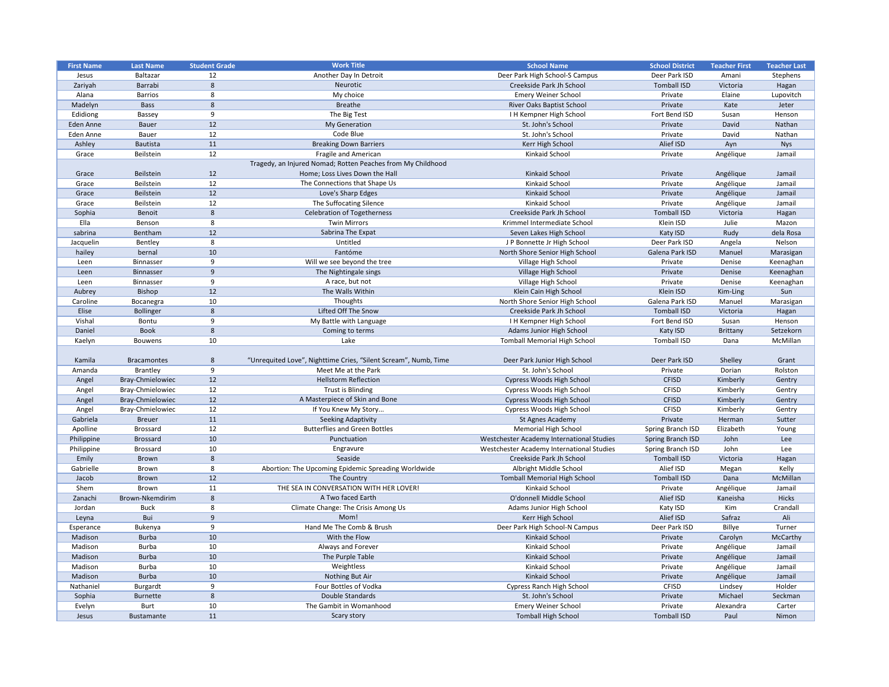| <b>First Name</b> | <b>Last Name</b>   | <b>Student Grade</b> | <b>Work Title</b>                                               | <b>School Name</b>                        | <b>School District</b> | <b>Teacher First</b> | <b>Teacher Last</b> |
|-------------------|--------------------|----------------------|-----------------------------------------------------------------|-------------------------------------------|------------------------|----------------------|---------------------|
| Jesus             | Baltazar           | 12                   | Another Day In Detroit                                          | Deer Park High School-S Campus            | Deer Park ISD          | Amani                | Stephens            |
| Zariyah           | Barrabi            | 8                    | Neurotic                                                        | Creekside Park Jh School                  | <b>Tomball ISD</b>     | Victoria             | Hagan               |
| Alana             | <b>Barrios</b>     | 8                    | My choice                                                       | <b>Emery Weiner School</b>                | Private                | Elaine               | Lupovitch           |
| Madelyn           | <b>Bass</b>        | 8                    | <b>Breathe</b>                                                  | River Oaks Baptist School                 | Private                | Kate                 | Jeter               |
| Edidiong          | Bassey             | - q                  | The Big Test                                                    | <b>IH Kempner High School</b>             | Fort Bend ISD          | Susan                | Henson              |
| Eden Anne         | Bauer              | 12                   | <b>My Generation</b>                                            | St. John's School                         | Private                | David                | Nathan              |
| Eden Anne         | <b>Bauer</b>       | 12                   | Code Blue                                                       | St. John's School                         | Private                | David                | Nathan              |
| Ashley            | Bautista           | 11                   | <b>Breaking Down Barriers</b>                                   | Kerr High School                          | Alief ISD              | Ayn                  | <b>Nys</b>          |
| Grace             | Beilstein          | 12                   | Fragile and American                                            | Kinkaid School                            | Private                | Angélique            | Jamail              |
|                   |                    |                      | Tragedy, an Injured Nomad; Rotten Peaches from My Childhood     |                                           |                        |                      |                     |
| Grace             | Beilstein          | 12                   | Home; Loss Lives Down the Hall                                  | Kinkaid School                            | Private                | Angélique            | Jamail              |
| Grace             | Beilstein          | 12                   | The Connections that Shape Us                                   | Kinkaid School                            | Private                | Angélique            | Jamail              |
| Grace             | Beilstein          | 12                   | Love's Sharp Edges                                              | Kinkaid School                            | Private                | Angélique            | Jamail              |
| Grace             | Beilstein          | 12                   | The Suffocating Silence                                         | Kinkaid School                            | Private                | Angélique            | Jamail              |
| Sophia            | Benoit             | 8                    | <b>Celebration of Togetherness</b>                              | Creekside Park Jh School                  | <b>Tomball ISD</b>     | Victoria             | Hagan               |
| Ella              | Benson             | 8                    | <b>Twin Mirrors</b>                                             | Krimmel Intermediate School               | Klein ISD              | Julie                | Mazon               |
| sabrina           | Bentham            | 12                   | Sabrina The Expat                                               | Seven Lakes High School                   | Katy ISD               | Rudy                 | dela Rosa           |
|                   |                    | 8                    | Untitled                                                        |                                           | Deer Park ISD          |                      | Nelson              |
| Jacquelin         | Bentley            |                      |                                                                 | J P Bonnette Jr High School               |                        | Angela               |                     |
| hailey            | bernal             | 10                   | Fantóme                                                         | North Shore Senior High School            | Galena Park ISD        | Manuel               | Marasigan           |
| Leen              | Binnasser          | 9                    | Will we see beyond the tree                                     | Village High School                       | Private                | Denise               | Keenaghan           |
| Leen              | <b>Binnasser</b>   | 9                    | The Nightingale sings                                           | Village High School                       | Private                | Denise               | Keenaghan           |
| Leen              | Binnasser          | 9                    | A race, but not                                                 | Village High School                       | Private                | Denise               | Keenaghan           |
| Aubrey            | Bishop             | 12                   | The Walls Within                                                | Klein Cain High School                    | Klein ISD              | Kim-Ling             | Sun                 |
| Caroline          | Bocanegra          | 10                   | Thoughts                                                        | North Shore Senior High School            | Galena Park ISD        | Manuel               | Marasigan           |
| Elise             | <b>Bollinger</b>   | 8                    | Lifted Off The Snow                                             | Creekside Park Jh School                  | <b>Tomball ISD</b>     | Victoria             | Hagan               |
| Vishal            | Bontu              | 9                    | My Battle with Language                                         | <b>IH Kempner High School</b>             | Fort Bend ISD          | Susan                | Henson              |
| Daniel            | <b>Book</b>        | 8                    | Coming to terms                                                 | Adams Junior High School                  | Katy ISD               | Brittany             | Setzekorn           |
| Kaelyn            | <b>Bouwens</b>     | 10                   | Lake                                                            | <b>Tomball Memorial High School</b>       | <b>Tomball ISD</b>     | Dana                 | McMillan            |
|                   |                    |                      |                                                                 |                                           |                        |                      |                     |
| Kamila            | <b>Bracamontes</b> | 8                    | "Unrequited Love", Nighttime Cries, "Silent Scream", Numb, Time | Deer Park Junior High School              | Deer Park ISD          | Shelley              | Grant               |
| Amanda            | Brantley           | -9                   | Meet Me at the Park                                             | St. John's School                         | Private                | Dorian               | Rolston             |
| Angel             | Bray-Chmielowiec   | 12                   | <b>Hellstorm Reflection</b>                                     | Cypress Woods High School                 | <b>CFISD</b>           | Kimberly             | Gentry              |
| Angel             | Bray-Chmielowiec   | 12                   | Trust is Blinding                                               | Cypress Woods High School                 | <b>CFISD</b>           | Kimberly             | Gentry              |
| Angel             | Bray-Chmielowiec   | 12                   | A Masterpiece of Skin and Bone                                  | Cypress Woods High School                 | <b>CFISD</b>           | Kimberly             | Gentry              |
| Angel             | Bray-Chmielowiec   | 12                   | If You Knew My Story                                            | Cypress Woods High School                 | <b>CFISD</b>           | Kimberly             | Gentry              |
| Gabriela          | <b>Breuer</b>      | 11                   | <b>Seeking Adaptivity</b>                                       | St Agnes Academy                          | Private                | Herman               | Sutter              |
| Apolline          | <b>Brossard</b>    | 12                   | <b>Butterflies and Green Bottles</b>                            | <b>Memorial High School</b>               | Spring Branch ISD      | Elizabeth            | Young               |
| Philippine        | <b>Brossard</b>    | 10                   | Punctuation                                                     | Westchester Academy International Studies | Spring Branch ISD      | John                 | Lee                 |
|                   | <b>Brossard</b>    | 10                   |                                                                 | Westchester Academy International Studies | Spring Branch ISD      | John                 | Lee                 |
| Philippine        |                    |                      | Engravure                                                       |                                           |                        |                      |                     |
| Emily             | Brown              | 8                    | Seaside                                                         | Creekside Park Jh School                  | <b>Tomball ISD</b>     | Victoria             | Hagan               |
| Gabrielle         | Brown              | 8                    | Abortion: The Upcoming Epidemic Spreading Worldwide             | Albright Middle School                    | Alief ISD              | Megan                | Kelly               |
| Jacob             | Brown              | 12                   | The Country                                                     | <b>Tomball Memorial High School</b>       | <b>Tomball ISD</b>     | Dana                 | McMillan            |
| Shem              | Brown              | 11                   | THE SEA IN CONVERSATION WITH HER LOVER!                         | Kinkaid School                            | Private                | Angélique            | Jamail              |
| Zanachi           | Brown-Nkemdirim    | 8                    | A Two faced Earth                                               | O'donnell Middle School                   | Alief ISD              | Kaneisha             | Hicks               |
| Jordan            | <b>Buck</b>        | 8                    | Climate Change: The Crisis Among Us                             | Adams Junior High School                  | Katy ISD               | Kim                  | Crandall            |
| Leyna             | Bui                | 9                    | Mom!                                                            | Kerr High School                          | Alief ISD              | Safraz               | Ali                 |
| Esperance         | Bukenya            | 9                    | Hand Me The Comb & Brush                                        | Deer Park High School-N Campus            | Deer Park ISD          | Billye               | Turner              |
| Madison           | <b>Burba</b>       | 10                   | With the Flow                                                   | Kinkaid School                            | Private                | Carolyn              | McCarthy            |
| Madison           | <b>Burba</b>       | 10                   | Always and Forever                                              | Kinkaid School                            | Private                | Angélique            | Jamail              |
| Madison           | <b>Burba</b>       | 10                   | The Purple Table                                                | Kinkaid School                            | Private                | Angélique            | Jamail              |
| Madison           | <b>Burba</b>       | 10                   | Weightless                                                      | Kinkaid School                            | Private                | Angélique            | Jamail              |
| Madison           | <b>Burba</b>       | $10\,$               | Nothing But Air                                                 | Kinkaid School                            | Private                | Angélique            | Jamail              |
| Nathaniel         | <b>Burgardt</b>    | -9                   | Four Bottles of Vodka                                           | <b>Cypress Ranch High School</b>          | <b>CFISD</b>           | Lindsey              | Holder              |
| Sophia            | <b>Burnette</b>    | 8                    | Double Standards                                                | St. John's School                         | Private                | Michael              | Seckman             |
| Evelyn            | Burt               | 10                   | The Gambit in Womanhood                                         | <b>Emery Weiner School</b>                | Private                | Alexandra            | Carter              |
| Jesus             | Bustamante         | 11                   | Scary story                                                     | <b>Tomball High School</b>                | <b>Tomball ISD</b>     | Paul                 | Nimon               |
|                   |                    |                      |                                                                 |                                           |                        |                      |                     |

| <b>School District</b> | <b>Teacher First</b> | <b>Teacher Last</b> |
|------------------------|----------------------|---------------------|
| Deer Park ISD          | Amani                | Stephens            |
| <b>Tomball ISD</b>     | Victoria             | Hagan               |
| Private                | Elaine               | Lupovitch           |
| Private                | Kate                 | Jeter               |
| Fort Bend ISD          | Susan                | Henson              |
| Private                | David                | Nathan              |
| Private                | David                | Nathan              |
| Alief ISD              | Ayn                  | <b>Nys</b>          |
| Private                | Angélique            | Jamail              |
|                        |                      |                     |
| Private                | Angélique            | Jamail              |
| Private                | Angélique            | Jamail              |
| Private                | Angélique            | Jamail              |
| Private                | Angélique            | Jamail              |
| <b>Tomball ISD</b>     | Victoria             | Hagan               |
| Klein ISD              | Julie                | Mazon               |
| Katy ISD               | Rudy                 | dela Rosa           |
| Deer Park ISD          | Angela               | Nelson              |
| Galena Park ISD        | Manuel               | Marasigan           |
| Private                | Denise               | Keenaghan           |
| Private                | Denise               | Keenaghan           |
| Private                | Denise               | Keenaghan           |
| Klein ISD              | Kim-Ling             | Sun                 |
| Galena Park ISD        | Manuel               | Marasigan           |
| <b>Tomball ISD</b>     | Victoria             | Hagan               |
| Fort Bend ISD          | Susan                | Henson              |
| Katy ISD               | <b>Brittany</b>      | Setzekorn           |
| <b>Tomball ISD</b>     | Dana                 | McMillan            |
|                        |                      |                     |
| Deer Park ISD          | Shelley              | Grant               |
| Private                | Dorian               | Rolston             |
| <b>CFISD</b>           | Kimberly             | Gentry              |
| <b>CFISD</b>           | Kimberly             | Gentry              |
| <b>CFISD</b>           | Kimberly             | Gentry              |
| <b>CFISD</b>           | Kimberly             | Gentry              |
| Private                | Herman               | Sutter              |
| Spring Branch ISD      | Elizabeth            | Young               |
| Spring Branch ISD      | John                 | Lee                 |
| Spring Branch ISD      | John                 | Lee                 |
| <b>Tomball ISD</b>     | Victoria             | Hagan               |
| Alief ISD              | Megan                | Kelly               |
| <b>Tomball ISD</b>     | Dana                 | McMillan            |
| Private                | Angélique            | Jamail              |
| Alief ISD              | Kaneisha             | <b>Hicks</b>        |
| Katy ISD               | Kim                  | Crandall            |
| Alief ISD              | Safraz               | Ali                 |
| Deer Park ISD          | <b>Billye</b>        | Turner              |
| Private                | Carolyn              | McCarthy            |
| Private                | Angélique            | Jamail              |
| Private                | Angélique            | Jamail              |
| Private                | Angélique            | Jamail              |
| Private                | Angélique            | Jamail              |
| <b>CFISD</b>           | Lindsey              | Holder              |
| Private                | Michael              | Seckman             |
| Private                | Alexandra            | Carter              |
| <b>Tomball ISD</b>     | Paul                 | Nimon               |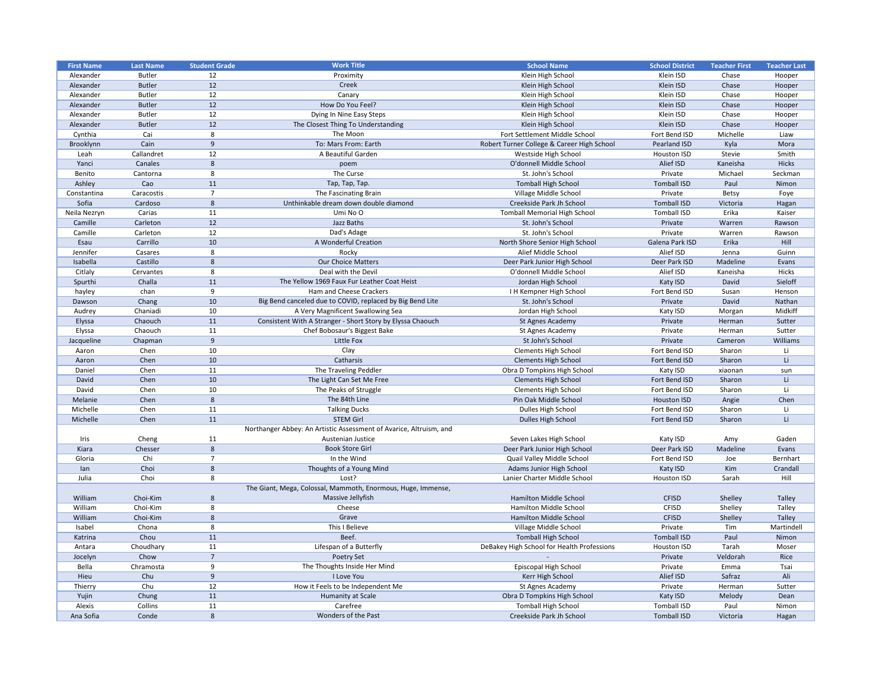| <b>First Name</b> | <b>Last Name</b> | <b>Student Grade</b> | <b>Work Title</b>                                                  | <b>School Name</b>                         | <b>School District</b> | <b>Teacher First</b> | <b>Teacher Last</b> |
|-------------------|------------------|----------------------|--------------------------------------------------------------------|--------------------------------------------|------------------------|----------------------|---------------------|
| Alexander         | <b>Butler</b>    | 12                   | Proximity                                                          | Klein High School                          | Klein ISD              | Chase                | Hooper              |
| Alexander         | <b>Butler</b>    | 12                   | Creek                                                              | Klein High School                          | Klein ISD              | Chase                | Hooper              |
| Alexander         | <b>Butler</b>    | 12                   | Canary                                                             | Klein High School                          | Klein ISD              | Chase                | Hooper              |
| Alexander         | <b>Butler</b>    | 12                   | How Do You Feel?                                                   | Klein High School                          | Klein ISD              | Chase                | Hooper              |
| Alexander         | <b>Butler</b>    | 12                   | Dying In Nine Easy Steps                                           | Klein High School                          | Klein ISD              | Chase                |                     |
|                   |                  |                      |                                                                    |                                            |                        |                      | Hooper              |
| Alexander         | <b>Butler</b>    | 12                   | The Closest Thing To Understanding                                 | Klein High School                          | Klein ISD              | Chase                | Hooper              |
| Cynthia           | Cai              | 8                    | The Moon                                                           | Fort Settlement Middle School              | Fort Bend ISD          | Michelle             | Liaw                |
| Brooklynn         | Cain             | 9                    | To: Mars From: Earth                                               | Robert Turner College & Career High School | Pearland ISD           | Kyla                 | Mora                |
| Leah              | Callandret       | 12                   | A Beautiful Garden                                                 | Westside High School                       | Houston ISD            | Stevie               | Smith               |
| Yanci             | Canales          | 8                    | poem                                                               | O'donnell Middle School                    | Alief ISD              | Kaneisha             | Hicks               |
| Benito            | Cantorna         | 8                    | The Curse                                                          | St. John's School                          | Private                | Michael              | Seckman             |
| Ashley            | Cao              | 11                   | Tap, Tap, Tap.                                                     | <b>Tomball High School</b>                 | <b>Tomball ISD</b>     | Paul                 | Nimon               |
| Constantina       | Caracostis       | -7                   | The Fascinating Brain                                              | Village Middle School                      | Private                | <b>Betsy</b>         | Foye                |
| Sofia             | Cardoso          | 8                    | Unthinkable dream down double diamond                              | Creekside Park Jh School                   | <b>Tomball ISD</b>     | Victoria             | Hagan               |
| Neila Nezryn      | Carias           | 11                   | Umi No O                                                           | <b>Tomball Memorial High School</b>        | <b>Tomball ISD</b>     | Erika                | Kaiser              |
| Camille           | Carleton         | 12                   | Jazz Baths                                                         | St. John's School                          | Private                | Warren               | Rawson              |
| Camille           | Carleton         | 12                   | Dad's Adage                                                        | St. John's School                          | Private                | Warren               | Rawson              |
| Esau              | Carrillo         | 10                   | A Wonderful Creation                                               | North Shore Senior High School             | Galena Park ISD        | Erika                | Hill                |
| Jennifer          | Casares          | 8                    | Rocky                                                              | Alief Middle School                        | Alief ISD              | Jenna                | Guinn               |
| Isabella          | Castillo         | 8                    | <b>Our Choice Matters</b>                                          | Deer Park Junior High School               | Deer Park ISD          | Madeline             | Evans               |
| Citlaly           | Cervantes        | -8                   | Deal with the Devil                                                | O'donnell Middle School                    | Alief ISD              | Kaneisha             | Hicks               |
| Spurthi           | Challa           | 11                   | The Yellow 1969 Faux Fur Leather Coat Heist                        | Jordan High School                         | Katy ISD               | David                | Sieloff             |
| hayley            | chan             | 9                    | Ham and Cheese Crackers                                            | I H Kempner High School                    | Fort Bend ISD          | Susan                | Henson              |
| Dawson            | Chang            | 10                   | Big Bend canceled due to COVID, replaced by Big Bend Lite          | St. John's School                          | Private                | David                | Nathan              |
|                   |                  |                      |                                                                    |                                            |                        |                      | Midkiff             |
| Audrey            | Chaniadi         | 10                   | A Very Magnificent Swallowing Sea                                  | Jordan High School                         | Katy ISD               | Morgan               |                     |
| Elyssa            | Chaouch          | 11                   | Consistent With A Stranger - Short Story by Elyssa Chaouch         | St Agnes Academy                           | Private                | Herman               | Sutter              |
| Elyssa            | Chaouch          | 11                   | Chef Bobosaur's Biggest Bake                                       | St Agnes Academy                           | Private                | Herman               | Sutter              |
| Jacqueline        | Chapman          | 9                    | Little Fox                                                         | St John's School                           | Private                | Cameron              | Williams            |
| Aaron             | Chen             | 10                   | Clay                                                               | <b>Clements High School</b>                | Fort Bend ISD          | Sharon               | Li                  |
| Aaron             | Chen             | 10                   | Catharsis                                                          | <b>Clements High School</b>                | Fort Bend ISD          | Sharon               | Li                  |
| Daniel            | Chen             | 11                   | The Traveling Peddler                                              | Obra D Tompkins High School                | Katy ISD               | xiaonan              | sun                 |
| David             | Chen             | 10                   | The Light Can Set Me Free                                          | <b>Clements High School</b>                | Fort Bend ISD          | Sharon               | Li.                 |
| David             | Chen             | 10                   | The Peaks of Struggle                                              | <b>Clements High School</b>                | Fort Bend ISD          | Sharon               | Li.                 |
| Melanie           | Chen             | 8                    | The 84th Line                                                      | Pin Oak Middle School                      | <b>Houston ISD</b>     | Angie                | Chen                |
| Michelle          | Chen             | 11                   | <b>Talking Ducks</b>                                               | Dulles High School                         | Fort Bend ISD          | Sharon               | Li                  |
| Michelle          | Chen             | 11                   | <b>STEM Girl</b>                                                   | Dulles High School                         | Fort Bend ISD          | Sharon               | Li.                 |
|                   |                  |                      | Northanger Abbey: An Artistic Assessment of Avarice, Altruism, and |                                            |                        |                      |                     |
| Iris              | Cheng            | 11                   | Austenian Justice                                                  | Seven Lakes High School                    | Katy ISD               | Amy                  | Gaden               |
| Kiara             | Chesser          | 8                    | <b>Book Store Girl</b>                                             | Deer Park Junior High School               | Deer Park ISD          | Madeline             | Evans               |
| Gloria            | Chi              | 7                    | In the Wind                                                        | Quail Valley Middle School                 | Fort Bend ISD          | Joe                  | Bernhart            |
| lan               | Choi             | 8                    | Thoughts of a Young Mind                                           | Adams Junior High School                   | Katy ISD               | Kim                  | Crandall            |
| Julia             | Choi             | 8                    | Lost?                                                              | Lanier Charter Middle School               | Houston ISD            | Sarah                | Hill                |
|                   |                  |                      | The Giant, Mega, Colossal, Mammoth, Enormous, Huge, Immense,       |                                            |                        |                      |                     |
| William           | Choi-Kim         | 8                    | Massive Jellyfish                                                  | Hamilton Middle School                     | <b>CFISD</b>           | Shelley              | <b>Talley</b>       |
|                   | Choi-Kim         | 8                    | Cheese                                                             | Hamilton Middle School                     | <b>CFISD</b>           | Shelley              |                     |
| William           |                  |                      |                                                                    |                                            |                        |                      | <b>Talley</b>       |
| William           | Choi-Kim         | 8                    | Grave                                                              | Hamilton Middle School                     | <b>CFISD</b>           | Shelley              | <b>Talley</b>       |
| Isabel            | Chona            | 8                    | This I Believe                                                     | Village Middle School                      | Private                | Tim                  | Martindell          |
| Katrina           | Chou             | 11                   | Beef.                                                              | <b>Tomball High School</b>                 | <b>Tomball ISD</b>     | Paul                 | Nimon               |
| Antara            | Choudhary        | 11                   | Lifespan of a Butterfly                                            | DeBakey High School for Health Professions | Houston ISD            | Tarah                | Moser               |
| Jocelyn           | Chow             | 7                    | Poetry Set                                                         |                                            | Private                | Veldorah             | Rice                |
| Bella             | Chramosta        | -9                   | The Thoughts Inside Her Mind                                       | Episcopal High School                      | Private                | Emma                 | Tsai                |
| Hieu              | Chu              | 9                    | I Love You                                                         | Kerr High School                           | Alief ISD              | Safraz               | Ali                 |
| Thierry           | Chu              | 12                   | How it Feels to be Independent Me                                  | St Agnes Academy                           | Private                | Herman               | Sutter              |
| Yujin             | Chung            | 11                   | Humanity at Scale                                                  | Obra D Tompkins High School                | Katy ISD               | Melody               | Dean                |
| Alexis            | Collins          | 11                   | Carefree                                                           | <b>Tomball High School</b>                 | <b>Tomball ISD</b>     | Paul                 | Nimon               |
| Ana Sofia         | Conde            | 8                    | Wonders of the Past                                                | Creekside Park Jh School                   | <b>Tomball ISD</b>     | Victoria             | Hagan               |
|                   |                  |                      |                                                                    |                                            |                        |                      |                     |

| <b>School District</b> | <b>Teacher First</b> | <b>Teacher Last</b> |
|------------------------|----------------------|---------------------|
| Klein ISD              | Chase                | Hooper              |
| Klein ISD              | Chase                | Hooper              |
| Klein ISD              | Chase                | Hooper              |
| Klein ISD              | Chase                | Hooper              |
| Klein ISD              | Chase                | Hooper              |
| Klein ISD              | Chase                | Hooper              |
| Fort Bend ISD          | Michelle             | Liaw                |
| <b>Pearland ISD</b>    | Kyla                 | Mora                |
| <b>Houston ISD</b>     | <b>Stevie</b>        | Smith               |
| <b>Alief ISD</b>       | Kaneisha             | <b>Hicks</b>        |
| Private                | Michael              | Seckman             |
| <b>Tomball ISD</b>     | Paul                 | Nimon               |
| Private                | <b>Betsy</b>         | Foye                |
| <b>Tomball ISD</b>     | Victoria             | Hagan               |
| <b>Tomball ISD</b>     | Erika                | Kaiser              |
| Private                | Warren               | Rawson              |
| Private                | Warren               | Rawson              |
| Galena Park ISD        | Erika                | Hill                |
| Alief ISD              | Jenna                | Guinn               |
| Deer Park ISD          | Madeline             | Evans               |
| Alief ISD              | Kaneisha             | <b>Hicks</b>        |
| Katy ISD               | David                | Sieloff             |
| Fort Bend ISD          | Susan                | Henson              |
| Private                | David                | Nathan              |
| Katy ISD               | Morgan               | Midkiff             |
| Private                | Herman               | Sutter              |
| Private                | Herman               | Sutter              |
| Private                | Cameron              | Williams            |
| Fort Bend ISD          | Sharon               | Li                  |
| Fort Bend ISD          | Sharon               | Li                  |
| Katy ISD               | xiaonan              | sun                 |
| Fort Bend ISD          | Sharon               | Li                  |
| Fort Bend ISD          | Sharon               | Li                  |
| <b>Houston ISD</b>     | Angie                | Chen                |
| Fort Bend ISD          | Sharon               | Li                  |
| Fort Bend ISD          | Sharon               | Li                  |
|                        |                      |                     |
| Katy ISD               | Amy                  | Gaden               |
| Deer Park ISD          | Madeline             | Evans               |
| Fort Bend ISD          | Joe                  | <b>Bernhart</b>     |
| Katy ISD               | Kim                  | Crandall            |
| <b>Houston ISD</b>     | Sarah                | Hill                |
|                        |                      |                     |
| <b>CFISD</b>           | Shelley              | <b>Talley</b>       |
| <b>CFISD</b>           | Shelley              | <b>Talley</b>       |
| <b>CFISD</b>           | Shelley              | <b>Talley</b>       |
| Private                | Tim                  | Martindell          |
| <b>Tomball ISD</b>     | Paul                 | Nimon               |
| <b>Houston ISD</b>     | Tarah                | Moser               |
| Private                | Veldorah             | Rice                |
| Private                | Emma                 | Tsai                |
| Alief ISD              | Safraz               | Ali                 |
| Private                | Herman               | Sutter              |
| Katy ISD               | Melody               | Dean                |
| <b>Tomball ISD</b>     | Paul                 | Nimon               |
| <b>Tomball ISD</b>     | Victoria             | Hagan               |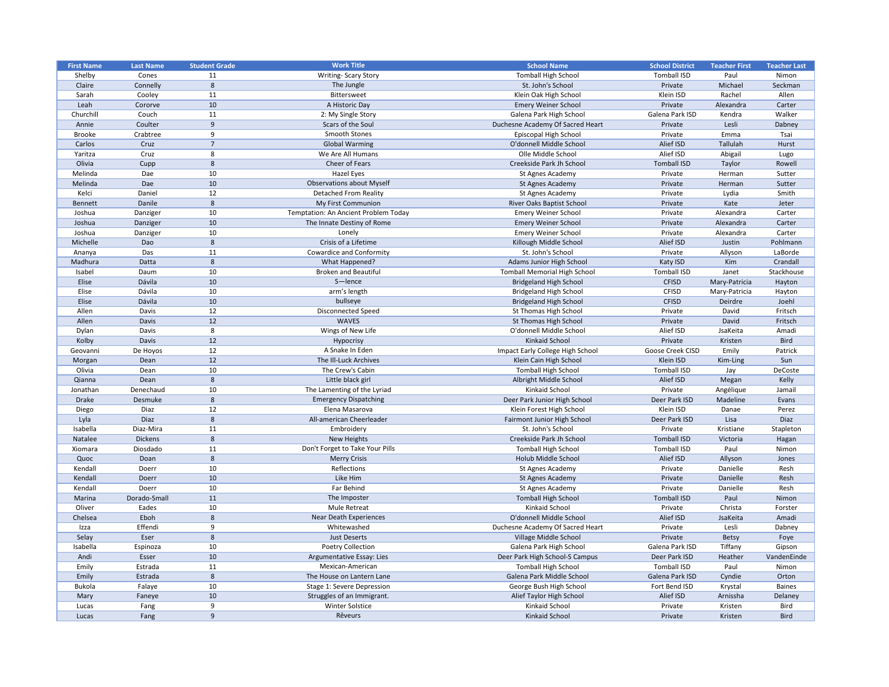|                   |                  |                      | <b>Work Title</b>                    |                                     |                         |                      |                     |
|-------------------|------------------|----------------------|--------------------------------------|-------------------------------------|-------------------------|----------------------|---------------------|
| <b>First Name</b> | <b>Last Name</b> | <b>Student Grade</b> |                                      | <b>School Name</b>                  | <b>School District</b>  | <b>Teacher First</b> | <b>Teacher Last</b> |
| Shelby            | Cones            | 11                   | <b>Writing-Scary Story</b>           | <b>Tomball High School</b>          | <b>Tomball ISD</b>      | Paul                 | Nimon               |
| Claire            | Connelly         | 8                    | The Jungle                           | St. John's School                   | Private                 | Michael              | Seckman             |
| Sarah             | Cooley           | 11                   | <b>Bittersweet</b>                   | Klein Oak High School               | Klein ISD               | Rachel               | Allen               |
| Leah              | Cororve          | 10                   | A Historic Day                       | <b>Emery Weiner School</b>          | Private                 | Alexandra            | Carter              |
| Churchill         | Couch            | 11                   | 2: My Single Story                   | Galena Park High School             | Galena Park ISD         | Kendra               | Walker              |
| Annie             | Coulter          | 9                    | Scars of the Soul                    | Duchesne Academy Of Sacred Heart    | Private                 | Lesli                | Dabney              |
| <b>Brooke</b>     | Crabtree         | 9                    | <b>Smooth Stones</b>                 | Episcopal High School               | Private                 | Emma                 | Tsai                |
| Carlos            | Cruz             | $\overline{7}$       | <b>Global Warming</b>                | O'donnell Middle School             | Alief ISD               | Tallulah             | Hurst               |
| Yaritza           | Cruz             | 8                    | We Are All Humans                    | Olle Middle School                  | Alief ISD               | Abigail              | Lugo                |
| Olivia            | Cupp             | 8                    | Cheer of Fears                       | Creekside Park Jh School            | <b>Tomball ISD</b>      | Taylor               | Rowell              |
| Melinda           | Dae              | 10                   | Hazel Eyes                           | St Agnes Academy                    | Private                 | Herman               | Sutter              |
| Melinda           | Dae              | 10                   | <b>Observations about Myself</b>     | St Agnes Academy                    | Private                 | Herman               | Sutter              |
| Kelci             | Daniel           | 12                   | <b>Detached From Reality</b>         | St Agnes Academy                    | Private                 | Lydia                | Smith               |
| Bennett           | Danile           | 8                    | My First Communion                   | River Oaks Baptist School           | Private                 | Kate                 | Jeter               |
| Joshua            | Danziger         | 10                   | Temptation: An Ancient Problem Today | <b>Emery Weiner School</b>          | Private                 | Alexandra            | Carter              |
| Joshua            | Danziger         | 10                   | The Innate Destiny of Rome           | <b>Emery Weiner School</b>          | Private                 | Alexandra            | Carter              |
|                   |                  |                      |                                      |                                     |                         |                      |                     |
| Joshua            | Danziger         | 10                   | Lonely                               | <b>Emery Weiner School</b>          | Private                 | Alexandra            | Carter              |
| Michelle          | Dao              | 8                    | Crisis of a Lifetime                 | Killough Middle School              | Alief ISD               | Justin               | Pohlmann            |
| Ananya            | Das              | 11                   | <b>Cowardice and Conformity</b>      | St. John's School                   | Private                 | Allyson              | LaBorde             |
| Madhura           | Datta            | 8                    | What Happened?                       | Adams Junior High School            | Katy ISD                | Kim                  | Crandall            |
| Isabel            | Daum             | 10                   | <b>Broken and Beautiful</b>          | <b>Tomball Memorial High School</b> | <b>Tomball ISD</b>      | Janet                | Stackhouse          |
| Elise             | Dávila           | 10                   | S-lence                              | <b>Bridgeland High School</b>       | <b>CFISD</b>            | Mary-Patricia        | Hayton              |
| Elise             | Dávila           | 10                   | arm's length                         | <b>Bridgeland High School</b>       | <b>CFISD</b>            | Mary-Patricia        | Hayton              |
| Elise             | Dávila           | 10                   | bullseye                             | <b>Bridgeland High School</b>       | <b>CFISD</b>            | Deirdre              | Joehl               |
| Allen             | Davis            | 12                   | <b>Disconnected Speed</b>            | St Thomas High School               | Private                 | David                | Fritsch             |
| Allen             | Davis            | 12                   | <b>WAVES</b>                         | <b>St Thomas High School</b>        | Private                 | David                | Fritsch             |
| Dylan             | Davis            | 8                    | Wings of New Life                    | O'donnell Middle School             | Alief ISD               | JsaKeita             | Amadi               |
| Kolby             | Davis            | 12                   | Hypocrisy                            | Kinkaid School                      | Private                 | Kristen              | <b>Bird</b>         |
| Geovanni          | De Hoyos         | 12                   | A Snake In Eden                      | Impact Early College High School    | <b>Goose Creek CISD</b> | Emily                | Patrick             |
| Morgan            | Dean             | 12                   | The III-Luck Archives                | Klein Cain High School              | Klein ISD               | Kim-Ling             | Sun                 |
| Olivia            | Dean             | 10                   | The Crew's Cabin                     | <b>Tomball High School</b>          | <b>Tomball ISD</b>      | Jay                  | DeCoste             |
| Qianna            | Dean             | 8                    | Little black girl                    | Albright Middle School              | Alief ISD               | Megan                | Kelly               |
| Jonathan          | Denechaud        | 10                   | The Lamenting of the Lyriad          | Kinkaid School                      | Private                 | Angélique            | Jamail              |
| <b>Drake</b>      | Desmuke          | 8                    | <b>Emergency Dispatching</b>         | Deer Park Junior High School        | Deer Park ISD           | Madeline             | Evans               |
|                   | Diaz             |                      | Elena Masarova                       | Klein Forest High School            | Klein ISD               |                      |                     |
| Diego             |                  | 12<br>8              |                                      |                                     |                         | Danae                | Perez               |
| Lyla              | <b>Diaz</b>      |                      | All-american Cheerleader             | Fairmont Junior High School         | Deer Park ISD           | Lisa                 | <b>Diaz</b>         |
| Isabella          | Diaz-Mira        | 11                   | Embroidery                           | St. John's School                   | Private                 | Kristiane            | Stapleton           |
| Natalee           | <b>Dickens</b>   | 8                    | <b>New Heights</b>                   | Creekside Park Jh School            | <b>Tomball ISD</b>      | Victoria             | Hagan               |
| Xiomara           | Diosdado         | 11                   | Don't Forget to Take Your Pills      | <b>Tomball High School</b>          | <b>Tomball ISD</b>      | Paul                 | Nimon               |
| Quoc              | Doan             | 8                    | <b>Merry Crisis</b>                  | Holub Middle School                 | Alief ISD               | Allyson              | Jones               |
| Kendall           | Doerr            | 10                   | Reflections                          | St Agnes Academy                    | Private                 | Danielle             | Resh                |
| Kendall           | Doerr            | 10                   | Like Him                             | St Agnes Academy                    | Private                 | Danielle             | Resh                |
| Kendall           | Doerr            | 10                   | Far Behind                           | St Agnes Academy                    | Private                 | Danielle             | Resh                |
| Marina            | Dorado-Small     | 11                   | The Imposter                         | <b>Tomball High School</b>          | <b>Tomball ISD</b>      | Paul                 | Nimon               |
| Oliver            | Eades            | 10                   | <b>Mule Retreat</b>                  | Kinkaid School                      | Private                 | Christa              | Forster             |
| Chelsea           | Eboh             | 8                    | <b>Near Death Experiences</b>        | O'donnell Middle School             | Alief ISD               | JsaKeita             | Amadi               |
| Izza              | Effendi          | 9                    | Whitewashed                          | Duchesne Academy Of Sacred Heart    | Private                 | Lesli                | Dabney              |
| Selay             | Eser             | 8                    | <b>Just Deserts</b>                  | Village Middle School               | Private                 | <b>Betsy</b>         | Foye                |
| Isabella          | Espinoza         | 10                   | <b>Poetry Collection</b>             | Galena Park High School             | Galena Park ISD         | Tiffany              | Gipson              |
| Andi              | Esser            | 10                   | Argumentative Essay: Lies            | Deer Park High School-S Campus      | Deer Park ISD           | Heather              | VandenEinde         |
| Emily             | Estrada          | 11                   | Mexican-American                     | <b>Tomball High School</b>          | Tomball ISD             | Paul                 | Nimon               |
| Emily             | Estrada          | 8                    | The House on Lantern Lane            | Galena Park Middle School           | Galena Park ISD         | Cyndie               | Orton               |
|                   |                  |                      | Stage 1: Severe Depression           |                                     | Fort Bend ISD           |                      |                     |
| <b>Bukola</b>     | Falaye           | 10                   |                                      | George Bush High School             |                         | Krystal              | <b>Baines</b>       |
| Mary              | Faneye           | 10                   | Struggles of an Immigrant.           | Alief Taylor High School            | Alief ISD               | Arnissha             | Delaney             |
| Lucas             | Fang             | 9                    | Winter Solstice                      | Kinkaid School                      | Private                 | Kristen              | Bird                |
| Lucas             | Fang             | 9                    | Rêveurs                              | Kinkaid School                      | Private                 | Kristen              | <b>Bird</b>         |

| <b>School District</b>        | <b>Teacher First</b> | <b>Teacher Last</b> |
|-------------------------------|----------------------|---------------------|
| <b>Tomball ISD</b>            | Paul                 | Nimon               |
| Private                       | Michael              | Seckman             |
| Klein ISD                     | Rachel               | Allen               |
| Private                       | Alexandra            | Carter              |
| Galena Park ISD               | Kendra               | Walker              |
| Private                       | Lesli                | Dabney              |
| Private                       | Emma                 | Tsai                |
| Alief ISD                     | Tallulah             | Hurst               |
| Alief ISD                     | Abigail              | Lugo                |
| <b>Tomball ISD</b>            | Taylor               | Rowell              |
| Private                       | Herman               | Sutter              |
| Private                       | Herman               | Sutter              |
| Private                       | Lydia                | Smith               |
| Private                       | Kate                 | Jeter               |
| Private                       | Alexandra            | Carter              |
| Private                       | Alexandra            | Carter              |
| Private                       | Alexandra            | Carter              |
| Alief ISD                     | Justin               | Pohlmann            |
| Private                       | Allyson              | LaBorde             |
| Katy ISD                      | Kim                  | Crandall            |
| <b>Tomball ISD</b>            | Janet                | Stackhouse          |
| <b>CFISD</b>                  | Mary-Patricia        | Hayton              |
| <b>CFISD</b>                  | Mary-Patricia        | Hayton              |
| <b>CFISD</b>                  | Deirdre              | Joehl               |
| Private                       | David                | Fritsch             |
| Private                       | David                | Fritsch             |
| Alief ISD                     | JsaKeita             | Amadi               |
| Private                       | Kristen              | <b>Bird</b>         |
| Goose Creek CISD              | Emily                | Patrick             |
| Klein ISD                     | Kim-Ling             | Sun                 |
| <b>Tomball ISD</b>            | Jay                  | DeCoste             |
| Alief ISD                     | Megan                | Kelly               |
| Private                       | Angélique            | Jamail              |
| Deer Park ISD                 | Madeline             | Evans               |
| Klein ISD                     | Danae                | Perez               |
| Deer Park ISD                 | Lisa                 | <b>Diaz</b>         |
|                               | Kristiane            |                     |
| Private<br><b>Tomball ISD</b> |                      | Stapleton           |
| <b>Tomball ISD</b>            | Victoria             | Hagan               |
|                               | Paul                 | Nimon               |
| Alief ISD                     | Allyson              | Jones               |
| Private                       | Danielle<br>Danielle | Resh<br>Resh        |
| Private                       |                      |                     |
| Private                       | Danielle             | Resh                |
| <b>Tomball ISD</b>            | Paul                 | Nimon               |
| Private                       | Christa              | Forster             |
| Alief ISD                     | JsaKeita             | Amadi               |
| Private                       | Lesli                | Dabney              |
| Private                       | <b>Betsy</b>         | Foye                |
| Galena Park ISD               | Tiffany              | Gipson              |
| Deer Park ISD                 | Heather              | VandenEinde         |
| <b>Tomball ISD</b>            | Paul                 | Nimon               |
| Galena Park ISD               | Cyndie               | Orton               |
| Fort Bend ISD                 | Krystal              | <b>Baines</b>       |
| Alief ISD                     | Arnissha             | Delaney             |
| Private                       | Kristen              | <b>Bird</b>         |
| Private                       | Kristen              | <b>Bird</b>         |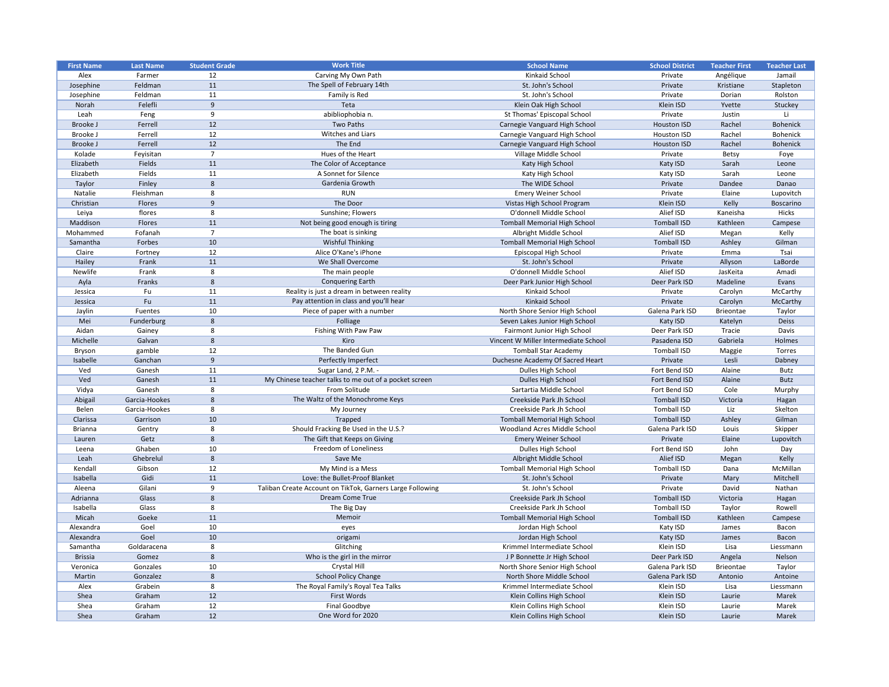| <b>First Name</b> | <b>Last Name</b> | <b>Student Grade</b> | <b>Work Title</b>                                         | <b>School Name</b>                   | <b>School District</b> | <b>Teacher First</b> | <b>Teacher Last</b> |
|-------------------|------------------|----------------------|-----------------------------------------------------------|--------------------------------------|------------------------|----------------------|---------------------|
| Alex              | Farmer           | 12                   | Carving My Own Path                                       | Kinkaid School                       | Private                | Angélique            | Jamail              |
| Josephine         | Feldman          | 11                   | The Spell of February 14th                                | St. John's School                    | Private                | Kristiane            | Stapleton           |
| Josephine         | Feldman          | 11                   | Family is Red                                             | St. John's School                    | Private                | Dorian               | Rolston             |
| Norah             | Felefli          | 9                    | Teta                                                      | Klein Oak High School                | Klein ISD              | Yvette               | Stuckey             |
| Leah              | Feng             | 9                    | abibliophobia n.                                          | St Thomas' Episcopal School          | Private                | Justin               |                     |
| Brooke J          | Ferrell          | 12                   | Two Paths                                                 | Carnegie Vanguard High School        | <b>Houston ISD</b>     | Rachel               | <b>Bohenick</b>     |
| Brooke J          | Ferrell          | 12                   | Witches and Liars                                         | Carnegie Vanguard High School        | Houston ISD            | Rachel               | <b>Bohenick</b>     |
| Brooke J          | Ferrell          | 12                   | The End                                                   | Carnegie Vanguard High School        | <b>Houston ISD</b>     | Rachel               | <b>Bohenick</b>     |
| Kolade            | Feyisitan        | $\overline{7}$       | Hues of the Heart                                         | Village Middle School                | Private                | <b>Betsy</b>         | Foye                |
| Elizabeth         | Fields           | 11                   | The Color of Acceptance                                   | Katy High School                     | Katy ISD               | Sarah                | Leone               |
| Elizabeth         | Fields           | 11                   | A Sonnet for Silence                                      | Katy High School                     | Katy ISD               | Sarah                | Leone               |
| Taylor            | Finley           | 8                    | Gardenia Growth                                           | The WIDE School                      | Private                | Dandee               | Danao               |
| Natalie           | Fleishman        | -8                   | <b>RUN</b>                                                | <b>Emery Weiner School</b>           | Private                | Elaine               | Lupovitch           |
| Christian         | Flores           | 9                    | The Door                                                  | Vistas High School Program           | Klein ISD              | Kelly                | Boscarino           |
| Leiya             | flores           | 8                    | Sunshine; Flowers                                         | O'donnell Middle School              | Alief ISD              | Kaneisha             | Hicks               |
| Maddison          | Flores           | 11                   | Not being good enough is tiring                           | <b>Tomball Memorial High School</b>  | <b>Tomball ISD</b>     | Kathleen             | Campese             |
| Mohammed          | Fofanah          | 7                    | The boat is sinking                                       | Albright Middle School               | Alief ISD              | Megan                | Kelly               |
| Samantha          | Forbes           | 10                   | <b>Wishful Thinking</b>                                   | <b>Tomball Memorial High School</b>  | <b>Tomball ISD</b>     | Ashley               | Gilman              |
| Claire            | Fortney          | 12                   | Alice O'Kane's iPhone                                     | Episcopal High School                | Private                | Emma                 | Tsai                |
| Hailey            | Frank            | 11                   | We Shall Overcome                                         | St. John's School                    | Private                | Allyson              | LaBorde             |
| Newlife           | Frank            | 8                    | The main people                                           | O'donnell Middle School              | Alief ISD              | JasKeita             | Amadi               |
| Ayla              | Franks           | 8                    | <b>Conquering Earth</b>                                   | Deer Park Junior High School         | Deer Park ISD          | Madeline             | Evans               |
| Jessica           | Fu               | 11                   | Reality is just a dream in between reality                | Kinkaid School                       | Private                | Carolyn              | McCarthy            |
| Jessica           | Fu               | 11                   | Pay attention in class and you'll hear                    | <b>Kinkaid School</b>                | Private                | Carolyn              | McCarthy            |
| Jaylin            | Fuentes          | 10                   | Piece of paper with a number                              | North Shore Senior High School       | Galena Park ISD        | <b>Brieontae</b>     | Taylor              |
| Mei               | Funderburg       | 8                    | Folliage                                                  | Seven Lakes Junior High School       | Katy ISD               | Katelyn              | <b>Deiss</b>        |
| Aidan             | Gainey           | 8                    | Fishing With Paw Paw                                      | Fairmont Junior High School          | Deer Park ISD          | Tracie               | Davis               |
| Michelle          | Galvan           | 8                    | Kiro                                                      | Vincent W Miller Intermediate School | Pasadena ISD           | Gabriela             | Holmes              |
| <b>Bryson</b>     | gamble           | 12                   | The Banded Gun                                            | <b>Tomball Star Academy</b>          | <b>Tomball ISD</b>     | Maggie               | Torres              |
| Isabelle          | Ganchan          | 9                    | Perfectly Imperfect                                       | Duchesne Academy Of Sacred Heart     | Private                | Lesli                | Dabney              |
| Ved               | Ganesh           | 11                   | Sugar Land, 2 P.M. -                                      | Dulles High School                   | Fort Bend ISD          | Alaine               | Butz                |
| Ved               | Ganesh           | 11                   | My Chinese teacher talks to me out of a pocket screen     | Dulles High School                   | Fort Bend ISD          | Alaine               | <b>Butz</b>         |
| Vidya             | Ganesh           | -8                   | From Solitude                                             | Sartartia Middle School              | Fort Bend ISD          | Cole                 | Murphy              |
| Abigail           | Garcia-Hookes    | 8                    | The Waltz of the Monochrome Keys                          | Creekside Park Jh School             | <b>Tomball ISD</b>     | Victoria             | Hagan               |
| Belen             | Garcia-Hookes    | 8                    | My Journey                                                | Creekside Park Jh School             | <b>Tomball ISD</b>     | Liz                  | Skelton             |
| Clarissa          | Garrison         | 10                   | Trapped                                                   | <b>Tomball Memorial High School</b>  | <b>Tomball ISD</b>     | Ashley               | Gilman              |
| <b>Brianna</b>    | Gentry           | 8                    | Should Fracking Be Used in the U.S.?                      | <b>Woodland Acres Middle School</b>  | Galena Park ISD        | Louis                | Skipper             |
| Lauren            | Getz             | 8                    | The Gift that Keeps on Giving                             | <b>Emery Weiner School</b>           | Private                | Elaine               | Lupovitch           |
| Leena             | Ghaben           | 10                   | Freedom of Loneliness                                     | Dulles High School                   | Fort Bend ISD          | John                 | Day                 |
| Leah              | Ghebrelul        | 8                    | Save Me                                                   | Albright Middle School               | Alief ISD              | Megan                | Kelly               |
| Kendall           | Gibson           | 12                   | My Mind is a Mess                                         | <b>Tomball Memorial High School</b>  | <b>Tomball ISD</b>     | Dana                 | McMillan            |
| Isabella          | Gidi             | 11                   | Love: the Bullet-Proof Blanket                            | St. John's School                    | Private                | Mary                 | Mitchell            |
| Aleena            | Gilani           | 9                    | Taliban Create Account on TikTok, Garners Large Following | St. John's School                    | Private                | David                | Nathan              |
| Adrianna          | Glass            | 8                    | Dream Come True                                           | Creekside Park Jh School             | <b>Tomball ISD</b>     | Victoria             | Hagan               |
| Isabella          | Glass            | 8                    | The Big Day                                               | Creekside Park Jh School             | <b>Tomball ISD</b>     | Taylor               | Rowell              |
| Micah             | Goeke            | 11                   | Memoir                                                    | <b>Tomball Memorial High School</b>  | <b>Tomball ISD</b>     | Kathleen             | Campese             |
| Alexandra         | Goel             | 10                   | eyes                                                      | Jordan High School                   | Katy ISD               | James                | Bacon               |
| Alexandra         | Goel             | 10                   | origami                                                   | Jordan High School                   | Katy ISD               | James                | Bacon               |
| Samantha          | Goldaracena      | 8                    | Glitching                                                 | Krimmel Intermediate School          | Klein ISD              | Lisa                 | Liessmann           |
| <b>Brissia</b>    | Gomez            | 8                    | Who is the girl in the mirror                             | J P Bonnette Jr High School          | Deer Park ISD          | Angela               | Nelson              |
| Veronica          | Gonzales         | 10                   | Crystal Hill                                              | North Shore Senior High School       | Galena Park ISD        | <b>Brieontae</b>     | Taylor              |
| Martin            | Gonzalez         | 8                    | <b>School Policy Change</b>                               | North Shore Middle School            | Galena Park ISD        | Antonio              | Antoine             |
| Alex              | Grabein          | 8                    | The Royal Family's Royal Tea Talks                        | Krimmel Intermediate School          | Klein ISD              | Lisa                 | Liessmann           |
| Shea              | Graham           | 12                   | First Words                                               | Klein Collins High School            | Klein ISD              | Laurie               | Marek               |
| Shea              | Graham           | 12                   | Final Goodbye                                             | Klein Collins High School            | Klein ISD              | Laurie               | Marek               |
| Shea              | Graham           | 12                   | One Word for 2020                                         | Klein Collins High School            | Klein ISD              | Laurie               | Marek               |
|                   |                  |                      |                                                           |                                      |                        |                      |                     |

| <b>School District</b> | <b>Teacher First</b> | <b>Teacher Last</b> |
|------------------------|----------------------|---------------------|
| Private                | Angélique            | Jamail              |
| Private                | Kristiane            | Stapleton           |
| Private                | Dorian               | Rolston             |
| Klein ISD              | Yvette               | Stuckey             |
| Private                | Justin               | Li                  |
| <b>Houston ISD</b>     | Rachel               | <b>Bohenick</b>     |
| <b>Houston ISD</b>     | Rachel               | <b>Bohenick</b>     |
| <b>Houston ISD</b>     | Rachel               | <b>Bohenick</b>     |
| Private                | <b>Betsy</b>         | Foye                |
| Katy ISD               | Sarah                | Leone               |
| Katy ISD               | Sarah                | Leone               |
| Private                | Dandee               | Danao               |
| Private                | Elaine               | Lupovitch           |
| Klein ISD              | Kelly                | <b>Boscarino</b>    |
| Alief ISD              | Kaneisha             | <b>Hicks</b>        |
| <b>Tomball ISD</b>     | Kathleen             | Campese             |
| Alief ISD              | Megan                | Kelly               |
| <b>Tomball ISD</b>     | Ashley               | Gilman              |
| Private                | Emma                 | Tsai                |
| Private                | Allyson              | LaBorde             |
| Alief ISD              | JasKeita             | Amadi               |
| Deer Park ISD          | Madeline             | Evans               |
| Private                | Carolyn              | McCarthy            |
| Private                | Carolyn              | McCarthy            |
| Galena Park ISD        | <b>Brieontae</b>     | Taylor              |
| Katy ISD               | Katelyn              | <b>Deiss</b>        |
| Deer Park ISD          | <b>Tracie</b>        | Davis               |
| Pasadena ISD           | Gabriela             | Holmes              |
| <b>Tomball ISD</b>     | Maggie               | <b>Torres</b>       |
| Private                | Lesli                | Dabney              |
| Fort Bend ISD          | Alaine               | <b>Butz</b>         |
| Fort Bend ISD          | Alaine               | <b>Butz</b>         |
| Fort Bend ISD          | Cole                 | Murphy              |
| <b>Tomball ISD</b>     | Victoria             | Hagan               |
| <b>Tomball ISD</b>     | Liz                  | Skelton             |
| <b>Tomball ISD</b>     | Ashley               | Gilman              |
| Galena Park ISD        | Louis                | Skipper             |
| Private                | Elaine               | Lupovitch           |
| Fort Bend ISD          | John                 | Day                 |
| Alief ISD              | Megan                | Kelly               |
| <b>Tomball ISD</b>     | Dana                 | McMillan            |
| Private                | Mary                 | Mitchell            |
| Private                | David                | Nathan              |
| <b>Tomball ISD</b>     | Victoria             | Hagan               |
| <b>Tomball ISD</b>     | Taylor               | Rowell              |
| <b>Tomball ISD</b>     | Kathleen             | Campese             |
| Katy ISD               | James                | Bacon               |
| Katy ISD               | James                | <b>Bacon</b>        |
| Klein ISD              | Lisa                 | Liessmann           |
| Deer Park ISD          | Angela               | Nelson              |
| Galena Park ISD        | <b>Brieontae</b>     | Taylor              |
| Galena Park ISD        | Antonio              | Antoine             |
| Klein ISD              | Lisa                 | Liessmann           |
| Klein ISD              | Laurie               | Marek               |
| Klein ISD              | Laurie               | Marek               |
| Klein ISD              | Laurie               | Marek               |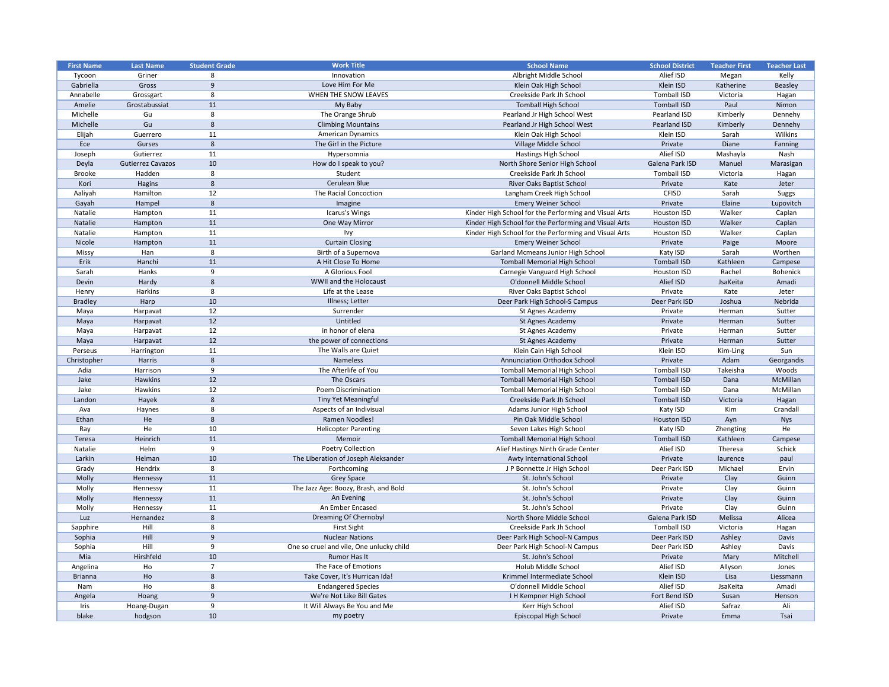| <b>First Name</b> | <b>Last Name</b>         | <b>Student Grade</b> | <b>Work Title</b>                        | <b>School Name</b>                                    | <b>School District</b> | <b>Teacher First</b> | <b>Teacher Last</b> |
|-------------------|--------------------------|----------------------|------------------------------------------|-------------------------------------------------------|------------------------|----------------------|---------------------|
| Tycoon            | Griner                   | 8                    | Innovation                               | Albright Middle School                                | Alief ISD              | Megan                | Kelly               |
| Gabriella         | Gross                    | 9                    | Love Him For Me                          | Klein Oak High School                                 | Klein ISD              | Katherine            | <b>Beasley</b>      |
| Annabelle         | Grossgart                | 8                    | WHEN THE SNOW LEAVES                     | Creekside Park Jh School                              | <b>Tomball ISD</b>     | Victoria             | Hagan               |
| Amelie            | Grostabussiat            | 11                   | My Baby                                  | <b>Tomball High School</b>                            | <b>Tomball ISD</b>     | Paul                 | Nimon               |
| Michelle          | Gu                       | 8                    | The Orange Shrub                         | Pearland Jr High School West                          | Pearland ISD           | Kimberly             | Dennehy             |
| Michelle          | Gu                       | 8                    | <b>Climbing Mountains</b>                | Pearland Jr High School West                          | Pearland ISD           | Kimberly             | Dennehy             |
| Elijah            | Guerrero                 | 11                   | <b>American Dynamics</b>                 | Klein Oak High School                                 | Klein ISD              | Sarah                | Wilkins             |
| Ece               | Gurses                   | 8                    | The Girl in the Picture                  | Village Middle School                                 | Private                | Diane                | Fanning             |
| Joseph            | Gutierrez                | 11                   | Hypersomnia                              | <b>Hastings High School</b>                           | Alief ISD              | Mashayla             | Nash                |
| Deyla             | <b>Gutierrez Cavazos</b> | 10                   | How do I speak to you?                   | North Shore Senior High School                        | Galena Park ISD        | Manuel               | Marasigan           |
| <b>Brooke</b>     | Hadden                   | 8                    | Student                                  | Creekside Park Jh School                              | <b>Tomball ISD</b>     | Victoria             | Hagan               |
| Kori              | Hagins                   | 8                    | Cerulean Blue                            | River Oaks Baptist School                             | Private                | Kate                 | Jeter               |
| Aaliyah           | Hamilton                 | 12                   | The Racial Concoction                    | Langham Creek High School                             | <b>CFISD</b>           | Sarah                | <b>Suggs</b>        |
| Gayah             | Hampel                   | 8                    | Imagine                                  | <b>Emery Weiner School</b>                            | Private                | Elaine               | Lupovitch           |
| Natalie           | Hampton                  | 11                   | Icarus's Wings                           | Kinder High School for the Performing and Visual Arts | Houston ISD            | Walker               | Caplan              |
| Natalie           | Hampton                  | 11                   | One Way Mirror                           | Kinder High School for the Performing and Visual Arts | <b>Houston ISD</b>     | Walker               | Caplan              |
| Natalie           | Hampton                  | 11                   | Ivy.                                     | Kinder High School for the Performing and Visual Arts | Houston ISD            | Walker               | Caplan              |
| Nicole            | Hampton                  | 11                   | <b>Curtain Closing</b>                   | <b>Emery Weiner School</b>                            | Private                | Paige                | Moore               |
| Missy             | Han                      | 8                    | Birth of a Supernova                     | <b>Garland Mcmeans Junior High School</b>             | Katy ISD               | Sarah                | Worthen             |
| Erik              | Hanchi                   | 11                   | A Hit Close To Home                      | <b>Tomball Memorial High School</b>                   | <b>Tomball ISD</b>     | Kathleen             | Campese             |
| Sarah             | Hanks                    | 9                    | A Glorious Fool                          | Carnegie Vanguard High School                         | <b>Houston ISD</b>     | Rachel               | Bohenick            |
| Devin             | Hardy                    | 8                    | WWII and the Holocaust                   | O'donnell Middle School                               | Alief ISD              | JsaKeita             | Amadi               |
| Henry             | Harkins                  | 8                    | Life at the Lease                        | River Oaks Baptist School                             | Private                | Kate                 | Jeter               |
| <b>Bradley</b>    | Harp                     | 10                   | Illness; Letter                          | Deer Park High School-S Campus                        | Deer Park ISD          | Joshua               | Nebrida             |
| Maya              | Harpavat                 | 12                   | Surrender                                | St Agnes Academy                                      | Private                | Herman               | Sutter              |
| Maya              | Harpavat                 | 12                   | Untitled                                 | St Agnes Academy                                      | Private                | Herman               | Sutter              |
| Maya              | Harpavat                 | 12                   | in honor of elena                        | St Agnes Academy                                      | Private                | Herman               | Sutter              |
| Maya              | Harpavat                 | 12                   | the power of connections                 | St Agnes Academy                                      | Private                | Herman               | Sutter              |
| Perseus           | Harrington               | 11                   | The Walls are Quiet                      | Klein Cain High School                                | Klein ISD              | Kim-Ling             | Sun                 |
| Christopher       | Harris                   | 8                    | Nameless                                 | <b>Annunciation Orthodox School</b>                   | Private                | Adam                 | Georgandis          |
| Adia              | Harrison                 |                      | The Afterlife of You                     | <b>Tomball Memorial High School</b>                   | <b>Tomball ISD</b>     | Takeisha             | Woods               |
| Jake              | Hawkins                  | 12                   | The Oscars                               | <b>Tomball Memorial High School</b>                   | Tomball ISD            | Dana                 | McMillan            |
| Jake              | Hawkins                  | 12                   | <b>Poem Discrimination</b>               | <b>Tomball Memorial High School</b>                   | Tomball ISD            | Dana                 | McMillan            |
| Landon            | Hayek                    | 8                    | <b>Tiny Yet Meaningful</b>               | Creekside Park Jh School                              | Tomball ISD            | Victoria             | Hagan               |
| Ava               | Haynes                   | 8                    | Aspects of an Indivisual                 | Adams Junior High School                              | Katy ISD               | Kim                  | Crandall            |
| Ethan             | He                       | 8                    | Ramen Noodles!                           | Pin Oak Middle School                                 | <b>Houston ISD</b>     | Ayn                  | <b>Nys</b>          |
| Ray               | He                       | 10                   | <b>Helicopter Parenting</b>              | Seven Lakes High School                               | Katy ISD               | Zhengting            | He                  |
| Teresa            | Heinrich                 | 11                   | Memoir                                   | <b>Tomball Memorial High School</b>                   | Tomball ISD            | Kathleen             | Campese             |
| Natalie           | Helm                     | 9                    | <b>Poetry Collection</b>                 | Alief Hastings Ninth Grade Center                     | Alief ISD              | Theresa              | Schick              |
| Larkin            | Helman                   | 10                   | The Liberation of Joseph Aleksander      | Awty International School                             | Private                | laurence             | paul                |
| Grady             | Hendrix                  | 8                    | Forthcoming                              | J P Bonnette Jr High School                           | Deer Park ISD          | Michael              | Ervin               |
| Molly             | Hennessy                 | 11                   | <b>Grey Space</b>                        | St. John's School                                     | Private                | Clay                 | Guinn               |
| Molly             | Hennessy                 | 11                   | The Jazz Age: Boozy, Brash, and Bold     | St. John's School                                     | Private                | Clay                 | Guinn               |
| Molly             | Hennessy                 | 11                   | An Evening                               | St. John's School                                     | Private                | Clay                 | Guinn               |
| Molly             | Hennessy                 | 11                   | An Ember Encased                         | St. John's School                                     | Private                | Clay                 | Guinn               |
| Luz               | Hernandez                | 8                    | Dreaming Of Chernobyl                    | North Shore Middle School                             | Galena Park ISD        | Melissa              | Alicea              |
| Sapphire          | Hill                     | 8                    | <b>First Sight</b>                       | Creekside Park Jh School                              | Tomball ISD            | Victoria             | Hagan               |
| Sophia            | Hill                     | 9                    | <b>Nuclear Nations</b>                   | Deer Park High School-N Campus                        | Deer Park ISD          | Ashley               | Davis               |
| Sophia            | Hill                     | q                    | One so cruel and vile, One unlucky child | Deer Park High School-N Campus                        | Deer Park ISD          | Ashley               | Davis               |
| Mia               | Hirshfeld                | 10                   | Rumor Has It                             | St. John's School                                     | Private                | Mary                 | Mitchell            |
| Angelina          | Ho                       |                      | The Face of Emotions                     | Holub Middle School                                   | Alief ISD              | Allyson              | Jones               |
| <b>Brianna</b>    | Ho                       | 8                    | Take Cover, It's Hurrican Ida!           | Krimmel Intermediate School                           | Klein ISD              | Lisa                 | Liessmann           |
| Nam               | Ho                       | 8                    | <b>Endangered Species</b>                | O'donnell Middle School                               | Alief ISD              | JsaKeita             | Amadi               |
| Angela            | Hoang                    | 9                    | We're Not Like Bill Gates                | I H Kempner High School                               | Fort Bend ISD          | Susan                | Henson              |
| Iris              | Hoang-Dugan              | 9                    | It Will Always Be You and Me             | Kerr High School                                      | Alief ISD              | Safraz               | Ali                 |
| blake             | hodgson                  | 10                   | my poetry                                | Episcopal High School                                 | Private                | Emma                 | Tsai                |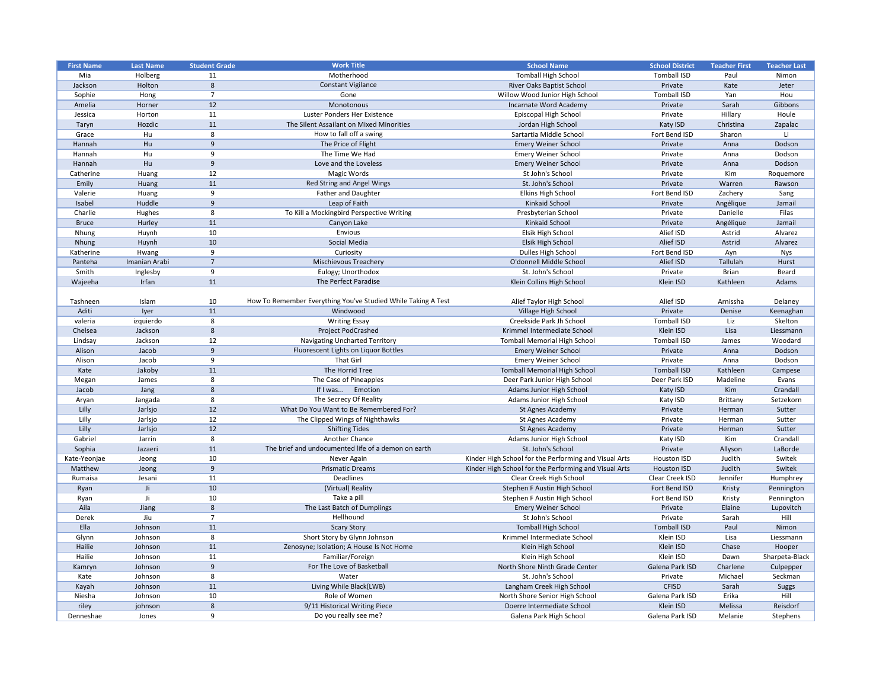| <b>First Name</b> | <b>Last Name</b> | <b>Student Grade</b> | <b>Work Title</b>                                             | <b>School Name</b>                                    | <b>School District</b> | <b>Teacher First</b> | <b>Teacher Last</b> |
|-------------------|------------------|----------------------|---------------------------------------------------------------|-------------------------------------------------------|------------------------|----------------------|---------------------|
| Mia               | Holberg          | 11                   | Motherhood                                                    | <b>Tomball High School</b>                            | <b>Tomball ISD</b>     | Paul                 | Nimon               |
| Jackson           | Holton           | 8                    | <b>Constant Vigilance</b>                                     | River Oaks Baptist School                             | Private                | Kate                 | Jeter               |
| Sophie            | Hong             | $\overline{7}$       | Gone                                                          | Willow Wood Junior High School                        | <b>Tomball ISD</b>     | Yan                  | Hou                 |
| Amelia            | Horner           | 12                   | Monotonous                                                    | Incarnate Word Academy                                | Private                | Sarah                | Gibbons             |
| Jessica           | Horton           | 11                   | Luster Ponders Her Existence                                  | Episcopal High School                                 | Private                | Hillary              | Houle               |
| Taryn             | Hozdic           | 11                   | The Silent Assailant on Mixed Minorities                      | Jordan High School                                    | Katy ISD               | Christina            | Zapalac             |
| Grace             | Hu               | 8                    | How to fall off a swing                                       | Sartartia Middle School                               | Fort Bend ISD          | Sharon               | Li                  |
| Hannah            | Hu               | 9                    | The Price of Flight                                           | <b>Emery Weiner School</b>                            | Private                | Anna                 | Dodson              |
| Hannah            | Hu               | 9                    | The Time We Had                                               | <b>Emery Weiner School</b>                            | Private                | Anna                 | Dodson              |
| Hannah            | Hu               | 9                    | Love and the Loveless                                         | <b>Emery Weiner School</b>                            | Private                | Anna                 | Dodson              |
| Catherine         | Huang            | 12                   | Magic Words                                                   | St John's School                                      | Private                | Kim                  | Roquemore           |
| Emily             | Huang            | 11                   | Red String and Angel Wings                                    | St. John's School                                     | Private                | Warren               | Rawson              |
| Valerie           | Huang            | 9                    | <b>Father and Daughter</b>                                    | Elkins High School                                    | Fort Bend ISD          | Zachery              | Sang                |
| Isabel            | Huddle           | 9                    | Leap of Faith                                                 | Kinkaid School                                        | Private                | Angélique            | Jamail              |
| Charlie           | Hughes           | 8                    | To Kill a Mockingbird Perspective Writing                     | Presbyterian School                                   | Private                | Danielle             | Filas               |
| <b>Bruce</b>      | Hurley           | 11                   | Canyon Lake                                                   | Kinkaid School                                        | Private                | Angélique            | Jamail              |
| Nhung             | Huynh            | 10                   | Envious                                                       | Elsik High School                                     | Alief ISD              | Astrid               | Alvarez             |
| Nhung             | Huynh            | 10                   | Social Media                                                  | Elsik High School                                     | Alief ISD              | Astrid               | Alvarez             |
| Katherine         | Hwang            | 9                    | Curiosity                                                     | Dulles High School                                    | Fort Bend ISD          | Ayn                  | Nys                 |
| Panteha           | Imanian Arabi    | $\overline{7}$       | <b>Mischievous Treachery</b>                                  | O'donnell Middle School                               | Alief ISD              | Tallulah             | Hurst               |
| Smith             | Inglesby         | 9                    | Eulogy; Unorthodox                                            | St. John's School                                     | Private                | <b>Brian</b>         | Beard               |
| Wajeeha           | Irfan            | 11                   | The Perfect Paradise                                          | Klein Collins High School                             | Klein ISD              | Kathleen             | Adams               |
|                   |                  |                      |                                                               |                                                       |                        |                      |                     |
| Tashneen          | Islam            | 10                   | How To Remember Everything You've Studied While Taking A Test | Alief Taylor High School                              | Alief ISD              | Arnissha             | Delaney             |
| Aditi             | lyer             | 11                   | Windwood                                                      | Village High School                                   | Private                | Denise               | Keenaghan           |
| valeria           | izquierdo        | 8                    | <b>Writing Essay</b>                                          | Creekside Park Jh School                              | <b>Tomball ISD</b>     | Liz                  | Skelton             |
| Chelsea           | Jackson          | 8                    | <b>Project PodCrashed</b>                                     | Krimmel Intermediate School                           | Klein ISD              | Lisa                 | Liessmann           |
| Lindsay           | Jackson          | 12                   | <b>Navigating Uncharted Territory</b>                         | <b>Tomball Memorial High School</b>                   | <b>Tomball ISD</b>     | James                | Woodard             |
| Alison            | Jacob            | 9                    | Fluorescent Lights on Liquor Bottles                          | <b>Emery Weiner School</b>                            | Private                | Anna                 | Dodson              |
| Alison            | Jacob            | 9                    | That Girl                                                     | <b>Emery Weiner School</b>                            | Private                | Anna                 | Dodson              |
| Kate              | Jakoby           | 11                   | The Horrid Tree                                               | <b>Tomball Memorial High School</b>                   | <b>Tomball ISD</b>     | Kathleen             | Campese             |
| Megan             | James            | 8                    | The Case of Pineapples                                        | Deer Park Junior High School                          | Deer Park ISD          | Madeline             | Evans               |
| Jacob             | Jang             | 8                    | If I was Emotion                                              | Adams Junior High School                              | Katy ISD               | Kim                  | Crandall            |
| Aryan             | Jangada          | 8                    | The Secrecy Of Reality                                        | Adams Junior High School                              | Katy ISD               | Brittany             | Setzekorn           |
| Lilly             | Jarlsjo          | 12                   | What Do You Want to Be Remembered For?                        | St Agnes Academy                                      | Private                | Herman               | Sutter              |
| Lilly             | Jarlsjo          | 12                   | The Clipped Wings of Nighthawks                               | St Agnes Academy                                      | Private                | Herman               | Sutter              |
| Lilly             | Jarlsjo          | 12                   | <b>Shifting Tides</b>                                         | St Agnes Academy                                      | Private                | Herman               | Sutter              |
| Gabriel           | Jarrin           | 8                    | Another Chance                                                | Adams Junior High School                              | Katy ISD               | Kim                  | Crandall            |
| Sophia            | Jazaeri          | 11                   | The brief and undocumented life of a demon on earth           | St. John's School                                     | Private                | Allyson              | LaBorde             |
| Kate-Yeonjae      | Jeong            | 10                   | Never Again                                                   | Kinder High School for the Performing and Visual Arts | <b>Houston ISD</b>     | Judith               | Switek              |
| Matthew           | Jeong            | 9                    | <b>Prismatic Dreams</b>                                       | Kinder High School for the Performing and Visual Arts | <b>Houston ISD</b>     | Judith               | Switek              |
| Rumaisa           | Jesani           | 11                   | Deadlines                                                     | Clear Creek High School                               | Clear Creek ISD        | Jennifer             | Humphrey            |
| Ryan              | Ji               | 10                   | (Virtual) Reality                                             | Stephen F Austin High School                          | Fort Bend ISD          | Kristy               | Pennington          |
| Ryan              |                  | 10                   | Take a pill                                                   | Stephen F Austin High School                          | Fort Bend ISD          | Kristy               | Pennington          |
| Aila              | Jiang            | 8                    | The Last Batch of Dumplings                                   | <b>Emery Weiner School</b>                            | Private                | Elaine               | Lupovitch           |
| Derek             | Jiu              | 7                    | Hellhound                                                     | St John's School                                      | Private                | Sarah                | Hill                |
| Ella              | Johnson          | 11                   | <b>Scary Story</b>                                            | <b>Tomball High School</b>                            | <b>Tomball ISD</b>     | Paul                 | Nimon               |
| Glynn             | Johnson          | 8                    | Short Story by Glynn Johnson                                  | Krimmel Intermediate School                           | Klein ISD              | Lisa                 | Liessmann           |
| Hailie            | Johnson          | 11                   | Zenosyne; Isolation; A House Is Not Home                      | Klein High School                                     | Klein ISD              | Chase                | Hooper              |
| Hailie            | Johnson          | 11                   | Familiar/Foreign                                              | Klein High School                                     | Klein ISD              | Dawn                 | Sharpeta-Black      |
| Kamryn            | Johnson          | 9                    | For The Love of Basketball                                    | North Shore Ninth Grade Center                        | Galena Park ISD        | Charlene             | Culpepper           |
| Kate              | Johnson          | 8                    | Water                                                         | St. John's School                                     | Private                | Michael              | Seckman             |
| Kayah             | Johnson          | 11                   | Living While Black(LWB)                                       | Langham Creek High School                             | <b>CFISD</b>           | Sarah                | <b>Suggs</b>        |
| Niesha            | Johnson          | 10                   | Role of Women                                                 | North Shore Senior High School                        | Galena Park ISD        | Erika                | Hill                |
| riley             | johnson          | 8                    | 9/11 Historical Writing Piece                                 | Doerre Intermediate School                            | Klein ISD              | Melissa              | Reisdorf            |
| Denneshae         | Jones            | 9                    | Do you really see me?                                         | Galena Park High School                               | Galena Park ISD        | Melanie              | Stephens            |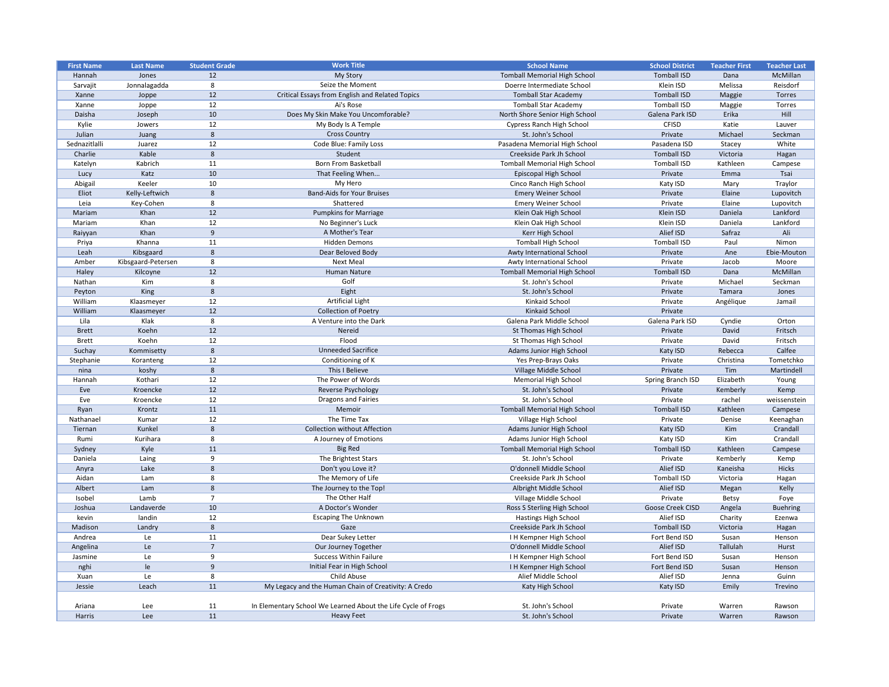| <b>First Name</b> | <b>Last Name</b>   | <b>Student Grade</b> | <b>Work Title</b>                                             | <b>School Name</b>                  | <b>School District</b> | <b>Teacher First</b> | <b>Teacher Last</b> |
|-------------------|--------------------|----------------------|---------------------------------------------------------------|-------------------------------------|------------------------|----------------------|---------------------|
| Hannah            | Jones              | 12                   | My Story                                                      | <b>Tomball Memorial High School</b> | <b>Tomball ISD</b>     | Dana                 | McMillan            |
| Sarvajit          | Jonnalagadda       | 8                    | Seize the Moment                                              | Doerre Intermediate School          | Klein ISD              | Melissa              | Reisdorf            |
| Xanne             | Joppe              | 12                   | Critical Essays from English and Related Topics               | <b>Tomball Star Academy</b>         | <b>Tomball ISD</b>     | Maggie               | Torres              |
| Xanne             | Joppe              | 12                   | Ai's Rose                                                     | <b>Tomball Star Academy</b>         | <b>Tomball ISD</b>     | Maggie               | Torres              |
| Daisha            | Joseph             | 10                   | Does My Skin Make You Uncomforable?                           | North Shore Senior High School      | Galena Park ISD        | Erika                | Hill                |
| Kylie             | Jowers             | 12                   | My Body Is A Temple                                           | <b>Cypress Ranch High School</b>    | <b>CFISD</b>           | Katie                | Lauver              |
| Julian            | Juang              | 8                    | <b>Cross Country</b>                                          | St. John's School                   | Private                | Michael              | Seckman             |
| Sednazitlalli     | Juarez             | 12                   | Code Blue: Family Loss                                        | Pasadena Memorial High School       | Pasadena ISD           | Stacey               | White               |
| Charlie           | Kable              | 8                    | Student                                                       | Creekside Park Jh School            | <b>Tomball ISD</b>     | Victoria             | Hagan               |
| Katelyn           | Kabrich            | 11                   | <b>Born From Basketball</b>                                   | <b>Tomball Memorial High School</b> | <b>Tomball ISD</b>     | Kathleen             | Campese             |
| Lucy              | Katz               | 10                   | That Feeling When                                             | Episcopal High School               | Private                | Emma                 | Tsai                |
| Abigail           | Keeler             | 10                   | My Hero                                                       | Cinco Ranch High School             | Katy ISD               | Mary                 | Traylor             |
| Eliot             | Kelly-Leftwich     | 8                    | <b>Band-Aids for Your Bruises</b>                             | <b>Emery Weiner School</b>          | Private                | Elaine               | Lupovitch           |
|                   |                    | 8                    | Shattered                                                     |                                     |                        |                      |                     |
| Leia              | Key-Cohen          |                      |                                                               | <b>Emery Weiner School</b>          | Private                | Elaine               | Lupovitch           |
| Mariam            | Khan               | 12                   | <b>Pumpkins for Marriage</b>                                  | Klein Oak High School               | Klein ISD              | Daniela              | Lankford            |
| Mariam            | Khan               | 12                   | No Beginner's Luck                                            | Klein Oak High School               | Klein ISD              | Daniela              | Lankford            |
| Raiyyan           | Khan               | 9                    | A Mother's Tear                                               | Kerr High School                    | Alief ISD              | Safraz               | Ali                 |
| Priya             | Khanna             | 11                   | <b>Hidden Demons</b>                                          | <b>Tomball High School</b>          | <b>Tomball ISD</b>     | Paul                 | Nimon               |
| Leah              | Kibsgaard          | 8                    | Dear Beloved Body                                             | Awty International School           | Private                | Ane                  | Ebie-Mouton         |
| Amber             | Kibsgaard-Petersen | 8                    | <b>Next Meal</b>                                              | Awty International School           | Private                | Jacob                | Moore               |
| Haley             | Kilcoyne           | 12                   | <b>Human Nature</b>                                           | <b>Tomball Memorial High School</b> | <b>Tomball ISD</b>     | Dana                 | McMillan            |
| Nathan            | Kim                | 8                    | Golf                                                          | St. John's School                   | Private                | Michael              | Seckman             |
| Peyton            | King               | 8                    | Eight                                                         | St. John's School                   | Private                | Tamara               | Jones               |
| William           | Klaasmeyer         | 12                   | <b>Artificial Light</b>                                       | Kinkaid School                      | Private                | Angélique            | Jamail              |
| William           | Klaasmeyer         | 12                   | <b>Collection of Poetry</b>                                   | Kinkaid School                      | Private                |                      |                     |
| Lila              | Klak               | 8                    | A Venture into the Dark                                       | Galena Park Middle School           | Galena Park ISD        | Cyndie               | Orton               |
| <b>Brett</b>      | Koehn              | 12                   | Nereid                                                        | <b>St Thomas High School</b>        | Private                | David                | Fritsch             |
| <b>Brett</b>      | Koehn              | 12                   | Flood                                                         | St Thomas High School               | Private                | David                | Fritsch             |
| Suchay            | Kommisetty         | 8                    | <b>Unneeded Sacrifice</b>                                     | Adams Junior High School            | Katy ISD               | Rebecca              | Calfee              |
| Stephanie         | Koranteng          | 12                   | Conditioning of K                                             | Yes Prep-Brays Oaks                 | Private                | Christina            | Tometchko           |
| nina              | koshy              | 8                    | This I Believe                                                | Village Middle School               | Private                | Tim                  | Martindell          |
| Hannah            | Kothari            | 12                   | The Power of Words                                            | <b>Memorial High School</b>         | Spring Branch ISD      | Elizabeth            | Young               |
| Eve               | Kroencke           | 12                   | <b>Reverse Psychology</b>                                     | St. John's School                   | Private                | Kemberly             | Kemp                |
|                   |                    |                      | <b>Dragons and Fairies</b>                                    |                                     |                        |                      |                     |
| Eve               | Kroencke           | 12                   |                                                               | St. John's School                   | Private                | rachel               | weissenstein        |
| Ryan              | Krontz             | 11                   | Memoir                                                        | <b>Tomball Memorial High School</b> | <b>Tomball ISD</b>     | Kathleen             | Campese             |
| Nathanael         | Kumar              | 12                   | The Time Tax                                                  | Village High School                 | Private                | Denise               | Keenaghan           |
| Tiernan           | Kunkel             | 8                    | <b>Collection without Affection</b>                           | Adams Junior High School            | Katy ISD               | Kim                  | Crandall            |
| Rumi              | Kurihara           | 8                    | A Journey of Emotions                                         | Adams Junior High School            | Katy ISD               | Kim                  | Crandall            |
| Sydney            | Kyle               | 11                   | <b>Big Red</b>                                                | <b>Tomball Memorial High School</b> | <b>Tomball ISD</b>     | Kathleen             | Campese             |
| Daniela           | Laing              | 9                    | The Brightest Stars                                           | St. John's School                   | Private                | Kemberly             | Kemp                |
| Anyra             | Lake               | 8                    | Don't you Love it?                                            | O'donnell Middle School             | Alief ISD              | Kaneisha             | <b>Hicks</b>        |
| Aidan             | Lam                | 8                    | The Memory of Life                                            | Creekside Park Jh School            | <b>Tomball ISD</b>     | Victoria             | Hagan               |
| Albert            | Lam                | 8                    | The Journey to the Top!                                       | Albright Middle School              | Alief ISD              | Megan                | Kelly               |
| Isobel            | Lamb               | $\overline{7}$       | The Other Half                                                | Village Middle School               | Private                | <b>Betsy</b>         | Foye                |
| Joshua            | Landaverde         | 10                   | A Doctor's Wonder                                             | Ross S Sterling High School         | Goose Creek CISD       | Angela               | <b>Buehring</b>     |
| kevin             | landin             | 12                   | <b>Escaping The Unknown</b>                                   | Hastings High School                | Alief ISD              | Charity              | Ezenwa              |
| Madison           | Landry             | 8                    | Gaze                                                          | Creekside Park Jh School            | <b>Tomball ISD</b>     | Victoria             | Hagan               |
| Andrea            | Le i               | 11                   | Dear Sukey Letter                                             | I H Kempner High School             | Fort Bend ISD          | Susan                | Henson              |
| Angelina          | Le                 | $\overline{7}$       | Our Journey Together                                          | O'donnell Middle School             | Alief ISD              | Tallulah             | Hurst               |
| Jasmine           | Le                 | 9                    | <b>Success Within Failure</b>                                 | I H Kempner High School             | Fort Bend ISD          | Susan                | Henson              |
| nghi              | le                 | 9                    | Initial Fear in High School                                   | I H Kempner High School             | Fort Bend ISD          | Susan                | Henson              |
|                   |                    | 8                    | Child Abuse                                                   | Alief Middle School                 |                        |                      |                     |
| Xuan              | Le                 |                      |                                                               |                                     | Alief ISD              | Jenna                | Guinn               |
| Jessie            | Leach              | 11                   | My Legacy and the Human Chain of Creativity: A Credo          | Katy High School                    | Katy ISD               | Emily                | Trevino             |
|                   |                    |                      |                                                               |                                     |                        |                      |                     |
| Ariana            | Lee                | 11                   | In Elementary School We Learned About the Life Cycle of Frogs | St. John's School                   | Private                | Warren               | Rawson              |
| Harris            | Lee                | 11                   | <b>Heavy Feet</b>                                             | St. John's School                   | Private                | Warren               | Rawson              |

| <b>School District</b>  | <b>Teacher First</b> | <b>Teacher Last</b> |
|-------------------------|----------------------|---------------------|
| <b>Tomball ISD</b>      | Dana                 | McMillan            |
| Klein ISD               | Melissa              | Reisdorf            |
| <b>Tomball ISD</b>      | Maggie               | <b>Torres</b>       |
| <b>Tomball ISD</b>      | Maggie               | <b>Torres</b>       |
| Galena Park ISD         | Erika                | Hill                |
| <b>CFISD</b>            | Katie                | Lauver              |
| Private                 | Michael              | Seckman             |
| Pasadena ISD            | Stacey               | White               |
| <b>Tomball ISD</b>      | Victoria             | Hagan               |
| <b>Tomball ISD</b>      | Kathleen             | Campese             |
| Private                 | Emma                 | Tsai                |
| Katy ISD                | Mary                 | Traylor             |
| Private                 | Elaine               | Lupovitch           |
| Private                 | Elaine               | Lupovitch           |
| Klein ISD               | Daniela              | Lankford            |
| Klein ISD               | Daniela              | Lankford            |
| Alief ISD               | Safraz               | Ali                 |
| <b>Tomball ISD</b>      | Paul                 | Nimon               |
| Private                 | Ane                  | Ebie-Mouton         |
| Private                 | Jacob                | Moore               |
| <b>Tomball ISD</b>      | Dana                 | McMillan            |
| Private                 | Michael              | Seckman             |
| Private                 | Tamara               | Jones               |
| Private                 | Angélique            | Jamail              |
| Private                 |                      |                     |
| Galena Park ISD         | Cyndie               | Orton               |
| Private                 | David                | Fritsch             |
| Private                 | David                | Fritsch             |
| Katy ISD                | Rebecca              | Calfee              |
| Private                 | Christina            | Tometchko           |
| Private                 | Tim                  | Martindell          |
| Spring Branch ISD       | Elizabeth            | Young               |
| Private                 | Kemberly             | Kemp                |
| Private                 | rachel               | weissenstein        |
| <b>Tomball ISD</b>      | Kathleen             | Campese             |
| Private                 | Denise               | Keenaghan           |
| Katy ISD                | Kim                  | Crandall            |
| Katy ISD                | Kim                  | Crandall            |
| <b>Tomball ISD</b>      | Kathleen             | Campese             |
| Private                 | Kemberly             | Kemp                |
| Alief ISD               | Kaneisha             | <b>Hicks</b>        |
| <b>Tomball ISD</b>      | Victoria             | Hagan               |
| Alief ISD               | Megan                | Kelly               |
| Private                 | <b>Betsy</b>         | Foye                |
| <b>Goose Creek CISD</b> | Angela               | <b>Buehring</b>     |
| Alief ISD               | Charity              | Ezenwa              |
| <b>Tomball ISD</b>      | Victoria             | Hagan               |
| Fort Bend ISD           | Susan                | Henson              |
| Alief ISD               | <b>Tallulah</b>      | Hurst               |
| Fort Bend ISD           | Susan                | Henson              |
| Fort Bend ISD           | Susan                | Henson              |
| Alief ISD               | Jenna                | Guinn               |
| Katy ISD                | Emily                | Trevino             |
|                         |                      |                     |
| Private                 | Warren               | Rawson              |
| Private                 | Warren               | Rawson              |
|                         |                      |                     |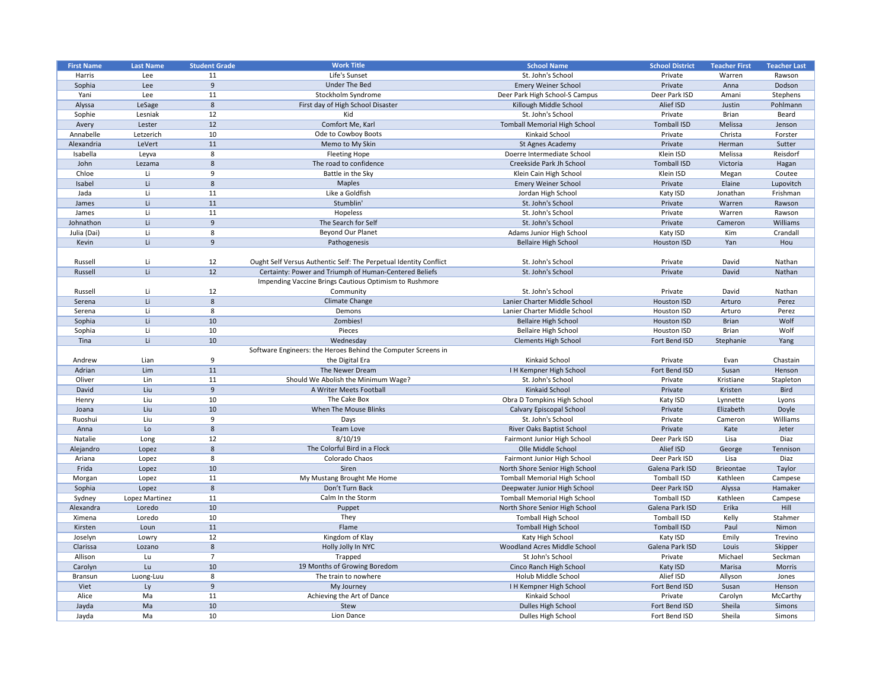| <b>First Name</b> | <b>Last Name</b> | <b>Student Grade</b> | <b>Work Title</b>                                                 | <b>School Name</b>                  | <b>School District</b> | <b>Teacher First</b> | <b>Teacher Last</b> |
|-------------------|------------------|----------------------|-------------------------------------------------------------------|-------------------------------------|------------------------|----------------------|---------------------|
| Harris            | Lee              | 11                   | Life's Sunset                                                     | St. John's School                   | Private                | Warren               | Rawson              |
| Sophia            | Lee              | 9                    | Under The Bed                                                     | <b>Emery Weiner School</b>          | Private                | Anna                 | Dodson              |
| Yani              | Lee              | 11                   | Stockholm Syndrome                                                | Deer Park High School-S Campus      | Deer Park ISD          | Amani                | Stephens            |
| Alyssa            | LeSage           | 8                    | First day of High School Disaster                                 | Killough Middle School              | Alief ISD              | Justin               | Pohlmann            |
| Sophie            | Lesniak          | 12                   | Kid                                                               | St. John's School                   | Private                | <b>Brian</b>         | Beard               |
| Avery             | Lester           | 12                   | Comfort Me, Karl                                                  | <b>Tomball Memorial High School</b> | <b>Tomball ISD</b>     | Melissa              | Jenson              |
| Annabelle         | Letzerich        | 10                   | Ode to Cowboy Boots                                               | Kinkaid School                      | Private                | Christa              | Forster             |
| Alexandria        | LeVert           | 11                   | Memo to My Skin                                                   | St Agnes Academy                    | Private                | Herman               | Sutter              |
| Isabella          | Leyva            | 8                    | <b>Fleeting Hope</b>                                              | Doerre Intermediate School          | Klein ISD              | Melissa              | Reisdorf            |
| John              | Lezama           | 8                    | The road to confidence                                            | Creekside Park Jh School            | <b>Tomball ISD</b>     | Victoria             | Hagan               |
| Chloe             | Li               | 9                    | Battle in the Sky                                                 | Klein Cain High School              | Klein ISD              | Megan                | Coutee              |
| Isabel            | Li               | 8                    | <b>Maples</b>                                                     | <b>Emery Weiner School</b>          | Private                | Elaine               | Lupovitch           |
| Jada              | Li               | 11                   | Like a Goldfish                                                   | Jordan High School                  | Katy ISD               | Jonathan             | Frishman            |
| James             | Li.              | 11                   | Stumblin'                                                         | St. John's School                   | Private                | Warren               | Rawson              |
| James             | Li               | 11                   | Hopeless                                                          | St. John's School                   | Private                | Warren               | Rawson              |
| Johnathon         | Li.              | 9                    | The Search for Self                                               | St. John's School                   | Private                | Cameron              | Williams            |
|                   |                  |                      |                                                                   |                                     |                        |                      |                     |
| Julia (Dai)       | Li               | 8                    | <b>Beyond Our Planet</b>                                          | Adams Junior High School            | Katy ISD               | Kim                  | Crandall            |
| Kevin             | Li.              | 9                    | Pathogenesis                                                      | <b>Bellaire High School</b>         | <b>Houston ISD</b>     | Yan                  | Hou                 |
|                   |                  |                      |                                                                   |                                     |                        |                      |                     |
| Russell           | Li               | 12                   | Ought Self Versus Authentic Self: The Perpetual Identity Conflict | St. John's School                   | Private                | David                | Nathan              |
| Russell           | Li.              | 12                   | Certainty: Power and Triumph of Human-Centered Beliefs            | St. John's School                   | Private                | David                | Nathan              |
|                   |                  |                      | Impending Vaccine Brings Cautious Optimism to Rushmore            |                                     |                        |                      |                     |
| Russell           | Li               | 12                   | Community                                                         | St. John's School                   | Private                | David                | Nathan              |
| Serena            | Li.              | 8                    | Climate Change                                                    | Lanier Charter Middle School        | <b>Houston ISD</b>     | Arturo               | Perez               |
| Serena            | Li               | 8                    | Demons                                                            | Lanier Charter Middle School        | Houston ISD            | Arturo               | Perez               |
| Sophia            | Li.              | 10                   | Zombies!                                                          | <b>Bellaire High School</b>         | <b>Houston ISD</b>     | <b>Brian</b>         | Wolf                |
| Sophia            | Li               | 10                   | Pieces                                                            | <b>Bellaire High School</b>         | Houston ISD            | <b>Brian</b>         | Wolf                |
| Tina              | Li.              | 10                   | Wednesday                                                         | <b>Clements High School</b>         | Fort Bend ISD          | Stephanie            | Yang                |
|                   |                  |                      | Software Engineers: the Heroes Behind the Computer Screens in     |                                     |                        |                      |                     |
| Andrew            | Lian             | -9                   | the Digital Era                                                   | Kinkaid School                      | Private                | Evan                 | Chastain            |
| Adrian            | Lim              | 11                   | The Newer Dream                                                   | I H Kempner High School             | Fort Bend ISD          | Susan                | Henson              |
| Oliver            | Lin              | 11                   | Should We Abolish the Minimum Wage?                               | St. John's School                   | Private                | Kristiane            | Stapleton           |
| David             | Liu              | 9                    | A Writer Meets Football                                           | <b>Kinkaid School</b>               | Private                | Kristen              | <b>Bird</b>         |
| Henry             | Liu              | 10                   | The Cake Box                                                      | Obra D Tompkins High School         | Katy ISD               | Lynnette             | Lyons               |
| Joana             | Liu              | 10                   | When The Mouse Blinks                                             | <b>Calvary Episcopal School</b>     | Private                | Elizabeth            | Doyle               |
| Ruoshui           | Liu              | q                    | Days                                                              | St. John's School                   | Private                | Cameron              | Williams            |
| Anna              | Lo               | 8                    | <b>Team Love</b>                                                  | River Oaks Baptist School           | Private                | Kate                 | Jeter               |
| Natalie           | Long             | 12                   | 8/10/19                                                           | Fairmont Junior High School         | Deer Park ISD          | Lisa                 | Diaz                |
| Alejandro         |                  | 8                    | The Colorful Bird in a Flock                                      | Olle Middle School                  | Alief ISD              |                      |                     |
|                   | Lopez            |                      |                                                                   |                                     |                        | George               | Tennison            |
| Ariana            | Lopez            | 8                    | Colorado Chaos                                                    | Fairmont Junior High School         | Deer Park ISD          | Lisa                 | Diaz                |
| Frida             | Lopez            | 10                   | Siren                                                             | North Shore Senior High School      | Galena Park ISD        | Brieontae            | Taylor              |
| Morgan            | Lopez            | 11                   | My Mustang Brought Me Home                                        | <b>Tomball Memorial High School</b> | <b>Tomball ISD</b>     | Kathleen             | Campese             |
| Sophia            | Lopez            | 8                    | Don't Turn Back                                                   | Deepwater Junior High School        | Deer Park ISD          | Alyssa               | Hamaker             |
| Sydney            | Lopez Martinez   | 11                   | Calm In the Storm                                                 | <b>Tomball Memorial High School</b> | <b>Tomball ISD</b>     | Kathleen             | Campese             |
| Alexandra         | Loredo           | 10                   | Puppet                                                            | North Shore Senior High School      | Galena Park ISD        | Erika                | Hill                |
| Ximena            | Loredo           | 10                   | They                                                              | <b>Tomball High School</b>          | <b>Tomball ISD</b>     | Kelly                | Stahmer             |
| Kirsten           | Loun             | 11                   | Flame                                                             | <b>Tomball High School</b>          | <b>Tomball ISD</b>     | Paul                 | Nimon               |
| Joselyn           | Lowry            | 12                   | Kingdom of Klay                                                   | Katy High School                    | Katy ISD               | Emily                | Trevino             |
| Clarissa          | Lozano           | 8                    | Holly Jolly In NYC                                                | Woodland Acres Middle School        | Galena Park ISD        | Louis                | Skipper             |
| Allison           | Lu               |                      | Trapped                                                           | St John's School                    | Private                | Michael              | Seckman             |
| Carolyn           | Lu               | 10                   | 19 Months of Growing Boredom                                      | Cinco Ranch High School             | Katy ISD               | Marisa               | <b>Morris</b>       |
| <b>Bransun</b>    | Luong-Luu        | 8                    | The train to nowhere                                              | Holub Middle School                 | Alief ISD              | Allyson              | Jones               |
| Viet              | Ly               | -9                   | My Journey                                                        | I H Kempner High School             | Fort Bend ISD          | Susan                | Henson              |
| Alice             | Ma               | 11                   | Achieving the Art of Dance                                        | Kinkaid School                      | Private                | Carolyn              | McCarthy            |
| Jayda             | Ma               | 10                   | Stew                                                              | Dulles High School                  | Fort Bend ISD          | Sheila               | Simons              |
| Jayda             | Ma               | 10                   | Lion Dance                                                        | Dulles High School                  | Fort Bend ISD          | Sheila               | Simons              |
|                   |                  |                      |                                                                   |                                     |                        |                      |                     |

| <b>School District</b> | <b>Teacher First</b> | <b>Teacher Last</b> |
|------------------------|----------------------|---------------------|
| Private                | Warren               | Rawson              |
| Private                | Anna                 | Dodson              |
| Deer Park ISD          | Amani                | Stephens            |
| Alief ISD              | Justin               | Pohlmann            |
| Private                | <b>Brian</b>         | Beard               |
| <b>Tomball ISD</b>     | Melissa              | Jenson              |
| Private                | Christa              | Forster             |
| Private                | Herman               | Sutter              |
| Klein ISD              | Melissa              | Reisdorf            |
| <b>Tomball ISD</b>     | Victoria             | Hagan               |
| Klein ISD              | Megan                | Coutee              |
| Private                | Elaine               | Lupovitch           |
| Katy ISD               | Jonathan             | Frishman            |
| Private                | Warren               | Rawson              |
| Private                | Warren               | Rawson              |
| Private                | Cameron              | Williams            |
| Katy ISD               | Kim                  | Crandall            |
| <b>Houston ISD</b>     | Yan                  | Hou                 |
|                        |                      |                     |
| Private                | David                | Nathan              |
| Private                | David                | Nathan              |
|                        |                      |                     |
| Private                | David                | Nathan              |
| <b>Houston ISD</b>     | Arturo               | Perez               |
| <b>Houston ISD</b>     | Arturo               | Perez               |
| <b>Houston ISD</b>     | <b>Brian</b>         | Wolf                |
| <b>Houston ISD</b>     | <b>Brian</b>         | Wolf                |
| Fort Bend ISD          | Stephanie            | Yang                |
|                        |                      |                     |
| Private                | Evan                 | Chastain            |
| Fort Bend ISD          | Susan                | Henson              |
| Private                | Kristiane            | Stapleton           |
| Private                | Kristen              | <b>Bird</b>         |
| Katy ISD               | Lynnette             | Lyons               |
| Private                | Elizabeth            | Doyle               |
| Private                | Cameron              | Williams            |
| Private                | Kate                 | Jeter               |
| Deer Park ISD          | Lisa                 | Diaz                |
| Alief ISD              | George               | Tennison            |
| Deer Park ISD          | Lisa                 | Diaz                |
| Galena Park ISD        | <b>Brieontae</b>     | Taylor              |
| <b>Tomball ISD</b>     | Kathleen             | Campese             |
| Deer Park ISD          | Alyssa               | Hamaker             |
| <b>Tomball ISD</b>     | Kathleen             | Campese             |
| Galena Park ISD        | Erika                | Hill                |
| <b>Tomball ISD</b>     | Kelly                | Stahmer             |
| <b>Tomball ISD</b>     | Paul                 | Nimon               |
| Katy ISD               | Emily                | Trevino             |
| Galena Park ISD        | Louis                | Skipper             |
| Private                | Michael              | Seckman             |
| Katy ISD               | Marisa               | <b>Morris</b>       |
| Alief ISD              | Allyson              | Jones               |
| Fort Bend ISD          | Susan                | Henson              |
| Private                | Carolyn              | McCarthy            |
| Fort Bend ISD          | Sheila               | Simons              |
| Fort Bend ISD          | Sheila               | Simons              |
|                        |                      |                     |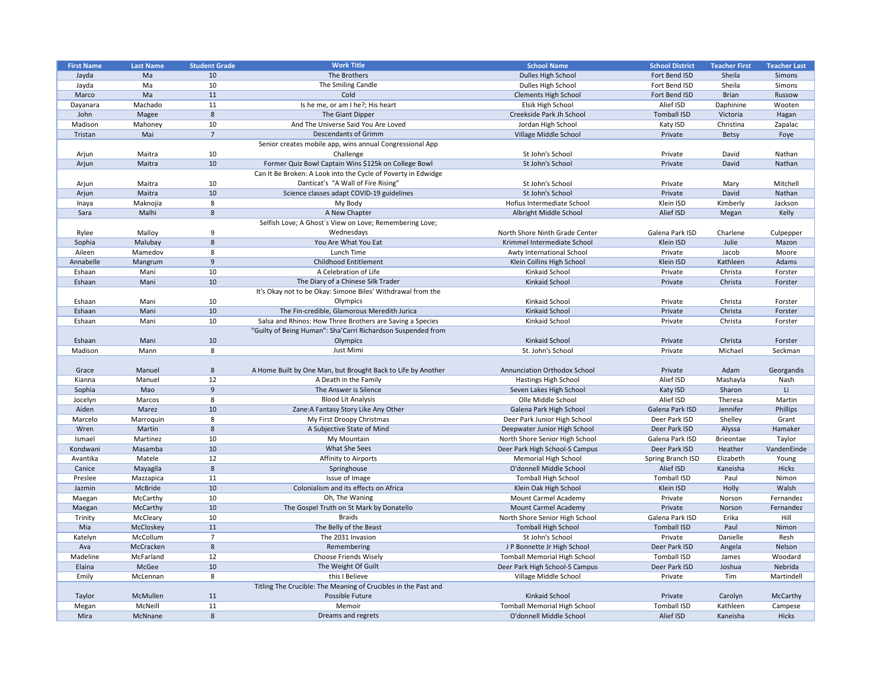| <b>First Name</b> | <b>Last Name</b> | <b>Student Grade</b> | <b>Work Title</b>                                              | <b>School Name</b>                  | <b>School District</b> | <b>Teacher First</b> | <b>Teacher Last</b> |
|-------------------|------------------|----------------------|----------------------------------------------------------------|-------------------------------------|------------------------|----------------------|---------------------|
| Jayda             | Ma               | 10                   | The Brothers                                                   | Dulles High School                  | Fort Bend ISD          | Sheila               | Simons              |
| Jayda             | Ma               | 10                   | The Smiling Candle                                             | Dulles High School                  | Fort Bend ISD          | Sheila               | Simons              |
| Marco             | Ma               | 11                   | Cold                                                           | <b>Clements High School</b>         | Fort Bend ISD          | <b>Brian</b>         | Russow              |
| Dayanara          | Machado          | 11                   | Is he me, or am I he?; His heart                               | Elsik High School                   | Alief ISD              | Daphinine            | Wooten              |
| John              | Magee            | 8                    | The Giant Dipper                                               | Creekside Park Jh School            | <b>Tomball ISD</b>     | Victoria             | Hagan               |
| Madison           | Mahoney          | 10                   | And The Universe Said You Are Loved                            | Jordan High School                  | Katy ISD               | Christina            | Zapalac             |
| Tristan           | Mai              | $\overline{7}$       | <b>Descendants of Grimm</b>                                    | Village Middle School               | Private                | <b>Betsy</b>         | Foye                |
|                   |                  |                      | Senior creates mobile app, wins annual Congressional App       |                                     |                        |                      |                     |
| Arjun             | Maitra           | 10                   | Challenge                                                      | St John's School                    | Private                | David                | Nathan              |
| Arjun             | Maitra           | 10                   | Former Quiz Bowl Captain Wins \$125k on College Bowl           | St John's School                    | Private                | David                | Nathan              |
|                   |                  |                      | Can It Be Broken: A Look into the Cycle of Poverty in Edwidge  |                                     |                        |                      |                     |
| Arjun             | Maitra           | 10                   | Danticat's "A Wall of Fire Rising"                             | St John's School                    | Private                | Mary                 | Mitchell            |
| Arjun             | Maitra           | 10                   | Science classes adapt COVID-19 guidelines                      | St John's School                    | Private                | David                | Nathan              |
| Inaya             | Maknojia         | 8                    | My Body                                                        | Hofius Intermediate School          | Klein ISD              | Kimberly             | Jackson             |
| Sara              | Malhi            | 8                    | A New Chapter                                                  | Albright Middle School              | Alief ISD              | Megan                | Kelly               |
|                   |                  |                      | Selfish Love; A Ghost's View on Love; Remembering Love;        |                                     |                        |                      |                     |
|                   |                  |                      |                                                                |                                     |                        |                      |                     |
| Rylee             | Malloy           | 9                    | Wednesdays                                                     | North Shore Ninth Grade Center      | Galena Park ISD        | Charlene             | Culpepper           |
| Sophia            | Malubay          | 8                    | You Are What You Eat                                           | Krimmel Intermediate School         | Klein ISD              | Julie                | Mazon               |
| Aileen            | Mamedov          | 8                    | Lunch Time                                                     | Awty International School           | Private                | Jacob                | Moore               |
| Annabelle         | Mangrum          | 9                    | <b>Childhood Entitlement</b>                                   | Klein Collins High School           | Klein ISD              | Kathleen             | Adams               |
| Eshaan            | Mani             | 10                   | A Celebration of Life                                          | Kinkaid School                      | Private                | Christa              | Forster             |
| Eshaan            | Mani             | 10                   | The Diary of a Chinese Silk Trader                             | Kinkaid School                      | Private                | Christa              | Forster             |
|                   |                  |                      | It's Okay not to be Okay: Simone Biles' Withdrawal from the    |                                     |                        |                      |                     |
| Eshaan            | Mani             | 10                   | Olympics                                                       | Kinkaid School                      | Private                | Christa              | Forster             |
| Eshaan            | Mani             | 10                   | The Fin-credible, Glamorous Meredith Jurica                    | Kinkaid School                      | Private                | Christa              | Forster             |
| Eshaan            | Mani             | 10                   | Salsa and Rhinos: How Three Brothers are Saving a Species      | Kinkaid School                      | Private                | Christa              | Forster             |
|                   |                  |                      | "Guilty of Being Human": Sha'Carri Richardson Suspended from   |                                     |                        |                      |                     |
| Eshaan            | Mani             | 10                   | Olympics                                                       | Kinkaid School                      | Private                | Christa              | Forster             |
| Madison           | Mann             | 8                    | Just Mimi                                                      | St. John's School                   | Private                | Michael              | Seckman             |
|                   |                  |                      |                                                                |                                     |                        |                      |                     |
| Grace             | Manuel           | 8                    | A Home Built by One Man, but Brought Back to Life by Another   | <b>Annunciation Orthodox School</b> | Private                | Adam                 | Georgandis          |
| Kianna            | Manuel           | 12                   | A Death in the Family                                          | <b>Hastings High School</b>         | Alief ISD              | Mashayla             | Nash                |
| Sophia            | Mao              | 9                    | The Answer is Silence                                          | Seven Lakes High School             | Katy ISD               | Sharon               | Li -                |
| Jocelyn           | Marcos           | 8                    | <b>Blood Lit Analysis</b>                                      | Olle Middle School                  | Alief ISD              | Theresa              | Martin              |
| Aiden             | Marez            | 10                   | Zane: A Fantasy Story Like Any Other                           | Galena Park High School             | Galena Park ISD        | Jennifer             | Phillips            |
| Marcelo           | Marroquin        | 8                    | My First Droopy Christmas                                      | Deer Park Junior High School        | Deer Park ISD          | Shelley              | Grant               |
| Wren              | Martin           | 8                    | A Subjective State of Mind                                     | Deepwater Junior High School        | Deer Park ISD          |                      | Hamaker             |
|                   |                  |                      |                                                                | North Shore Senior High School      |                        | Alyssa               |                     |
| Ismael            | Martinez         | 10                   | My Mountain                                                    |                                     | Galena Park ISD        | <b>Brieontae</b>     | Taylor              |
| Kondwani          | Masamba          | 10                   | What She Sees                                                  | Deer Park High School-S Campus      | Deer Park ISD          | Heather              | VandenEinde         |
| Avantika          | Matele           | 12                   | Affinity to Airports                                           | <b>Memorial High School</b>         | Spring Branch ISD      | Elizabeth            | Young               |
| Canice            | Mayagila         | 8                    | Springhouse                                                    | O'donnell Middle School             | Alief ISD              | Kaneisha             | <b>Hicks</b>        |
| Preslee           | Mazzapica        | 11                   | Issue of Image                                                 | <b>Tomball High School</b>          | <b>Tomball ISD</b>     | Paul                 | Nimon               |
| Jazmin            | McBride          | 10                   | Colonialism and its effects on Africa                          | Klein Oak High School               | Klein ISD              | Holly                | Walsh               |
| Maegan            | McCarthy         | 10                   | Oh, The Waning                                                 | Mount Carmel Academy                | Private                | Norson               | Fernandez           |
| Maegan            | McCarthy         | 10                   | The Gospel Truth on St Mark by Donatello                       | Mount Carmel Academy                | Private                | Norson               | Fernandez           |
| Trinity           | McCleary         | 10                   | <b>Braids</b>                                                  | North Shore Senior High School      | Galena Park ISD        | Erika                | Hill                |
| Mia               | McCloskey        | 11                   | The Belly of the Beast                                         | <b>Tomball High School</b>          | <b>Tomball ISD</b>     | Paul                 | Nimon               |
| Katelyn           | McCollum         |                      | The 2031 Invasion                                              | St John's School                    | Private                | Danielle             | Resh                |
| Ava               | McCracken        | 8                    | Remembering                                                    | J P Bonnette Jr High School         | Deer Park ISD          | Angela               | Nelson              |
| Madeline          | McFarland        | 12                   | Choose Friends Wisely                                          | <b>Tomball Memorial High School</b> | <b>Tomball ISD</b>     | James                | Woodard             |
| Elaina            | McGee            | 10                   | The Weight Of Guilt                                            | Deer Park High School-S Campus      | Deer Park ISD          | Joshua               | Nebrida             |
| Emily             | McLennan         | 8                    | this I Believe                                                 | Village Middle School               | Private                | Tim                  | Martindell          |
|                   |                  |                      | Titling The Crucible: The Meaning of Crucibles in the Past and |                                     |                        |                      |                     |
| Taylor            | McMullen         | 11                   | Possible Future                                                | Kinkaid School                      | Private                | Carolyn              | McCarthy            |
| Megan             | McNeill          | 11                   | Memoir                                                         | <b>Tomball Memorial High School</b> | <b>Tomball ISD</b>     | Kathleen             | Campese             |
| Mira              | McNnane          | 8                    | Dreams and regrets                                             | O'donnell Middle School             | Alief ISD              | Kaneisha             | Hicks               |
|                   |                  |                      |                                                                |                                     |                        |                      |                     |

| <b>School District</b> | <b>Teacher First</b> | <b>Teacher Last</b> |
|------------------------|----------------------|---------------------|
| Fort Bend ISD          | Sheila               | <b>Simons</b>       |
| Fort Bend ISD          | Sheila               | <b>Simons</b>       |
| Fort Bend ISD          | <b>Brian</b>         | <b>Russow</b>       |
| Alief ISD              | Daphinine            | Wooten              |
| <b>Tomball ISD</b>     | Victoria             | Hagan               |
| Katy ISD               | Christina            | Zapalac             |
| Private                | <b>Betsy</b>         | Foye                |
|                        |                      |                     |
| Private                | David                | Nathan              |
| Private                | David                | Nathan              |
|                        |                      |                     |
| Private                | Mary                 | Mitchell            |
| Private                | David                | Nathan              |
| Klein ISD              | Kimberly             | Jackson             |
| Alief ISD              | Megan                | Kelly               |
|                        |                      |                     |
| Galena Park ISD        | Charlene             | Culpepper           |
| Klein ISD              | Julie                | Mazon               |
| Private                | Jacob                | Moore               |
| Klein ISD              | Kathleen             | Adams               |
| Private                | Christa              | Forster             |
| Private                | Christa              | Forster             |
|                        |                      |                     |
| Private                | Christa              | Forster             |
| Private                | Christa              |                     |
|                        |                      | Forster             |
| Private                | Christa              | Forster             |
|                        |                      |                     |
| Private                | Christa              | Forster             |
| Private                | Michael              | Seckman             |
|                        |                      |                     |
| Private                | Adam                 | Georgandis          |
| Alief ISD              | Mashayla             | Nash                |
| Katy ISD               | Sharon               | Li                  |
| Alief ISD              | Theresa              | Martin              |
| Galena Park ISD        | Jennifer             | Phillips            |
| Deer Park ISD          | Shelley              | Grant               |
| Deer Park ISD          | Alyssa               | Hamaker             |
| Galena Park ISD        | <b>Brieontae</b>     | Taylor              |
| Deer Park ISD          | Heather              | VandenEinde         |
| Spring Branch ISD      | Elizabeth            | Young               |
| Alief ISD              | Kaneisha             | <b>Hicks</b>        |
| <b>Tomball ISD</b>     | Paul                 | Nimon               |
| Klein ISD              | Holly                | Walsh               |
| Private                | Norson               | Fernandez           |
| Private                | Norson               | Fernandez           |
| Galena Park ISD        | Erika                | Hill                |
| <b>Tomball ISD</b>     | Paul                 | Nimon               |
| Private                | Danielle             | Resh                |
| Deer Park ISD          | Angela               | Nelson              |
|                        |                      |                     |
| <b>Tomball ISD</b>     | James                | Woodard             |
| Deer Park ISD          | Joshua               | Nebrida             |
| Private                | Tim                  | Martindell          |
| Private                | Carolyn              | McCarthy            |
| <b>Tomball ISD</b>     | Kathleen             | Campese             |
| Alief ISD              | Kaneisha             | <b>Hicks</b>        |
|                        |                      |                     |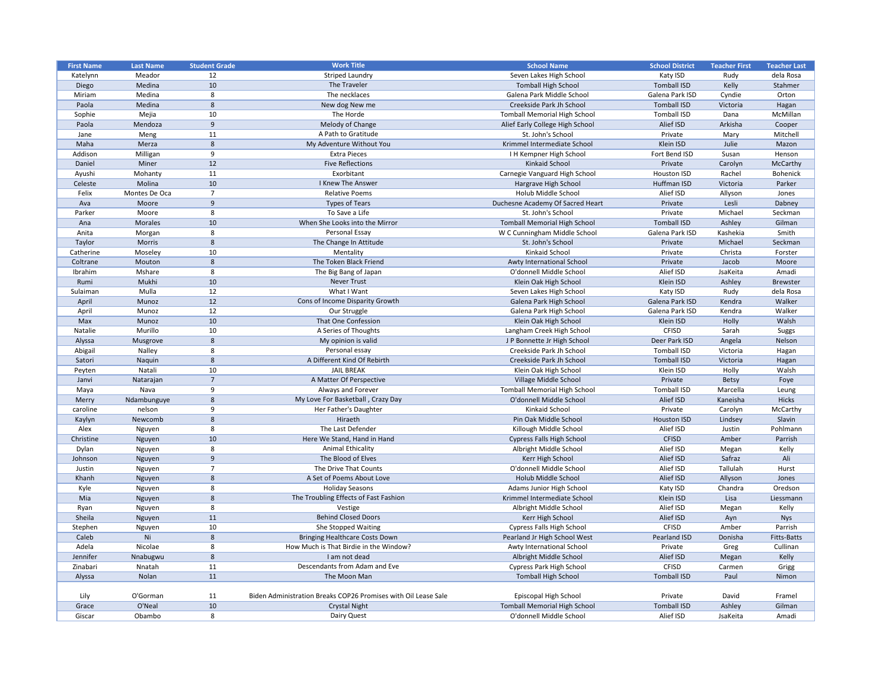| <b>First Name</b> | <b>Last Name</b> | <b>Student Grade</b> | <b>Work Title</b>                                              | <b>School Name</b>                  | <b>School District</b> | <b>Teacher First</b> | <b>Teacher Last</b> |
|-------------------|------------------|----------------------|----------------------------------------------------------------|-------------------------------------|------------------------|----------------------|---------------------|
| Katelynn          | Meador           | 12                   | <b>Striped Laundry</b>                                         | Seven Lakes High School             | Katy ISD               | Rudy                 | dela Rosa           |
| Diego             | Medina           | 10                   | The Traveler                                                   | <b>Tomball High School</b>          | <b>Tomball ISD</b>     | Kelly                | Stahmer             |
| Miriam            | Medina           | 8                    | The necklaces                                                  | Galena Park Middle School           | Galena Park ISD        | Cyndie               | Orton               |
| Paola             | Medina           | 8                    | New dog New me                                                 | Creekside Park Jh School            | <b>Tomball ISD</b>     | Victoria             | Hagan               |
| Sophie            | Mejia            | 10                   | The Horde                                                      | <b>Tomball Memorial High School</b> | <b>Tomball ISD</b>     | Dana                 | McMillan            |
| Paola             | Mendoza          | 9                    | Melody of Change                                               | Alief Early College High School     | Alief ISD              | Arkisha              | Cooper              |
| Jane              | Meng             | 11                   | A Path to Gratitude                                            | St. John's School                   | Private                | Mary                 | Mitchell            |
| Maha              | Merza            | 8                    | My Adventure Without You                                       | Krimmel Intermediate School         | Klein ISD              | Julie                | Mazon               |
| Addison           | Milligan         | 9                    | <b>Extra Pieces</b>                                            | I H Kempner High School             | Fort Bend ISD          | Susan                | Henson              |
| Daniel            | Miner            | 12                   | <b>Five Reflections</b>                                        | <b>Kinkaid School</b>               | Private                | Carolyn              | McCarthy            |
| Ayushi            | Mohanty          | 11                   | Exorbitant                                                     | Carnegie Vanguard High School       | <b>Houston ISD</b>     | Rachel               | <b>Bohenick</b>     |
| Celeste           | Molina           | 10                   | I Knew The Answer                                              | Hargrave High School                | Huffman ISD            | Victoria             | Parker              |
| Felix             | Montes De Oca    | $\overline{7}$       | <b>Relative Poems</b>                                          | Holub Middle School                 | Alief ISD              | Allyson              | Jones               |
|                   | Moore            | 9                    | <b>Types of Tears</b>                                          |                                     | Private                | Lesli                |                     |
| Ava               |                  |                      |                                                                | Duchesne Academy Of Sacred Heart    |                        |                      | Dabney              |
| Parker            | Moore            | 8                    | To Save a Life                                                 | St. John's School                   | Private                | Michael              | Seckman             |
| Ana               | <b>Morales</b>   | 10                   | When She Looks into the Mirror                                 | <b>Tomball Memorial High School</b> | <b>Tomball ISD</b>     | Ashley               | Gilman              |
| Anita             | Morgan           | 8                    | Personal Essay                                                 | W C Cunningham Middle School        | Galena Park ISD        | Kashekia             | Smith               |
| Taylor            | Morris           | 8                    | The Change In Attitude                                         | St. John's School                   | Private                | Michael              | Seckman             |
| Catherine         | Moseley          | 10                   | Mentality                                                      | Kinkaid School                      | Private                | Christa              | Forster             |
| Coltrane          | Mouton           | 8                    | The Token Black Friend                                         | Awty International School           | Private                | Jacob                | Moore               |
| Ibrahim           | Mshare           | 8                    | The Big Bang of Japan                                          | O'donnell Middle School             | Alief ISD              | JsaKeita             | Amadi               |
| Rumi              | Mukhi            | 10                   | <b>Never Trust</b>                                             | Klein Oak High School               | Klein ISD              | Ashley               | <b>Brewster</b>     |
| Sulaiman          | Mulla            | 12                   | What I Want                                                    | Seven Lakes High School             | Katy ISD               | Rudy                 | dela Rosa           |
| April             | Munoz            | 12                   | Cons of Income Disparity Growth                                | Galena Park High School             | Galena Park ISD        | Kendra               | Walker              |
| April             | Munoz            | 12                   | Our Struggle                                                   | Galena Park High School             | Galena Park ISD        | Kendra               | Walker              |
| Max               | Munoz            | 10                   | That One Confession                                            | Klein Oak High School               | Klein ISD              | Holly                | Walsh               |
| Natalie           | Murillo          | 10                   | A Series of Thoughts                                           | Langham Creek High School           | <b>CFISD</b>           | Sarah                | Suggs               |
| Alyssa            | Musgrove         | 8                    | My opinion is valid                                            | J P Bonnette Jr High School         | Deer Park ISD          | Angela               | Nelson              |
| Abigail           | Nalley           | 8                    | Personal essay                                                 | Creekside Park Jh School            | <b>Tomball ISD</b>     | Victoria             | Hagan               |
| Satori            | Naquin           | 8                    | A Different Kind Of Rebirth                                    | Creekside Park Jh School            | <b>Tomball ISD</b>     | Victoria             | Hagan               |
| Peyten            | Natali           | 10                   | <b>JAIL BREAK</b>                                              | Klein Oak High School               | Klein ISD              | Holly                | Walsh               |
| Janvi             | Natarajan        | $\overline{7}$       | A Matter Of Perspective                                        | Village Middle School               | Private                | <b>Betsy</b>         | Foye                |
| Maya              | Nava             | 9                    | Always and Forever                                             | <b>Tomball Memorial High School</b> | <b>Tomball ISD</b>     | Marcella             | Leung               |
| Merry             | Ndambunguye      | 8                    | My Love For Basketball, Crazy Day                              | O'donnell Middle School             | Alief ISD              | Kaneisha             | Hicks               |
| caroline          | nelson           | 9                    | Her Father's Daughter                                          | Kinkaid School                      | Private                | Carolyn              | McCarthy            |
| Kaylyn            | Newcomb          | 8                    | Hiraeth                                                        | Pin Oak Middle School               | <b>Houston ISD</b>     | Lindsey              | Slavin              |
| Alex              | Nguyen           | 8                    | The Last Defender                                              | Killough Middle School              | Alief ISD              | Justin               | Pohlmann            |
| Christine         |                  | 10                   | Here We Stand, Hand in Hand                                    | <b>Cypress Falls High School</b>    | <b>CFISD</b>           | Amber                | Parrish             |
|                   | Nguyen           | 8                    | Animal Ethicality                                              | Albright Middle School              | Alief ISD              |                      |                     |
| Dylan             | Nguyen           |                      |                                                                |                                     |                        | Megan                | Kelly               |
| Johnson           | Nguyen           | 9                    | The Blood of Elves                                             | Kerr High School                    | Alief ISD              | Safraz               | Ali                 |
| Justin            | Nguyen           |                      | The Drive That Counts                                          | O'donnell Middle School             | Alief ISD              | Tallulah             | Hurst               |
| Khanh             | Nguyen           | 8                    | A Set of Poems About Love                                      | Holub Middle School                 | Alief ISD              | Allyson              | Jones               |
| Kyle              | Nguyen           | 8                    | <b>Holiday Seasons</b>                                         | Adams Junior High School            | Katy ISD               | Chandra              | Oredson             |
| Mia               | Nguyen           | 8                    | The Troubling Effects of Fast Fashion                          | Krimmel Intermediate School         | Klein ISD              | Lisa                 | Liessmann           |
| Ryan              | Nguyen           | 8                    | Vestige                                                        | Albright Middle School              | Alief ISD              | Megan                | Kelly               |
| Sheila            | Nguyen           | 11                   | <b>Behind Closed Doors</b>                                     | Kerr High School                    | Alief ISD              | Ayn                  | <b>Nys</b>          |
| Stephen           | Nguyen           | 10                   | She Stopped Waiting                                            | <b>Cypress Falls High School</b>    | <b>CFISD</b>           | Amber                | Parrish             |
| Caleb             | Ni               | 8                    | <b>Bringing Healthcare Costs Down</b>                          | Pearland Jr High School West        | Pearland ISD           | Donisha              | <b>Fitts-Batts</b>  |
| Adela             | Nicolae          | 8                    | How Much is That Birdie in the Window?                         | Awty International School           | Private                | Greg                 | Cullinan            |
| Jennifer          | Nnabugwu         | 8                    | I am not dead                                                  | Albright Middle School              | Alief ISD              | Megan                | Kelly               |
| Zinabari          | Nnatah           | 11                   | Descendants from Adam and Eve                                  | <b>Cypress Park High School</b>     | <b>CFISD</b>           | Carmen               | Grigg               |
| Alyssa            | Nolan            | 11                   | The Moon Man                                                   | <b>Tomball High School</b>          | <b>Tomball ISD</b>     | Paul                 | Nimon               |
|                   |                  |                      |                                                                |                                     |                        |                      |                     |
| Lily              | O'Gorman         | 11                   | Biden Administration Breaks COP26 Promises with Oil Lease Sale | Episcopal High School               | Private                | David                | Framel              |
| Grace             | O'Neal           | 10                   | <b>Crystal Night</b>                                           | <b>Tomball Memorial High School</b> | <b>Tomball ISD</b>     | Ashley               | Gilman              |
| Giscar            | Obambo           | 8                    | Dairy Quest                                                    | O'donnell Middle School             | Alief ISD              | JsaKeita             | Amadi               |
|                   |                  |                      |                                                                |                                     |                        |                      |                     |

| Katy ISD<br>dela Rosa<br>Rudy<br><b>Tomball ISD</b><br>Kelly<br>Stahmer<br>Galena Park ISD<br>Cyndie<br>Orton<br><b>Tomball ISD</b><br>Victoria<br>Hagan<br>McMillan<br><b>Tomball ISD</b><br>Dana<br>Alief ISD<br>Arkisha<br>Cooper<br>Mitchell<br>Private<br>Mary<br>Klein ISD<br>Julie<br>Mazon<br>Fort Bend ISD<br>Susan<br>Henson<br>Private<br>Carolyn<br>McCarthy<br>Rachel<br><b>Houston ISD</b><br><b>Bohenick</b><br>Huffman ISD<br>Parker<br>Victoria<br>Alief ISD<br>Allyson<br>Jones<br>Lesli<br>Private<br>Dabney<br>Michael<br>Seckman<br>Private<br><b>Tomball ISD</b><br>Gilman<br>Ashley<br>Galena Park ISD<br>Kashekia<br>Smith<br>Michael<br>Seckman<br>Private<br>Private<br>Christa<br>Forster<br>Private<br>Jacob<br>Moore<br>Alief ISD<br>Amadi<br>JsaKeita<br>Klein ISD<br>Ashley<br><b>Brewster</b><br>dela Rosa<br>Katy ISD<br>Rudy<br>Galena Park ISD<br>Kendra<br>Walker<br>Walker<br>Galena Park ISD<br>Kendra<br>Klein ISD<br>Holly<br>Walsh<br>Sarah<br><b>CFISD</b><br><b>Suggs</b><br>Nelson<br>Deer Park ISD<br>Angela<br><b>Tomball ISD</b><br>Victoria<br>Hagan<br><b>Tomball ISD</b><br>Victoria<br>Hagan<br>Klein ISD<br>Holly<br>Walsh<br>Private<br><b>Betsy</b><br>Foye<br><b>Tomball ISD</b><br>Marcella<br>Leung<br>Alief ISD<br><b>Hicks</b><br>Kaneisha<br>McCarthy<br>Private<br>Carolyn<br>Slavin<br>Lindsey<br><b>Houston ISD</b><br>Pohlmann<br>Alief ISD<br>Justin<br>Amber<br>Parrish<br><b>CFISD</b><br>Alief ISD<br>Kelly<br>Megan<br>Alief ISD<br>Safraz<br>Ali<br>Alief ISD<br>Tallulah<br>Hurst<br>Alief ISD<br>Allyson<br>Jones<br>Chandra<br>Katy ISD<br>Oredson<br>Klein ISD<br>Lisa<br>Liessmann<br>Alief ISD<br>Kelly<br>Megan<br>Alief ISD<br><b>Nys</b><br>Ayn<br><b>CFISD</b><br>Amber<br>Parrish<br><b>Pearland ISD</b><br>Donisha<br><b>Fitts-Batts</b><br>Private<br>Cullinan<br>Greg<br>Alief ISD<br>Kelly<br>Megan<br><b>CFISD</b><br>Carmen<br>Grigg<br><b>Tomball ISD</b><br>Paul<br>Nimon<br>David<br>Private<br>Framel<br><b>Tomball ISD</b><br>Ashley<br>Gilman<br>Alief ISD<br>Amadi<br>JsaKeita | <b>School District</b> | <b>Teacher First</b> | <b>Teacher Last</b> |
|------------------------------------------------------------------------------------------------------------------------------------------------------------------------------------------------------------------------------------------------------------------------------------------------------------------------------------------------------------------------------------------------------------------------------------------------------------------------------------------------------------------------------------------------------------------------------------------------------------------------------------------------------------------------------------------------------------------------------------------------------------------------------------------------------------------------------------------------------------------------------------------------------------------------------------------------------------------------------------------------------------------------------------------------------------------------------------------------------------------------------------------------------------------------------------------------------------------------------------------------------------------------------------------------------------------------------------------------------------------------------------------------------------------------------------------------------------------------------------------------------------------------------------------------------------------------------------------------------------------------------------------------------------------------------------------------------------------------------------------------------------------------------------------------------------------------------------------------------------------------------------------------------------------------------------------------------------------------------------------------------------------------------------------------------------------------------|------------------------|----------------------|---------------------|
|                                                                                                                                                                                                                                                                                                                                                                                                                                                                                                                                                                                                                                                                                                                                                                                                                                                                                                                                                                                                                                                                                                                                                                                                                                                                                                                                                                                                                                                                                                                                                                                                                                                                                                                                                                                                                                                                                                                                                                                                                                                                              |                        |                      |                     |
|                                                                                                                                                                                                                                                                                                                                                                                                                                                                                                                                                                                                                                                                                                                                                                                                                                                                                                                                                                                                                                                                                                                                                                                                                                                                                                                                                                                                                                                                                                                                                                                                                                                                                                                                                                                                                                                                                                                                                                                                                                                                              |                        |                      |                     |
|                                                                                                                                                                                                                                                                                                                                                                                                                                                                                                                                                                                                                                                                                                                                                                                                                                                                                                                                                                                                                                                                                                                                                                                                                                                                                                                                                                                                                                                                                                                                                                                                                                                                                                                                                                                                                                                                                                                                                                                                                                                                              |                        |                      |                     |
|                                                                                                                                                                                                                                                                                                                                                                                                                                                                                                                                                                                                                                                                                                                                                                                                                                                                                                                                                                                                                                                                                                                                                                                                                                                                                                                                                                                                                                                                                                                                                                                                                                                                                                                                                                                                                                                                                                                                                                                                                                                                              |                        |                      |                     |
|                                                                                                                                                                                                                                                                                                                                                                                                                                                                                                                                                                                                                                                                                                                                                                                                                                                                                                                                                                                                                                                                                                                                                                                                                                                                                                                                                                                                                                                                                                                                                                                                                                                                                                                                                                                                                                                                                                                                                                                                                                                                              |                        |                      |                     |
|                                                                                                                                                                                                                                                                                                                                                                                                                                                                                                                                                                                                                                                                                                                                                                                                                                                                                                                                                                                                                                                                                                                                                                                                                                                                                                                                                                                                                                                                                                                                                                                                                                                                                                                                                                                                                                                                                                                                                                                                                                                                              |                        |                      |                     |
|                                                                                                                                                                                                                                                                                                                                                                                                                                                                                                                                                                                                                                                                                                                                                                                                                                                                                                                                                                                                                                                                                                                                                                                                                                                                                                                                                                                                                                                                                                                                                                                                                                                                                                                                                                                                                                                                                                                                                                                                                                                                              |                        |                      |                     |
|                                                                                                                                                                                                                                                                                                                                                                                                                                                                                                                                                                                                                                                                                                                                                                                                                                                                                                                                                                                                                                                                                                                                                                                                                                                                                                                                                                                                                                                                                                                                                                                                                                                                                                                                                                                                                                                                                                                                                                                                                                                                              |                        |                      |                     |
|                                                                                                                                                                                                                                                                                                                                                                                                                                                                                                                                                                                                                                                                                                                                                                                                                                                                                                                                                                                                                                                                                                                                                                                                                                                                                                                                                                                                                                                                                                                                                                                                                                                                                                                                                                                                                                                                                                                                                                                                                                                                              |                        |                      |                     |
|                                                                                                                                                                                                                                                                                                                                                                                                                                                                                                                                                                                                                                                                                                                                                                                                                                                                                                                                                                                                                                                                                                                                                                                                                                                                                                                                                                                                                                                                                                                                                                                                                                                                                                                                                                                                                                                                                                                                                                                                                                                                              |                        |                      |                     |
|                                                                                                                                                                                                                                                                                                                                                                                                                                                                                                                                                                                                                                                                                                                                                                                                                                                                                                                                                                                                                                                                                                                                                                                                                                                                                                                                                                                                                                                                                                                                                                                                                                                                                                                                                                                                                                                                                                                                                                                                                                                                              |                        |                      |                     |
|                                                                                                                                                                                                                                                                                                                                                                                                                                                                                                                                                                                                                                                                                                                                                                                                                                                                                                                                                                                                                                                                                                                                                                                                                                                                                                                                                                                                                                                                                                                                                                                                                                                                                                                                                                                                                                                                                                                                                                                                                                                                              |                        |                      |                     |
|                                                                                                                                                                                                                                                                                                                                                                                                                                                                                                                                                                                                                                                                                                                                                                                                                                                                                                                                                                                                                                                                                                                                                                                                                                                                                                                                                                                                                                                                                                                                                                                                                                                                                                                                                                                                                                                                                                                                                                                                                                                                              |                        |                      |                     |
|                                                                                                                                                                                                                                                                                                                                                                                                                                                                                                                                                                                                                                                                                                                                                                                                                                                                                                                                                                                                                                                                                                                                                                                                                                                                                                                                                                                                                                                                                                                                                                                                                                                                                                                                                                                                                                                                                                                                                                                                                                                                              |                        |                      |                     |
|                                                                                                                                                                                                                                                                                                                                                                                                                                                                                                                                                                                                                                                                                                                                                                                                                                                                                                                                                                                                                                                                                                                                                                                                                                                                                                                                                                                                                                                                                                                                                                                                                                                                                                                                                                                                                                                                                                                                                                                                                                                                              |                        |                      |                     |
|                                                                                                                                                                                                                                                                                                                                                                                                                                                                                                                                                                                                                                                                                                                                                                                                                                                                                                                                                                                                                                                                                                                                                                                                                                                                                                                                                                                                                                                                                                                                                                                                                                                                                                                                                                                                                                                                                                                                                                                                                                                                              |                        |                      |                     |
|                                                                                                                                                                                                                                                                                                                                                                                                                                                                                                                                                                                                                                                                                                                                                                                                                                                                                                                                                                                                                                                                                                                                                                                                                                                                                                                                                                                                                                                                                                                                                                                                                                                                                                                                                                                                                                                                                                                                                                                                                                                                              |                        |                      |                     |
|                                                                                                                                                                                                                                                                                                                                                                                                                                                                                                                                                                                                                                                                                                                                                                                                                                                                                                                                                                                                                                                                                                                                                                                                                                                                                                                                                                                                                                                                                                                                                                                                                                                                                                                                                                                                                                                                                                                                                                                                                                                                              |                        |                      |                     |
|                                                                                                                                                                                                                                                                                                                                                                                                                                                                                                                                                                                                                                                                                                                                                                                                                                                                                                                                                                                                                                                                                                                                                                                                                                                                                                                                                                                                                                                                                                                                                                                                                                                                                                                                                                                                                                                                                                                                                                                                                                                                              |                        |                      |                     |
|                                                                                                                                                                                                                                                                                                                                                                                                                                                                                                                                                                                                                                                                                                                                                                                                                                                                                                                                                                                                                                                                                                                                                                                                                                                                                                                                                                                                                                                                                                                                                                                                                                                                                                                                                                                                                                                                                                                                                                                                                                                                              |                        |                      |                     |
|                                                                                                                                                                                                                                                                                                                                                                                                                                                                                                                                                                                                                                                                                                                                                                                                                                                                                                                                                                                                                                                                                                                                                                                                                                                                                                                                                                                                                                                                                                                                                                                                                                                                                                                                                                                                                                                                                                                                                                                                                                                                              |                        |                      |                     |
|                                                                                                                                                                                                                                                                                                                                                                                                                                                                                                                                                                                                                                                                                                                                                                                                                                                                                                                                                                                                                                                                                                                                                                                                                                                                                                                                                                                                                                                                                                                                                                                                                                                                                                                                                                                                                                                                                                                                                                                                                                                                              |                        |                      |                     |
|                                                                                                                                                                                                                                                                                                                                                                                                                                                                                                                                                                                                                                                                                                                                                                                                                                                                                                                                                                                                                                                                                                                                                                                                                                                                                                                                                                                                                                                                                                                                                                                                                                                                                                                                                                                                                                                                                                                                                                                                                                                                              |                        |                      |                     |
|                                                                                                                                                                                                                                                                                                                                                                                                                                                                                                                                                                                                                                                                                                                                                                                                                                                                                                                                                                                                                                                                                                                                                                                                                                                                                                                                                                                                                                                                                                                                                                                                                                                                                                                                                                                                                                                                                                                                                                                                                                                                              |                        |                      |                     |
|                                                                                                                                                                                                                                                                                                                                                                                                                                                                                                                                                                                                                                                                                                                                                                                                                                                                                                                                                                                                                                                                                                                                                                                                                                                                                                                                                                                                                                                                                                                                                                                                                                                                                                                                                                                                                                                                                                                                                                                                                                                                              |                        |                      |                     |
|                                                                                                                                                                                                                                                                                                                                                                                                                                                                                                                                                                                                                                                                                                                                                                                                                                                                                                                                                                                                                                                                                                                                                                                                                                                                                                                                                                                                                                                                                                                                                                                                                                                                                                                                                                                                                                                                                                                                                                                                                                                                              |                        |                      |                     |
|                                                                                                                                                                                                                                                                                                                                                                                                                                                                                                                                                                                                                                                                                                                                                                                                                                                                                                                                                                                                                                                                                                                                                                                                                                                                                                                                                                                                                                                                                                                                                                                                                                                                                                                                                                                                                                                                                                                                                                                                                                                                              |                        |                      |                     |
|                                                                                                                                                                                                                                                                                                                                                                                                                                                                                                                                                                                                                                                                                                                                                                                                                                                                                                                                                                                                                                                                                                                                                                                                                                                                                                                                                                                                                                                                                                                                                                                                                                                                                                                                                                                                                                                                                                                                                                                                                                                                              |                        |                      |                     |
|                                                                                                                                                                                                                                                                                                                                                                                                                                                                                                                                                                                                                                                                                                                                                                                                                                                                                                                                                                                                                                                                                                                                                                                                                                                                                                                                                                                                                                                                                                                                                                                                                                                                                                                                                                                                                                                                                                                                                                                                                                                                              |                        |                      |                     |
|                                                                                                                                                                                                                                                                                                                                                                                                                                                                                                                                                                                                                                                                                                                                                                                                                                                                                                                                                                                                                                                                                                                                                                                                                                                                                                                                                                                                                                                                                                                                                                                                                                                                                                                                                                                                                                                                                                                                                                                                                                                                              |                        |                      |                     |
|                                                                                                                                                                                                                                                                                                                                                                                                                                                                                                                                                                                                                                                                                                                                                                                                                                                                                                                                                                                                                                                                                                                                                                                                                                                                                                                                                                                                                                                                                                                                                                                                                                                                                                                                                                                                                                                                                                                                                                                                                                                                              |                        |                      |                     |
|                                                                                                                                                                                                                                                                                                                                                                                                                                                                                                                                                                                                                                                                                                                                                                                                                                                                                                                                                                                                                                                                                                                                                                                                                                                                                                                                                                                                                                                                                                                                                                                                                                                                                                                                                                                                                                                                                                                                                                                                                                                                              |                        |                      |                     |
|                                                                                                                                                                                                                                                                                                                                                                                                                                                                                                                                                                                                                                                                                                                                                                                                                                                                                                                                                                                                                                                                                                                                                                                                                                                                                                                                                                                                                                                                                                                                                                                                                                                                                                                                                                                                                                                                                                                                                                                                                                                                              |                        |                      |                     |
|                                                                                                                                                                                                                                                                                                                                                                                                                                                                                                                                                                                                                                                                                                                                                                                                                                                                                                                                                                                                                                                                                                                                                                                                                                                                                                                                                                                                                                                                                                                                                                                                                                                                                                                                                                                                                                                                                                                                                                                                                                                                              |                        |                      |                     |
|                                                                                                                                                                                                                                                                                                                                                                                                                                                                                                                                                                                                                                                                                                                                                                                                                                                                                                                                                                                                                                                                                                                                                                                                                                                                                                                                                                                                                                                                                                                                                                                                                                                                                                                                                                                                                                                                                                                                                                                                                                                                              |                        |                      |                     |
|                                                                                                                                                                                                                                                                                                                                                                                                                                                                                                                                                                                                                                                                                                                                                                                                                                                                                                                                                                                                                                                                                                                                                                                                                                                                                                                                                                                                                                                                                                                                                                                                                                                                                                                                                                                                                                                                                                                                                                                                                                                                              |                        |                      |                     |
|                                                                                                                                                                                                                                                                                                                                                                                                                                                                                                                                                                                                                                                                                                                                                                                                                                                                                                                                                                                                                                                                                                                                                                                                                                                                                                                                                                                                                                                                                                                                                                                                                                                                                                                                                                                                                                                                                                                                                                                                                                                                              |                        |                      |                     |
|                                                                                                                                                                                                                                                                                                                                                                                                                                                                                                                                                                                                                                                                                                                                                                                                                                                                                                                                                                                                                                                                                                                                                                                                                                                                                                                                                                                                                                                                                                                                                                                                                                                                                                                                                                                                                                                                                                                                                                                                                                                                              |                        |                      |                     |
|                                                                                                                                                                                                                                                                                                                                                                                                                                                                                                                                                                                                                                                                                                                                                                                                                                                                                                                                                                                                                                                                                                                                                                                                                                                                                                                                                                                                                                                                                                                                                                                                                                                                                                                                                                                                                                                                                                                                                                                                                                                                              |                        |                      |                     |
|                                                                                                                                                                                                                                                                                                                                                                                                                                                                                                                                                                                                                                                                                                                                                                                                                                                                                                                                                                                                                                                                                                                                                                                                                                                                                                                                                                                                                                                                                                                                                                                                                                                                                                                                                                                                                                                                                                                                                                                                                                                                              |                        |                      |                     |
|                                                                                                                                                                                                                                                                                                                                                                                                                                                                                                                                                                                                                                                                                                                                                                                                                                                                                                                                                                                                                                                                                                                                                                                                                                                                                                                                                                                                                                                                                                                                                                                                                                                                                                                                                                                                                                                                                                                                                                                                                                                                              |                        |                      |                     |
|                                                                                                                                                                                                                                                                                                                                                                                                                                                                                                                                                                                                                                                                                                                                                                                                                                                                                                                                                                                                                                                                                                                                                                                                                                                                                                                                                                                                                                                                                                                                                                                                                                                                                                                                                                                                                                                                                                                                                                                                                                                                              |                        |                      |                     |
|                                                                                                                                                                                                                                                                                                                                                                                                                                                                                                                                                                                                                                                                                                                                                                                                                                                                                                                                                                                                                                                                                                                                                                                                                                                                                                                                                                                                                                                                                                                                                                                                                                                                                                                                                                                                                                                                                                                                                                                                                                                                              |                        |                      |                     |
|                                                                                                                                                                                                                                                                                                                                                                                                                                                                                                                                                                                                                                                                                                                                                                                                                                                                                                                                                                                                                                                                                                                                                                                                                                                                                                                                                                                                                                                                                                                                                                                                                                                                                                                                                                                                                                                                                                                                                                                                                                                                              |                        |                      |                     |
|                                                                                                                                                                                                                                                                                                                                                                                                                                                                                                                                                                                                                                                                                                                                                                                                                                                                                                                                                                                                                                                                                                                                                                                                                                                                                                                                                                                                                                                                                                                                                                                                                                                                                                                                                                                                                                                                                                                                                                                                                                                                              |                        |                      |                     |
|                                                                                                                                                                                                                                                                                                                                                                                                                                                                                                                                                                                                                                                                                                                                                                                                                                                                                                                                                                                                                                                                                                                                                                                                                                                                                                                                                                                                                                                                                                                                                                                                                                                                                                                                                                                                                                                                                                                                                                                                                                                                              |                        |                      |                     |
|                                                                                                                                                                                                                                                                                                                                                                                                                                                                                                                                                                                                                                                                                                                                                                                                                                                                                                                                                                                                                                                                                                                                                                                                                                                                                                                                                                                                                                                                                                                                                                                                                                                                                                                                                                                                                                                                                                                                                                                                                                                                              |                        |                      |                     |
|                                                                                                                                                                                                                                                                                                                                                                                                                                                                                                                                                                                                                                                                                                                                                                                                                                                                                                                                                                                                                                                                                                                                                                                                                                                                                                                                                                                                                                                                                                                                                                                                                                                                                                                                                                                                                                                                                                                                                                                                                                                                              |                        |                      |                     |
|                                                                                                                                                                                                                                                                                                                                                                                                                                                                                                                                                                                                                                                                                                                                                                                                                                                                                                                                                                                                                                                                                                                                                                                                                                                                                                                                                                                                                                                                                                                                                                                                                                                                                                                                                                                                                                                                                                                                                                                                                                                                              |                        |                      |                     |
|                                                                                                                                                                                                                                                                                                                                                                                                                                                                                                                                                                                                                                                                                                                                                                                                                                                                                                                                                                                                                                                                                                                                                                                                                                                                                                                                                                                                                                                                                                                                                                                                                                                                                                                                                                                                                                                                                                                                                                                                                                                                              |                        |                      |                     |
|                                                                                                                                                                                                                                                                                                                                                                                                                                                                                                                                                                                                                                                                                                                                                                                                                                                                                                                                                                                                                                                                                                                                                                                                                                                                                                                                                                                                                                                                                                                                                                                                                                                                                                                                                                                                                                                                                                                                                                                                                                                                              |                        |                      |                     |
|                                                                                                                                                                                                                                                                                                                                                                                                                                                                                                                                                                                                                                                                                                                                                                                                                                                                                                                                                                                                                                                                                                                                                                                                                                                                                                                                                                                                                                                                                                                                                                                                                                                                                                                                                                                                                                                                                                                                                                                                                                                                              |                        |                      |                     |
|                                                                                                                                                                                                                                                                                                                                                                                                                                                                                                                                                                                                                                                                                                                                                                                                                                                                                                                                                                                                                                                                                                                                                                                                                                                                                                                                                                                                                                                                                                                                                                                                                                                                                                                                                                                                                                                                                                                                                                                                                                                                              |                        |                      |                     |
|                                                                                                                                                                                                                                                                                                                                                                                                                                                                                                                                                                                                                                                                                                                                                                                                                                                                                                                                                                                                                                                                                                                                                                                                                                                                                                                                                                                                                                                                                                                                                                                                                                                                                                                                                                                                                                                                                                                                                                                                                                                                              |                        |                      |                     |
|                                                                                                                                                                                                                                                                                                                                                                                                                                                                                                                                                                                                                                                                                                                                                                                                                                                                                                                                                                                                                                                                                                                                                                                                                                                                                                                                                                                                                                                                                                                                                                                                                                                                                                                                                                                                                                                                                                                                                                                                                                                                              |                        |                      |                     |
|                                                                                                                                                                                                                                                                                                                                                                                                                                                                                                                                                                                                                                                                                                                                                                                                                                                                                                                                                                                                                                                                                                                                                                                                                                                                                                                                                                                                                                                                                                                                                                                                                                                                                                                                                                                                                                                                                                                                                                                                                                                                              |                        |                      |                     |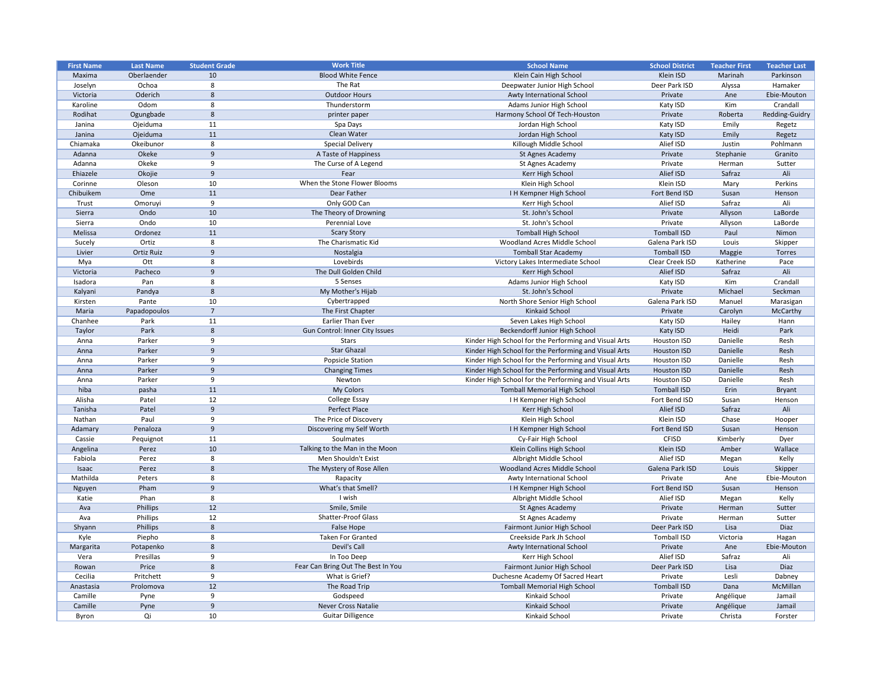| <b>First Name</b> | <b>Last Name</b> | <b>Student Grade</b> | <b>Work Title</b>                  | <b>School Name</b>                                    | <b>School District</b>       | <b>Teacher First</b> | <b>Teacher Last</b> |
|-------------------|------------------|----------------------|------------------------------------|-------------------------------------------------------|------------------------------|----------------------|---------------------|
| Maxima            | Oberlaender      | 10                   | <b>Blood White Fence</b>           | Klein Cain High School                                | Klein ISD                    | Marinah              | Parkinson           |
| Joselyn           | Ochoa            | 8                    | The Rat                            | Deepwater Junior High School                          | Deer Park ISD                | Alyssa               | Hamaker             |
| Victoria          | Oderich          | 8                    | <b>Outdoor Hours</b>               | Awty International School                             | Private                      | Ane                  | Ebie-Mouton         |
| Karoline          | Odom             | 8                    | Thunderstorm                       | Adams Junior High School                              | Katy ISD                     | Kim                  | Crandall            |
| Rodihat           | Ogungbade        | 8                    | printer paper                      | Harmony School Of Tech-Houston                        | Private                      | Roberta              | Redding-Guidry      |
| Janina            | Ojeiduma         | 11                   | Spa Days                           | Jordan High School                                    | Katy ISD                     | Emily                | Regetz              |
| Janina            | Ojeiduma         | 11                   | Clean Water                        | Jordan High School                                    | Katy ISD                     | Emily                | Regetz              |
| Chiamaka          | Okeibunor        | 8                    | <b>Special Delivery</b>            | Killough Middle School                                | Alief ISD                    | Justin               | Pohlmann            |
| Adanna            | Okeke            | 9                    | A Taste of Happiness               | St Agnes Academy                                      | Private                      | Stephanie            | Granito             |
| Adanna            | Okeke            | 9                    | The Curse of A Legend              | St Agnes Academy                                      | Private                      | Herman               | Sutter              |
| Ehiazele          | Okojie           | 9                    | Fear                               | Kerr High School                                      | Alief ISD                    | Safraz               | Ali                 |
| Corinne           | Oleson           | 10                   | When the Stone Flower Blooms       | Klein High School                                     | Klein ISD                    | Mary                 | Perkins             |
| Chibuikem         | Ome              | 11                   | Dear Father                        | I H Kempner High School                               | Fort Bend ISD                | Susan                | Henson              |
| Trust             | Omoruyi          | 9                    | Only GOD Can                       | Kerr High School                                      | Alief ISD                    | Safraz               | Ali                 |
| Sierra            | Ondo             | 10                   | The Theory of Drowning             | St. John's School                                     | Private                      | Allyson              | LaBorde             |
| Sierra            | Ondo             | 10                   | Perennial Love                     | St. John's School                                     | Private                      | Allyson              | LaBorde             |
| Melissa           | Ordonez          | 11                   | <b>Scary Story</b>                 | <b>Tomball High School</b>                            | <b>Tomball ISD</b>           | Paul                 | Nimon               |
| Sucely            | Ortiz            | 8                    | The Charismatic Kid                | Woodland Acres Middle School                          | Galena Park ISD              | Louis                | Skipper             |
| Livier            | Ortiz Ruiz       | 9                    | Nostalgia                          | <b>Tomball Star Academy</b>                           | <b>Tomball ISD</b>           |                      | Torres              |
|                   | Ott              |                      | Lovebirds                          |                                                       |                              | Maggie<br>Katherine  |                     |
| Mya               |                  | 8<br>9               | The Dull Golden Child              | Victory Lakes Intermediate School                     | Clear Creek ISD<br>Alief ISD |                      | Pace<br>Ali         |
| Victoria          | Pacheco          | 8                    | 5 Senses                           | Kerr High School                                      |                              | Safraz               |                     |
| Isadora           | Pan              |                      |                                    | Adams Junior High School<br>St. John's School         | Katy ISD                     | Kim                  | Crandall            |
| Kalyani           | Pandya           | 8                    | My Mother's Hijab                  |                                                       | Private                      | Michael              | Seckman             |
| Kirsten           | Pante            | 10                   | Cybertrapped                       | North Shore Senior High School                        | Galena Park ISD              | Manuel               | Marasigan           |
| Maria             | Papadopoulos     | $\overline{7}$       | The First Chapter                  | <b>Kinkaid School</b>                                 | Private                      | Carolyn              | McCarthy            |
| Chanhee           | Park             | 11                   | <b>Earlier Than Ever</b>           | Seven Lakes High School                               | Katy ISD                     | Hailey               | Hann                |
| Taylor            | Park             | 8                    | Gun Control: Inner City Issues     | Beckendorff Junior High School                        | Katy ISD                     | Heidi                | Park                |
| Anna              | Parker           | 9                    | <b>Stars</b>                       | Kinder High School for the Performing and Visual Arts | Houston ISD                  | Danielle             | Resh                |
| Anna              | Parker           | 9                    | <b>Star Ghazal</b>                 | Kinder High School for the Performing and Visual Arts | Houston ISD                  | Danielle             | Resh                |
| Anna              | Parker           | 9                    | <b>Popsicle Station</b>            | Kinder High School for the Performing and Visual Arts | Houston ISD                  | Danielle             | Resh                |
| Anna              | Parker           | 9                    | <b>Changing Times</b>              | Kinder High School for the Performing and Visual Arts | <b>Houston ISD</b>           | Danielle             | Resh                |
| Anna              | Parker           |                      | Newton                             | Kinder High School for the Performing and Visual Arts | Houston ISD                  | Danielle             | Resh                |
| hiba              | pasha            | 11                   | My Colors                          | <b>Tomball Memorial High School</b>                   | <b>Tomball ISD</b>           | Erin                 | <b>Bryant</b>       |
| Alisha            | Patel            | 12                   | <b>College Essay</b>               | I H Kempner High School                               | Fort Bend ISD                | Susan                | Henson              |
| Tanisha           | Patel            | 9                    | Perfect Place                      | Kerr High School                                      | Alief ISD                    | Safraz               | Ali                 |
| Nathan            | Paul             | 9                    | The Price of Discovery             | Klein High School                                     | Klein ISD                    | Chase                | Hooper              |
| Adamary           | Penaloza         | 9                    | Discovering my Self Worth          | I H Kempner High School                               | Fort Bend ISD                | Susan                | Henson              |
| Cassie            | Pequignot        | 11                   | Soulmates                          | Cy-Fair High School                                   | <b>CFISD</b>                 | Kimberly             | Dyer                |
| Angelina          | Perez            | 10                   | Talking to the Man in the Moon     | Klein Collins High School                             | Klein ISD                    | Amber                | Wallace             |
| Fabiola           | Perez            | 8                    | Men Shouldn't Exist                | Albright Middle School                                | Alief ISD                    | Megan                | Kelly               |
| Isaac             | Perez            | 8                    | The Mystery of Rose Allen          | Woodland Acres Middle School                          | Galena Park ISD              | Louis                | Skipper             |
| Mathilda          | Peters           |                      | Rapacity                           | Awty International School                             | Private                      | Ane                  | Ebie-Mouton         |
| Nguyen            | Pham             | 9                    | What's that Smell?                 | I H Kempner High School                               | Fort Bend ISD                | Susan                | Henson              |
| Katie             | Phan             | 8                    | I wish                             | Albright Middle School                                | Alief ISD                    | Megan                | Kelly               |
| Ava               | Phillips         | 12                   | Smile, Smile                       | St Agnes Academy                                      | Private                      | Herman               | Sutter              |
| Ava               | Phillips         | 12                   | <b>Shatter-Proof Glass</b>         | St Agnes Academy                                      | Private                      | Herman               | Sutter              |
| Shyann            | Phillips         | 8                    | False Hope                         | Fairmont Junior High School                           | Deer Park ISD                | Lisa                 | Diaz                |
| Kyle              | Piepho           | 8                    | <b>Taken For Granted</b>           | Creekside Park Jh School                              | <b>Tomball ISD</b>           | Victoria             | Hagan               |
| Margarita         | Potapenko        | 8                    | Devil's Call                       | Awty International School                             | Private                      | Ane                  | Ebie-Mouton         |
| Vera              | Presillas        | 9                    | In Too Deep                        | Kerr High School                                      | Alief ISD                    | Safraz               | Ali                 |
| Rowan             | Price            | 8                    | Fear Can Bring Out The Best In You | Fairmont Junior High School                           | Deer Park ISD                | Lisa                 | Diaz                |
| Cecilia           | Pritchett        | 9                    | What is Grief?                     | Duchesne Academy Of Sacred Heart                      | Private                      | Lesli                | Dabney              |
| Anastasia         | Prolomova        | 12                   | The Road Trip                      | <b>Tomball Memorial High School</b>                   | <b>Tomball ISD</b>           | Dana                 | McMillan            |
| Camille           | Pyne             | 9                    | Godspeed                           | Kinkaid School                                        | Private                      | Angélique            | Jamail              |
| Camille           | Pyne             | 9                    | <b>Never Cross Natalie</b>         | <b>Kinkaid School</b>                                 | Private                      | Angélique            | Jamail              |
| Byron             | Qi               | 10                   | <b>Guitar Dilligence</b>           | Kinkaid School                                        | Private                      | Christa              | Forster             |
|                   |                  |                      |                                    |                                                       |                              |                      |                     |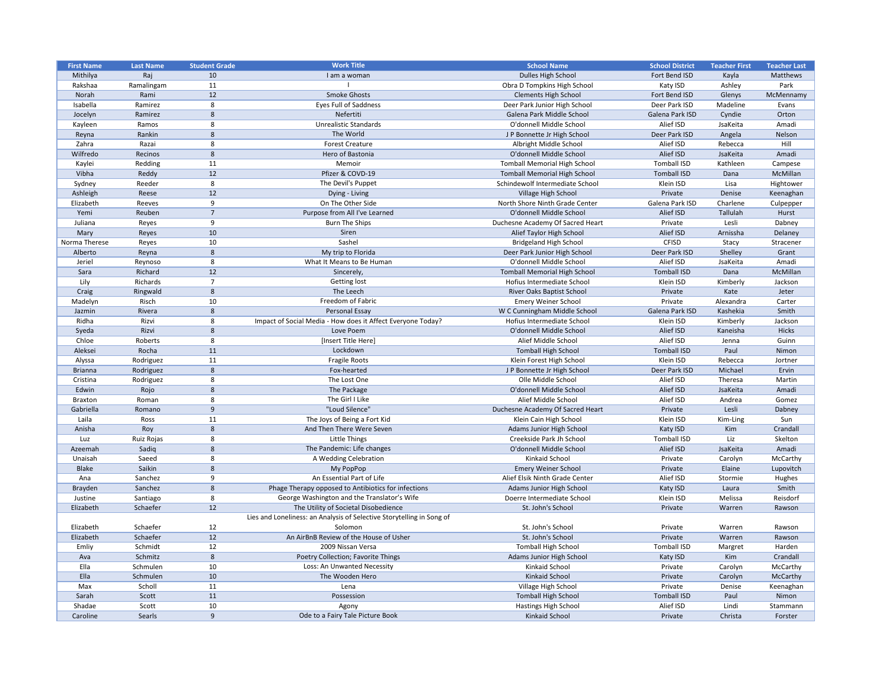| <b>First Name</b> | <b>Last Name</b> | <b>Student Grade</b> | <b>Work Title</b>                                                     | <b>School Name</b>                  | <b>School District</b> | <b>Teacher First</b> | <b>Teacher Last</b> |
|-------------------|------------------|----------------------|-----------------------------------------------------------------------|-------------------------------------|------------------------|----------------------|---------------------|
| Mithilya          | Raj              | 10                   | I am a woman                                                          | Dulles High School                  | Fort Bend ISD          | Kayla                | Matthews            |
| Rakshaa           | Ramalingam       | 11                   |                                                                       | Obra D Tompkins High School         | Katy ISD               | Ashley               | Park                |
| Norah             | Rami             | 12                   | <b>Smoke Ghosts</b>                                                   | <b>Clements High School</b>         | Fort Bend ISD          | Glenys               | McMennamy           |
| Isabella          | Ramirez          | 8                    | <b>Eyes Full of Saddness</b>                                          | Deer Park Junior High School        | Deer Park ISD          | Madeline             | Evans               |
| Jocelyn           | Ramirez          | 8                    | Nefertiti                                                             | Galena Park Middle School           | Galena Park ISD        | Cyndie               | Orton               |
| Kayleen           | Ramos            | 8                    | <b>Unrealistic Standards</b>                                          | O'donnell Middle School             | Alief ISD              | JsaKeita             | Amadi               |
| Reyna             | Rankin           | 8                    | The World                                                             | J P Bonnette Jr High School         | Deer Park ISD          | Angela               | Nelson              |
| Zahra             | Razai            | 8                    | <b>Forest Creature</b>                                                | Albright Middle School              | Alief ISD              | Rebecca              | Hill                |
| Wilfredo          | Recinos          | 8                    | Hero of Bastonia                                                      | O'donnell Middle School             | Alief ISD              | JsaKeita             | Amadi               |
| Kaylei            | Redding          | 11                   | Memoir                                                                | <b>Tomball Memorial High School</b> | Tomball ISD            | Kathleen             | Campese             |
| Vibha             | Reddy            | 12                   | Pfizer & COVD-19                                                      | <b>Tomball Memorial High School</b> | <b>Tomball ISD</b>     | Dana                 | McMillan            |
| Sydney            | Reeder           | 8                    | The Devil's Puppet                                                    | Schindewolf Intermediate School     | Klein ISD              | Lisa                 | Hightower           |
| Ashleigh          | Reese            | 12                   | Dying - Living                                                        | Village High School                 | Private                | Denise               | Keenaghan           |
| Elizabeth         | Reeves           | 9                    | On The Other Side                                                     | North Shore Ninth Grade Center      | Galena Park ISD        | Charlene             | Culpepper           |
| Yemi              | Reuben           | $\overline{7}$       | Purpose from All I've Learned                                         | O'donnell Middle School             | Alief ISD              | Tallulah             | Hurst               |
| Juliana           | Reyes            | 9                    | <b>Burn The Ships</b>                                                 | Duchesne Academy Of Sacred Heart    | Private                | Lesli                | Dabney              |
| Mary              | Reyes            | 10                   | Siren                                                                 | Alief Taylor High School            | Alief ISD              | Arnissha             | Delaney             |
| Norma Therese     | Reyes            | 10                   | Sashel                                                                | <b>Bridgeland High School</b>       | <b>CFISD</b>           | Stacy                | Stracener           |
| Alberto           | Reyna            | 8                    | My trip to Florida                                                    | Deer Park Junior High School        | Deer Park ISD          | Shelley              | Grant               |
| Jeriel            | Reynoso          | 8                    | What It Means to Be Human                                             | O'donnell Middle School             | Alief ISD              | JsaKeita             | Amadi               |
| Sara              | Richard          | 12                   | Sincerely,                                                            | <b>Tomball Memorial High School</b> | <b>Tomball ISD</b>     | Dana                 | McMillan            |
| Lily              | Richards         | $\overline{7}$       | Getting lost                                                          | Hofius Intermediate School          | Klein ISD              | Kimberly             | Jackson             |
| Craig             | Ringwald         | 8                    | The Leech                                                             | <b>River Oaks Baptist School</b>    | Private                | Kate                 | Jeter               |
| Madelyn           | Risch            | 10                   | Freedom of Fabric                                                     | <b>Emery Weiner School</b>          | Private                | Alexandra            | Carter              |
|                   | Rivera           | 8                    | Personal Essay                                                        | W C Cunningham Middle School        | Galena Park ISD        | Kashekia             | Smith               |
| Jazmin<br>Ridha   | Rizvi            | 8                    | Impact of Social Media - How does it Affect Everyone Today?           | Hofius Intermediate School          |                        | Kimberly             | Jackson             |
|                   |                  |                      | Love Poem                                                             |                                     | Klein ISD              |                      |                     |
| Syeda             | Rizvi            | 8                    |                                                                       | O'donnell Middle School             | Alief ISD              | Kaneisha             | <b>Hicks</b>        |
| Chloe             | Roberts          | 8                    | [Insert Title Here]                                                   | Alief Middle School                 | Alief ISD              | Jenna                | Guinn               |
| Aleksei           | Rocha            | 11                   | Lockdown                                                              | <b>Tomball High School</b>          | <b>Tomball ISD</b>     | Paul                 | Nimon               |
| Alyssa            | Rodriguez        | 11                   | Fragile Roots                                                         | Klein Forest High School            | Klein ISD              | Rebecca              | Jortner             |
| <b>Brianna</b>    | Rodriguez        | 8                    | Fox-hearted                                                           | J P Bonnette Jr High School         | Deer Park ISD          | Michael              | Ervin               |
| Cristina          | Rodriguez        |                      | The Lost One                                                          | Olle Middle School                  | Alief ISD              | Theresa              | Martin              |
| Edwin             | Rojo             | 8                    | The Package                                                           | O'donnell Middle School             | Alief ISD              | JsaKeita             | Amadi               |
| <b>Braxton</b>    | Roman            | 8                    | The Girl I Like                                                       | Alief Middle School                 | Alief ISD              | Andrea               | Gomez               |
| Gabriella         | Romano           | 9                    | "Loud Silence"                                                        | Duchesne Academy Of Sacred Heart    | Private                | Lesli                | Dabney              |
| Laila             | Ross             | 11                   | The Joys of Being a Fort Kid                                          | Klein Cain High School              | Klein ISD              | Kim-Ling             | Sun                 |
| Anisha            | Roy              | 8                    | And Then There Were Seven                                             | Adams Junior High School            | Katy ISD               | Kim                  | Crandall            |
| Luz               | Ruiz Rojas       | 8                    | Little Things                                                         | Creekside Park Jh School            | Tomball ISD            | Liz                  | Skelton             |
| Azeemah           | Sadiq            | 8                    | The Pandemic: Life changes                                            | O'donnell Middle School             | Alief ISD              | JsaKeita             | Amadi               |
| Unaisah           | Saeed            | 8                    | A Wedding Celebration                                                 | Kinkaid School                      | Private                | Carolyn              | McCarthy            |
| <b>Blake</b>      | Saikin           | 8                    | My PopPop                                                             | <b>Emery Weiner School</b>          | Private                | Elaine               | Lupovitch           |
| Ana               | Sanchez          | 9                    | An Essential Part of Life                                             | Alief Elsik Ninth Grade Center      | Alief ISD              | Stormie              | Hughes              |
| Brayden           | Sanchez          | 8                    | Phage Therapy opposed to Antibiotics for infections                   | Adams Junior High School            | Katy ISD               | Laura                | Smith               |
| Justine           | Santiago         | 8                    | George Washington and the Translator's Wife                           | Doerre Intermediate School          | Klein ISD              | Melissa              | Reisdorf            |
| Elizabeth         | Schaefer         | 12                   | The Utility of Societal Disobedience                                  | St. John's School                   | Private                | Warren               | Rawson              |
|                   |                  |                      | Lies and Loneliness: an Analysis of Selective Storytelling in Song of |                                     |                        |                      |                     |
| Elizabeth         | Schaefer         | 12                   | Solomon                                                               | St. John's School                   | Private                | Warren               | Rawson              |
| Elizabeth         | Schaefer         | 12                   | An AirBnB Review of the House of Usher                                | St. John's School                   | Private                | Warren               | Rawson              |
| Emliy             | Schmidt          | 12                   | 2009 Nissan Versa                                                     | <b>Tomball High School</b>          | Tomball ISD            | Margret              | Harden              |
| Ava               | Schmitz          | 8                    | Poetry Collection; Favorite Things                                    | Adams Junior High School            | Katy ISD               | Kim                  | Crandall            |
| Ella              | Schmulen         | 10                   | Loss: An Unwanted Necessity                                           | Kinkaid School                      | Private                | Carolyn              | McCarthy            |
| Ella              | Schmulen         | 10                   | The Wooden Hero                                                       | Kinkaid School                      | Private                | Carolyn              | McCarthy            |
| Max               | Scholl           | 11                   | Lena                                                                  | Village High School                 | Private                | Denise               | Keenaghan           |
| Sarah             | Scott            | 11                   | Possession                                                            | <b>Tomball High School</b>          | <b>Tomball ISD</b>     | Paul                 | Nimon               |
| Shadae            | Scott            | 10                   | Agony                                                                 | Hastings High School                | Alief ISD              | Lindi                | Stammann            |
| Caroline          | Searls           | 9                    | Ode to a Fairy Tale Picture Book                                      | Kinkaid School                      | Private                | Christa              | Forster             |
|                   |                  |                      |                                                                       |                                     |                        |                      |                     |

| <b>School District</b> | <b>Teacher First</b> | <b>Teacher Last</b> |
|------------------------|----------------------|---------------------|
| Fort Bend ISD          | Kayla                | <b>Matthews</b>     |
| Katy ISD               | Ashley               | Park                |
| Fort Bend ISD          | Glenys               | McMennamy           |
| Deer Park ISD          | Madeline             | Evans               |
| Galena Park ISD        | Cyndie               | Orton               |
| Alief ISD              | JsaKeita             | Amadi               |
| Deer Park ISD          | Angela               | Nelson              |
| Alief ISD              | Rebecca              | Hill                |
| Alief ISD              | JsaKeita             | Amadi               |
| <b>Tomball ISD</b>     | Kathleen             | Campese             |
| <b>Tomball ISD</b>     | Dana                 | McMillan            |
| Klein ISD              | Lisa                 | Hightower           |
| Private                | Denise               | Keenaghan           |
| Galena Park ISD        | Charlene             | Culpepper           |
| Alief ISD              | <b>Tallulah</b>      | Hurst               |
| Private                | Lesli                | Dabney              |
| Alief ISD              | Arnissha             | Delaney             |
| <b>CFISD</b>           | Stacy                | Stracener           |
| Deer Park ISD          | Shelley              | Grant               |
| Alief ISD              | JsaKeita             | Amadi               |
| <b>Tomball ISD</b>     | Dana                 | McMillan            |
| Klein ISD              | Kimberly             | Jackson             |
| Private                | Kate                 | Jeter               |
| Private                | Alexandra            | Carter              |
| Galena Park ISD        | Kashekia             | Smith               |
| Klein ISD              | Kimberly             | Jackson             |
| Alief ISD              | Kaneisha             | <b>Hicks</b>        |
| Alief ISD              | Jenna                | Guinn               |
| <b>Tomball ISD</b>     | Paul                 | Nimon               |
| Klein ISD              |                      |                     |
| Deer Park ISD          | Rebecca<br>Michael   | Jortner<br>Ervin    |
| Alief ISD              | Theresa              | Martin              |
|                        |                      |                     |
| Alief ISD              | JsaKeita             | Amadi               |
| Alief ISD              | Andrea               | Gomez               |
| Private                | Lesli                | Dabney              |
| Klein ISD              | Kim-Ling             | Sun                 |
| Katy ISD               | Kim                  | Crandall            |
| <b>Tomball ISD</b>     | Liz                  | Skelton             |
| Alief ISD              | JsaKeita             | Amadi               |
| Private                | Carolyn              | McCarthy            |
| Private                | Elaine               | Lupovitch           |
| Alief ISD              | Stormie              | Hughes              |
| Katy ISD               | Laura                | Smith               |
| Klein ISD              | Melissa              | Reisdorf            |
| Private                | Warren               | Rawson              |
|                        |                      |                     |
| Private                | Warren               | Rawson              |
| Private                | Warren               | Rawson              |
| <b>Tomball ISD</b>     | Margret              | Harden              |
| Katy ISD               | Kim                  | Crandall            |
| Private                | Carolyn              | McCarthy            |
| Private                | Carolyn              | McCarthy            |
| Private                | Denise               | Keenaghan           |
| <b>Tomball ISD</b>     | Paul                 | Nimon               |
| Alief ISD              | Lindi                | Stammann            |
| Private                | Christa              | Forster             |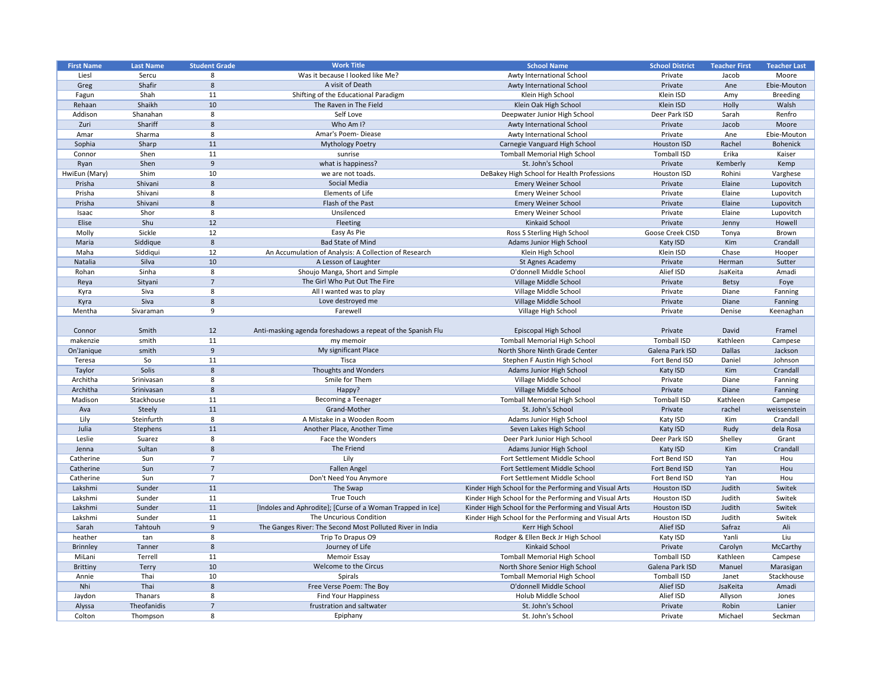| <b>First Name</b>      | <b>Last Name</b> | <b>Student Grade</b> | <b>Work Title</b>                                           | <b>School Name</b>                                    | <b>School District</b> | <b>Teacher First</b> | <b>Teacher Last</b> |
|------------------------|------------------|----------------------|-------------------------------------------------------------|-------------------------------------------------------|------------------------|----------------------|---------------------|
| Liesl                  | Sercu            | 8                    | Was it because I looked like Me?                            | Awty International School                             | Private                | Jacob                | Moore               |
| Greg                   | Shafir           | 8                    | A visit of Death                                            | Awty International School                             | Private                | Ane                  | Ebie-Mouton         |
| Fagun                  | Shah             | 11                   | Shifting of the Educational Paradigm                        | Klein High School                                     | Klein ISD              | Amy                  | <b>Breeding</b>     |
| Rehaan                 | Shaikh           | 10                   | The Raven in The Field                                      | Klein Oak High School                                 | Klein ISD              | Holly                | Walsh               |
| Addison                | Shanahan         | 8                    | Self Love                                                   | Deepwater Junior High School                          | Deer Park ISD          | Sarah                | Renfro              |
| Zuri                   | Shariff          | 8                    | Who Am I?                                                   | Awty International School                             | Private                | Jacob                | Moore               |
| Amar                   | Sharma           | 8                    | Amar's Poem-Diease                                          | Awty International School                             | Private                | Ane                  | Ebie-Mouton         |
| Sophia                 | Sharp            | 11                   | <b>Mythology Poetry</b>                                     | Carnegie Vanguard High School                         | <b>Houston ISD</b>     | Rachel               | <b>Bohenick</b>     |
| Connor                 | Shen             | 11                   | sunrise                                                     | <b>Tomball Memorial High School</b>                   | <b>Tomball ISD</b>     | Erika                | Kaiser              |
| Ryan                   | Shen             | 9                    | what is happiness?                                          | St. John's School                                     | Private                | Kemberly             | Kemp                |
| HwiEun (Mary)          | Shim             | 10                   | we are not toads.                                           | DeBakey High School for Health Professions            | Houston ISD            | Rohini               | Varghese            |
| Prisha                 | Shivani          | 8                    | Social Media                                                | <b>Emery Weiner School</b>                            | Private                | Elaine               | Lupovitch           |
| Prisha                 | Shivani          | 8                    | Elements of Life                                            | <b>Emery Weiner School</b>                            | Private                | Elaine               | Lupovitch           |
| Prisha                 | Shivani          | 8                    | Flash of the Past                                           | <b>Emery Weiner School</b>                            | Private                | Elaine               | Lupovitch           |
| Isaac                  | Shor             | 8                    | Unsilenced                                                  | <b>Emery Weiner School</b>                            | Private                | Elaine               | Lupovitch           |
| Elise                  | Shu              | 12                   | Fleeting                                                    | Kinkaid School                                        | Private                | Jenny                | Howell              |
| Molly                  | Sickle           | 12                   | Easy As Pie                                                 | Ross S Sterling High School                           | Goose Creek CISD       | Tonya                | Brown               |
| Maria                  | Siddique         | 8                    | <b>Bad State of Mind</b>                                    | Adams Junior High School                              | Katy ISD               | Kim                  | Crandall            |
| Maha                   | Siddiqui         | 12                   | An Accumulation of Analysis: A Collection of Research       | Klein High School                                     | Klein ISD              | Chase                | Hooper              |
| Natalia                | Silva            | 10                   | A Lesson of Laughter                                        | St Agnes Academy                                      | Private                | Herman               | Sutter              |
| Rohan                  | Sinha            | 8                    | Shoujo Manga, Short and Simple                              | O'donnell Middle School                               | Alief ISD              | JsaKeita             | Amadi               |
| Reya                   | Sityani          | $\overline{7}$       | The Girl Who Put Out The Fire                               | Village Middle School                                 | Private                | <b>Betsy</b>         | Foye                |
| Kyra                   | Siva             | 8                    | All I wanted was to play                                    | Village Middle School                                 | Private                | Diane                | Fanning             |
| Kyra                   | Siva             | 8                    | Love destroyed me                                           | Village Middle School                                 | Private                | Diane                | Fanning             |
| Mentha                 | Sivaraman        | 9                    | Farewell                                                    | Village High School                                   | Private                | Denise               | Keenaghan           |
|                        |                  |                      |                                                             |                                                       |                        |                      |                     |
| Connor                 | Smith            | 12                   | Anti-masking agenda foreshadows a repeat of the Spanish Flu | Episcopal High School                                 | Private                | David                | Framel              |
| makenzie               | smith            | 11                   | my memoir                                                   | <b>Tomball Memorial High School</b>                   | <b>Tomball ISD</b>     | Kathleen             | Campese             |
| On'Janique             | smith            | 9                    | My significant Place                                        | North Shore Ninth Grade Center                        | Galena Park ISD        | <b>Dallas</b>        | Jackson             |
| Teresa                 | So               | 11                   | Tisca                                                       | Stephen F Austin High School                          | Fort Bend ISD          | Daniel               | Johnson             |
| Taylor                 | Solis            | 8                    | Thoughts and Wonders                                        | Adams Junior High School                              | Katy ISD               | Kim                  | Crandall            |
| Architha               | Srinivasan       | 8                    | Smile for Them                                              | Village Middle School                                 | Private                | Diane                | Fanning             |
| Architha               | Srinivasan       | 8                    | Happy?                                                      | Village Middle School                                 | Private                | Diane                | Fanning             |
| Madison                | Stackhouse       | 11                   | <b>Becoming a Teenager</b>                                  | <b>Tomball Memorial High School</b>                   | <b>Tomball ISD</b>     | Kathleen             | Campese             |
| Ava                    | Steely           | 11                   | Grand-Mother                                                | St. John's School                                     | Private                | rachel               | weissenstein        |
| Lily                   | Steinfurth       | 8                    | A Mistake in a Wooden Room                                  | Adams Junior High School                              | Katy ISD               | Kim                  | Crandall            |
| Julia                  | Stephens         | 11                   | Another Place, Another Time                                 | Seven Lakes High School                               | Katy ISD               | Rudy                 | dela Rosa           |
| Leslie                 | Suarez           | 8                    | Face the Wonders                                            | Deer Park Junior High School                          | Deer Park ISD          | Shelley              | Grant               |
| Jenna                  | Sultan           | 8                    | The Friend                                                  | Adams Junior High School                              | Katy ISD               | Kim                  | Crandall            |
|                        |                  |                      | Lily                                                        | Fort Settlement Middle School                         | Fort Bend ISD          |                      |                     |
| Catherine<br>Catherine | Sun<br>Sun       | $\overline{7}$       | <b>Fallen Angel</b>                                         | Fort Settlement Middle School                         | Fort Bend ISD          | Yan                  | Hou<br>Hou          |
|                        |                  |                      |                                                             | Fort Settlement Middle School                         | Fort Bend ISD          | Yan                  |                     |
| Catherine              | Sun              |                      | Don't Need You Anymore                                      |                                                       |                        | Yan                  | Hou                 |
| Lakshmi                | Sunder           | 11                   | The Swap<br><b>True Touch</b>                               | Kinder High School for the Performing and Visual Arts | <b>Houston ISD</b>     | Judith               | Switek              |
| Lakshmi                | Sunder           | 11                   |                                                             | Kinder High School for the Performing and Visual Arts | Houston ISD            | Judith               | Switek              |
| Lakshmi                | Sunder           | 11                   | [Indoles and Aphrodite]; [Curse of a Woman Trapped in Ice]  | Kinder High School for the Performing and Visual Arts | <b>Houston ISD</b>     | Judith               | Switek              |
| Lakshmi                | Sunder           | 11                   | The Uncurious Condition                                     | Kinder High School for the Performing and Visual Arts | Houston ISD            | Judith               | Switek              |
| Sarah                  | Tahtouh          | 9                    | The Ganges River: The Second Most Polluted River in India   | Kerr High School                                      | Alief ISD              | Safraz               | Ali                 |
| heather                | tan              | 8                    | Trip To Drapus O9                                           | Rodger & Ellen Beck Jr High School                    | Katy ISD               | Yanli                | Liu                 |
| <b>Brinnley</b>        | Tanner           | 8                    | Journey of Life                                             | Kinkaid School                                        | Private                | Carolyn              | McCarthy            |
| MiLani                 | Terrell          | 11                   | <b>Memoir Essay</b>                                         | <b>Tomball Memorial High School</b>                   | <b>Tomball ISD</b>     | Kathleen             | Campese             |
| <b>Brittiny</b>        | Terry            | 10                   | Welcome to the Circus                                       | North Shore Senior High School                        | Galena Park ISD        | Manuel               | Marasigan           |
| Annie                  | Thai             | 10                   | Spirals                                                     | <b>Tomball Memorial High School</b>                   | <b>Tomball ISD</b>     | Janet                | Stackhouse          |
| Nhi                    | Thai             | 8                    | Free Verse Poem: The Boy                                    | O'donnell Middle School                               | Alief ISD              | JsaKeita             | Amadi               |
| Jaydon                 | Thanars          | 8                    | <b>Find Your Happiness</b>                                  | Holub Middle School                                   | Alief ISD              | Allyson              | Jones               |
| Alyssa                 | Theofanidis      |                      | frustration and saltwater                                   | St. John's School                                     | Private                | Robin                | Lanier              |
| Colton                 | Thompson         | 8                    | Epiphany                                                    | St. John's School                                     | Private                | Michael              | Seckman             |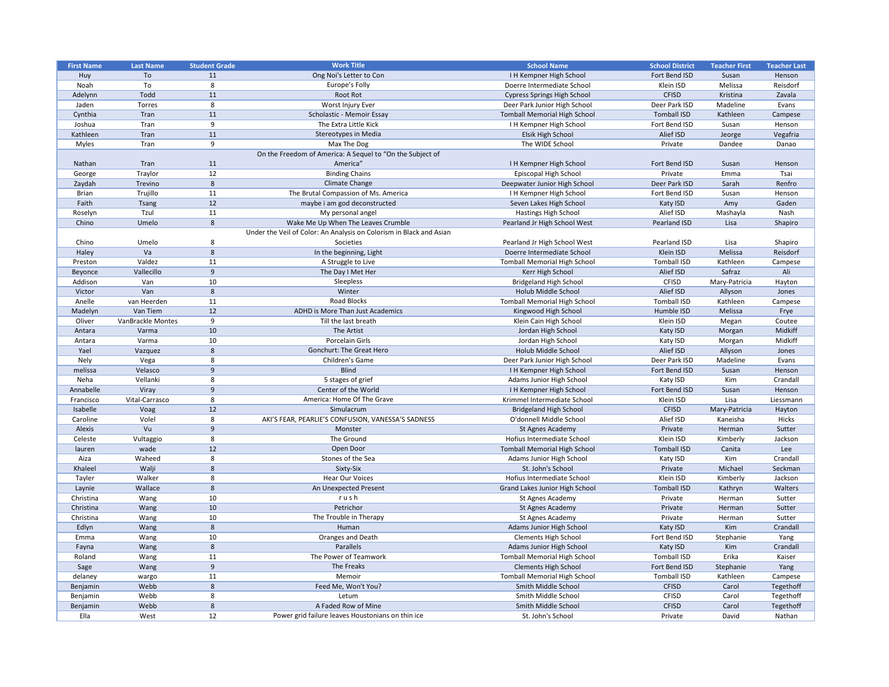|                   |                          |                      | <b>Work Title</b>                                                   | <b>School Name</b>                    |                        |                      |                     |
|-------------------|--------------------------|----------------------|---------------------------------------------------------------------|---------------------------------------|------------------------|----------------------|---------------------|
| <b>First Name</b> | <b>Last Name</b>         | <b>Student Grade</b> |                                                                     |                                       | <b>School District</b> | <b>Teacher First</b> | <b>Teacher Last</b> |
| Huy               | To                       | 11                   | Ong Noi's Letter to Con                                             | I H Kempner High School               | Fort Bend ISD          | Susan                | Henson              |
| Noah              | To                       | 8                    | Europe's Folly                                                      | Doerre Intermediate School            | Klein ISD              | Melissa              | Reisdorf            |
| Adelynn           | Todd                     | 11                   | Root Rot                                                            | <b>Cypress Springs High School</b>    | <b>CFISD</b>           | Kristina             | Zavala              |
| Jaden             | Torres                   | 8                    | Worst Injury Ever                                                   | Deer Park Junior High School          | Deer Park ISD          | Madeline             | Evans               |
| Cynthia           | Tran                     | 11                   | Scholastic - Memoir Essay                                           | <b>Tomball Memorial High School</b>   | <b>Tomball ISD</b>     | Kathleen             | Campese             |
| Joshua            | Tran                     | 9                    | The Extra Little Kick                                               | I H Kempner High School               | Fort Bend ISD          | Susan                | Henson              |
| Kathleen          | Tran                     | 11                   | Stereotypes in Media                                                | Elsik High School                     | Alief ISD              | Jeorge               | Vegafria            |
| Myles             | Tran                     | 9                    | Max The Dog                                                         | The WIDE School                       | Private                | Dandee               | Danao               |
|                   |                          |                      | On the Freedom of America: A Sequel to "On the Subject of           |                                       |                        |                      |                     |
| Nathan            | Tran                     | 11                   | America"                                                            | <b>I H Kempner High School</b>        | Fort Bend ISD          | Susan                | Henson              |
| George            | Traylor                  | 12                   | <b>Binding Chains</b>                                               | Episcopal High School                 | Private                | Emma                 | Tsai                |
| Zaydah            | Trevino                  | 8                    | Climate Change                                                      | Deepwater Junior High School          | Deer Park ISD          | Sarah                | Renfro              |
| <b>Brian</b>      | Trujillo                 | 11                   | The Brutal Compassion of Ms. America                                | I H Kempner High School               | Fort Bend ISD          | Susan                | Henson              |
| Faith             | <b>Tsang</b>             | 12                   | maybe i am god deconstructed                                        | Seven Lakes High School               | Katy ISD               | Amy                  | Gaden               |
| Roselyn           | Tzul                     | 11                   | My personal angel                                                   | Hastings High School                  | Alief ISD              | Mashayla             | Nash                |
| Chino             | Umelo                    | 8                    | Wake Me Up When The Leaves Crumble                                  | Pearland Jr High School West          | Pearland ISD           | Lisa                 | Shapiro             |
|                   |                          |                      | Under the Veil of Color: An Analysis on Colorism in Black and Asian |                                       |                        |                      |                     |
| Chino             | Umelo                    | 8                    | Societies                                                           | Pearland Jr High School West          | Pearland ISD           | Lisa                 | Shapiro             |
| Haley             | Va                       | 8                    | In the beginning, Light                                             | Doerre Intermediate School            | Klein ISD              | Melissa              | Reisdorf            |
|                   | Valdez                   | 11                   | A Struggle to Live                                                  | <b>Tomball Memorial High School</b>   | <b>Tomball ISD</b>     | Kathleen             |                     |
| Preston           |                          | 9                    | The Day I Met Her                                                   |                                       | Alief ISD              | Safraz               | Campese<br>Ali      |
| Beyonce           | Vallecillo               |                      |                                                                     | Kerr High School                      |                        |                      |                     |
| Addison           | Van                      | 10                   | Sleepless                                                           | <b>Bridgeland High School</b>         | <b>CFISD</b>           | Mary-Patricia        | Hayton              |
| Victor            | Van                      | 8                    | Winter                                                              | Holub Middle School                   | Alief ISD              | Allyson              | Jones               |
| Anelle            | van Heerden              | 11                   | <b>Road Blocks</b>                                                  | <b>Tomball Memorial High School</b>   | <b>Tomball ISD</b>     | Kathleen             | Campese             |
| Madelyn           | Van Tiem                 | 12                   | ADHD is More Than Just Academics                                    | Kingwood High School                  | Humble ISD             | Melissa              | Frye                |
| Oliver            | <b>VanBrackle Montes</b> | 9                    | Till the last breath                                                | Klein Cain High School                | Klein ISD              | Megan                | Coutee              |
| Antara            | Varma                    | 10                   | The Artist                                                          | Jordan High School                    | Katy ISD               | Morgan               | Midkiff             |
| Antara            | Varma                    | 10                   | Porcelain Girls                                                     | Jordan High School                    | Katy ISD               | Morgan               | Midkiff             |
| Yael              | Vazquez                  | 8                    | <b>Gonchurt: The Great Hero</b>                                     | Holub Middle School                   | Alief ISD              | Allyson              | Jones               |
| Nely              | Vega                     | 8                    | Children's Game                                                     | Deer Park Junior High School          | Deer Park ISD          | Madeline             | Evans               |
| melissa           | Velasco                  | -9                   | <b>Blind</b>                                                        | I H Kempner High School               | Fort Bend ISD          | Susan                | Henson              |
| Neha              | Vellanki                 |                      | 5 stages of grief                                                   | Adams Junior High School              | Katy ISD               | Kim                  | Crandall            |
| Annabelle         | Viray                    | 9                    | Center of the World                                                 | <b>IH Kempner High School</b>         | Fort Bend ISD          | Susan                | Henson              |
| Francisco         | Vital-Carrasco           | 8                    | America: Home Of The Grave                                          | Krimmel Intermediate School           | Klein ISD              | Lisa                 | Liessmann           |
| Isabelle          | Voag                     | 12                   | Simulacrum                                                          | <b>Bridgeland High School</b>         | <b>CFISD</b>           | Mary-Patricia        | Hayton              |
| Caroline          | Volel                    | 8                    | AKI'S FEAR, PEARLIE'S CONFUSION, VANESSA'S SADNESS                  | O'donnell Middle School               | Alief ISD              | Kaneisha             | Hicks               |
| Alexis            | Vu                       | -9                   | Monster                                                             | <b>St Agnes Academy</b>               | Private                | Herman               | Sutter              |
| Celeste           | Vultaggio                | 8                    | The Ground                                                          | Hofius Intermediate School            | Klein ISD              | Kimberly             | Jackson             |
| lauren            | wade                     | 12                   | Open Door                                                           | <b>Tomball Memorial High School</b>   | <b>Tomball ISD</b>     | Canita               | Lee                 |
| Aiza              | Waheed                   | 8                    | Stones of the Sea                                                   | Adams Junior High School              | Katy ISD               | Kim                  | Crandall            |
| Khaleel           | Walji                    | 8                    | Sixty-Six                                                           | St. John's School                     | Private                | Michael              | Seckman             |
| Tayler            | Walker                   | 8                    | <b>Hear Our Voices</b>                                              | Hofius Intermediate School            | Klein ISD              | Kimberly             | Jackson             |
| Laynie            | Wallace                  | 8                    | An Unexpected Present                                               | <b>Grand Lakes Junior High School</b> | <b>Tomball ISD</b>     | Kathryn              | Walters             |
| Christina         |                          | 10                   | rush                                                                | St Agnes Academy                      | Private                |                      |                     |
|                   | Wang                     |                      |                                                                     |                                       |                        | Herman               | Sutter              |
| Christina         | Wang                     | 10                   | Petrichor                                                           | St Agnes Academy                      | Private                | Herman               | Sutter              |
| Christina         | Wang                     | 10                   | The Trouble in Therapy                                              | St Agnes Academy                      | Private                | Herman               | Sutter              |
| Edlyn             | Wang                     | 8                    | Human                                                               | Adams Junior High School              | Katy ISD               | Kim                  | Crandall            |
| Emma              | Wang                     | 10                   | Oranges and Death                                                   | <b>Clements High School</b>           | Fort Bend ISD          | Stephanie            | Yang                |
| Fayna             | Wang                     | 8                    | Parallels                                                           | Adams Junior High School              | Katy ISD               | Kim                  | Crandall            |
| Roland            | Wang                     | 11                   | The Power of Teamwork                                               | <b>Tomball Memorial High School</b>   | <b>Tomball ISD</b>     | Erika                | Kaiser              |
| Sage              | Wang                     | 9                    | The Freaks                                                          | <b>Clements High School</b>           | Fort Bend ISD          | Stephanie            | Yang                |
| delaney           | wargo                    | 11                   | Memoir                                                              | <b>Tomball Memorial High School</b>   | <b>Tomball ISD</b>     | Kathleen             | Campese             |
| Benjamin          | Webb                     | 8                    | Feed Me, Won't You?                                                 | Smith Middle School                   | <b>CFISD</b>           | Carol                | Tegethoff           |
| Benjamin          | Webb                     | 8                    | Letum                                                               | Smith Middle School                   | <b>CFISD</b>           | Carol                | Tegethoff           |
| Benjamin          | Webb                     | 8                    | A Faded Row of Mine                                                 | Smith Middle School                   | <b>CFISD</b>           | Carol                | Tegethoff           |
| Ella              | West                     | 12                   | Power grid failure leaves Houstonians on thin ice                   | St. John's School                     | Private                | David                | Nathan              |
|                   |                          |                      |                                                                     |                                       |                        |                      |                     |

| <b>School District</b>       | <b>Teacher First</b>  | <b>Teacher Last</b> |
|------------------------------|-----------------------|---------------------|
| Fort Bend ISD                | Susan                 | Henson              |
| Klein ISD                    | Melissa               | Reisdorf            |
| <b>CFISD</b>                 | Kristina              | Zavala              |
| Deer Park ISD                | Madeline              | Evans               |
| <b>Tomball ISD</b>           | Kathleen              | Campese             |
| Fort Bend ISD                | Susan                 | Henson              |
| Alief ISD                    | Jeorge                | Vegafria            |
| Private                      | Dandee                | Danao               |
|                              |                       |                     |
| Fort Bend ISD                | Susan                 | Henson              |
| Private                      | Emma                  | Tsai                |
| Deer Park ISD                | Sarah                 | Renfro              |
| Fort Bend ISD                | Susan                 | Henson              |
| Katy ISD                     | Amy                   | Gaden               |
| Alief ISD                    | Mashayla              | Nash                |
| <b>Pearland ISD</b>          | Lisa                  | Shapiro             |
|                              |                       |                     |
| <b>Pearland ISD</b>          | Lisa                  | Shapiro             |
| Klein ISD                    | <b>Melissa</b>        | Reisdorf            |
| <b>Tomball ISD</b>           | Kathleen              | Campese             |
| Alief ISD                    | Safraz                | Ali                 |
| <b>CFISD</b>                 | Mary-Patricia         | Hayton              |
| Alief ISD                    | Allyson               | Jones               |
| <b>Tomball ISD</b>           | Kathleen              | Campese             |
| Humble ISD                   | Melissa               | Frye                |
| Klein ISD                    | Megan                 | Coutee              |
| Katy ISD                     | Morgan                | Midkiff             |
| Katy ISD                     | Morgan                | Midkiff             |
| <b>Alief ISD</b>             | Allyson               | Jones               |
| Deer Park ISD                | Madeline              | Evans               |
| Fort Bend ISD                | Susan                 | Henson              |
| Katy ISD                     | Kim                   | Crandall            |
| Fort Bend ISD                | Susan                 | Henson              |
| Klein ISD                    | Lisa                  | Liessmann           |
| <b>CFISD</b>                 | Mary-Patricia         | Hayton              |
| Alief ISD                    | Kaneisha              | <b>Hicks</b>        |
| Private                      | Herman                | Sutter              |
| Klein ISD                    | Kimberly              | Jackson             |
| <b>Tomball ISD</b>           | Canita                | Lee                 |
| Katy ISD                     | Kim                   | Crandall            |
| Private                      | Michael               | Seckman             |
| Klein ISD                    | Kimberly              | Jackson             |
| <b>Tomball ISD</b>           | Kathryn               | Walters             |
| Private                      | Herman                | Sutter              |
| Private                      | Herman                | Sutter              |
| Private                      | Herman                | Sutter              |
| Katy ISD                     | Kim                   | Crandall            |
| Fort Bend ISD<br>Katy ISD    | Stephanie<br>Kim      | Yang<br>Crandall    |
| <b>Tomball ISD</b>           |                       |                     |
|                              | Erika                 | Kaiser              |
| Fort Bend ISD                | Stephanie<br>Kathleen | Yang                |
| <b>Tomball ISD</b>           |                       | Campese             |
| <b>CFISD</b>                 | Carol                 | Tegethoff           |
| <b>CFISD</b><br><b>CFISD</b> | Carol                 | Tegethoff           |
|                              | Carol<br>David        | Tegethoff<br>Nathan |
| Private                      |                       |                     |